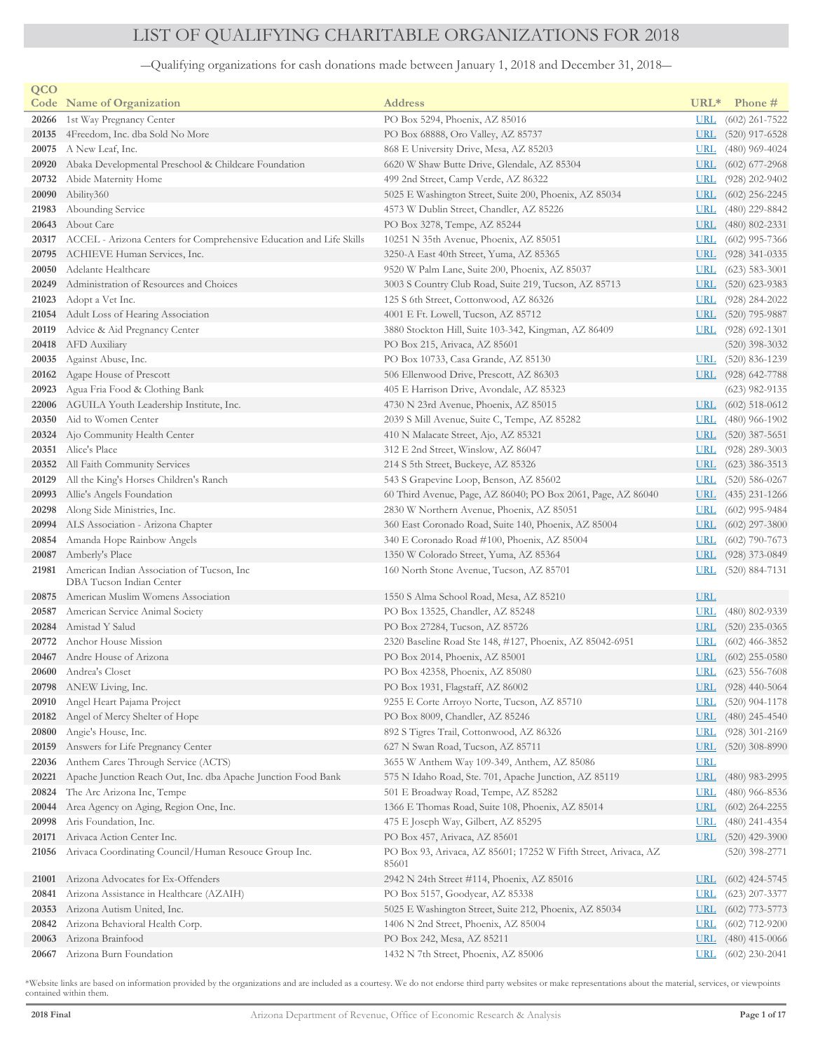## LIST OF QUALIFYING CHARITABLE ORGANIZATIONS FOR 2018

―Qualifying organizations for cash donations made between January 1, 2018 and December 31, 2018―

| QCO   |                                                                     |                                                                          |              |                      |
|-------|---------------------------------------------------------------------|--------------------------------------------------------------------------|--------------|----------------------|
|       | <b>Code</b> Name of Organization                                    | <b>Address</b>                                                           | $URL*$       | Phone #              |
| 20266 | 1st Way Pregnancy Center                                            | PO Box 5294, Phoenix, AZ 85016                                           | <u>URL</u>   | $(602)$ 261-7522     |
| 20135 | 4Freedom, Inc. dba Sold No More                                     | PO Box 68888, Oro Valley, AZ 85737                                       | <u>URL</u>   | $(520)$ 917-6528     |
|       | $20075$ A New Leaf, Inc.                                            | 868 E University Drive, Mesa, AZ 85203                                   | <b>URL</b>   | $(480)$ 969-4024     |
| 20920 | Abaka Developmental Preschool & Childcare Foundation                | 6620 W Shaw Butte Drive, Glendale, AZ 85304                              | <b>URL</b>   | $(602)$ 677-2968     |
| 20732 | Abide Maternity Home                                                | 499 2nd Street, Camp Verde, AZ 86322                                     | <u>URL</u>   | $(928)$ 202-9402     |
| 20090 | Ability360                                                          | 5025 E Washington Street, Suite 200, Phoenix, AZ 85034                   | <u>URL</u>   | $(602)$ 256-2245     |
| 21983 | Abounding Service                                                   | 4573 W Dublin Street, Chandler, AZ 85226                                 | <u>URL</u>   | $(480)$ 229-8842     |
| 20643 | About Care                                                          | PO Box 3278, Tempe, AZ 85244                                             | <u>URL</u>   | $(480)$ 802-2331     |
| 20317 | ACCEL - Arizona Centers for Comprehensive Education and Life Skills | 10251 N 35th Avenue, Phoenix, AZ 85051                                   | <u>URL</u>   | $(602)$ 995-7366     |
| 20795 | ACHIEVE Human Services, Inc.                                        | 3250-A East 40th Street, Yuma, AZ 85365                                  | <u>URL</u>   | $(928)$ 341-0335     |
| 20050 | Adelante Healthcare                                                 | 9520 W Palm Lane, Suite 200, Phoenix, AZ 85037                           | <u>URL</u>   | $(623)$ 583-3001     |
| 20249 | Administration of Resources and Choices                             | 3003 S Country Club Road, Suite 219, Tucson, AZ 85713                    |              | URL (520) 623-9383   |
| 21023 | Adopt a Vet Inc.                                                    | 125 S 6th Street, Cottonwood, AZ 86326                                   | <b>URL</b>   | $(928)$ 284-2022     |
| 21054 | Adult Loss of Hearing Association                                   | 4001 E Ft. Lowell, Tucson, AZ 85712                                      | <b>URL</b>   | $(520)$ 795-9887     |
| 20119 | Advice & Aid Pregnancy Center                                       | 3880 Stockton Hill, Suite 103-342, Kingman, AZ 86409                     | <u>URL</u>   | $(928)$ 692-1301     |
| 20418 | AFD Auxiliary                                                       | PO Box 215, Arivaca, AZ 85601                                            |              | $(520)$ 398-3032     |
| 20035 | Against Abuse, Inc.                                                 | PO Box 10733, Casa Grande, AZ 85130                                      | <b>URL</b>   | $(520)$ 836-1239     |
| 20162 | Agape House of Prescott                                             | 506 Ellenwood Drive, Prescott, AZ 86303                                  | <u>URL</u>   | $(928)$ 642-7788     |
|       | 20923 Agua Fria Food & Clothing Bank                                | 405 E Harrison Drive, Avondale, AZ 85323                                 |              | $(623)$ 982-9135     |
|       | 22006 AGUILA Youth Leadership Institute, Inc.                       | 4730 N 23rd Avenue, Phoenix, AZ 85015                                    | <u>URL</u>   | $(602)$ 518-0612     |
|       | 20350 Aid to Women Center                                           | 2039 S Mill Avenue, Suite C, Tempe, AZ 85282                             | <u>URL</u>   | $(480)$ 966-1902     |
|       | 20324 Ajo Community Health Center                                   | 410 N Malacate Street, Ajo, AZ 85321                                     | <b>URL</b>   | $(520)$ 387-5651     |
| 20351 | Alice's Place                                                       | 312 E 2nd Street, Winslow, AZ 86047                                      | <u>URL</u>   | $(928)$ 289-3003     |
| 20352 | All Faith Community Services                                        | 214 S 5th Street, Buckeye, AZ 85326                                      | <u>URL</u>   | $(623)$ 386-3513     |
| 20129 | All the King's Horses Children's Ranch                              | 543 S Grapevine Loop, Benson, AZ 85602                                   | <u>URL</u>   | $(520)$ 586-0267     |
| 20993 | Allie's Angels Foundation                                           | 60 Third Avenue, Page, AZ 86040; PO Box 2061, Page, AZ 86040             | <u>URL</u>   | $(435)$ 231-1266     |
| 20298 | Along Side Ministries, Inc.                                         | 2830 W Northern Avenue, Phoenix, AZ 85051                                | <u>URL</u>   | $(602)$ 995-9484     |
|       | 20994 ALS Association - Arizona Chapter                             | 360 East Coronado Road, Suite 140, Phoenix, AZ 85004                     | <b>URL</b>   | $(602)$ 297-3800     |
|       | 20854 Amanda Hope Rainbow Angels                                    | 340 E Coronado Road #100, Phoenix, AZ 85004                              | <b>URL</b>   | $(602)$ 790-7673     |
|       | 20087 Amberly's Place                                               | 1350 W Colorado Street, Yuma, AZ 85364                                   | <b>URL</b>   | $(928)$ 373-0849     |
| 21981 | American Indian Association of Tucson, Inc.                         | 160 North Stone Avenue, Tucson, AZ 85701                                 | <u>URL</u>   | $(520) 884 - 7131$   |
|       | DBA Tucson Indian Center                                            |                                                                          |              |                      |
|       | 20875 American Muslim Womens Association                            | 1550 S Alma School Road, Mesa, AZ 85210                                  | <u>URL</u>   |                      |
| 20587 | American Service Animal Society                                     | PO Box 13525, Chandler, AZ 85248                                         | <b>URL</b>   | $(480)$ 802-9339     |
| 20284 | Amistad Y Salud                                                     | PO Box 27284, Tucson, AZ 85726                                           | <u>URL</u>   | $(520)$ 235-0365     |
| 20772 | Anchor House Mission                                                | 2320 Baseline Road Ste 148, #127, Phoenix, AZ 85042-6951                 | <u>URL</u>   | $(602)$ 466-3852     |
| 20467 | Andre House of Arizona                                              | PO Box 2014, Phoenix, AZ 85001                                           | <u>URL</u>   | $(602)$ 255-0580     |
| 20600 | Andrea's Closet                                                     | PO Box 42358, Phoenix, AZ 85080                                          | <b>URL</b>   | $(623)$ 556-7608     |
|       | 20798 ANEW Living, Inc.                                             | PO Box 1931, Flagstaff, AZ 86002                                         |              | URL $(928)$ 440-5064 |
| 20910 | Angel Heart Pajama Project                                          | 9255 E Corte Arroyo Norte, Tucson, AZ 85710                              | <u>URL</u>   | $(520)$ 904-1178     |
| 20182 | Angel of Mercy Shelter of Hope                                      | PO Box 8009, Chandler, AZ 85246                                          | <u>URL</u>   | $(480)$ 245-4540     |
| 20800 | Angie's House, Inc.                                                 | 892 S Tigres Trail, Cottonwood, AZ 86326                                 | <u>URL</u>   | $(928)$ 301-2169     |
| 20159 | Answers for Life Pregnancy Center                                   | 627 N Swan Road, Tucson, AZ 85711                                        | <u>URL</u>   | $(520)$ 308-8990     |
| 22036 | Anthem Cares Through Service (ACTS)                                 | 3655 W Anthem Way 109-349, Anthem, AZ 85086                              | <b>URL</b>   |                      |
| 20221 | Apache Junction Reach Out, Inc. dba Apache Junction Food Bank       | 575 N Idaho Road, Ste. 701, Apache Junction, AZ 85119                    | <b>URL</b>   | $(480)$ 983-2995     |
| 20824 | The Arc Arizona Inc, Tempe                                          | 501 E Broadway Road, Tempe, AZ 85282                                     | <u>URL</u>   | $(480)$ 966-8536     |
| 20044 | Area Agency on Aging, Region One, Inc.                              | 1366 E Thomas Road, Suite 108, Phoenix, AZ 85014                         | <b>URL</b>   | $(602)$ 264-2255     |
| 20998 | Aris Foundation, Inc.                                               | 475 E Joseph Way, Gilbert, AZ 85295                                      | <u>URL</u>   | $(480)$ 241-4354     |
| 20171 | Arivaca Action Center Inc.                                          | PO Box 457, Arivaca, AZ 85601                                            | <b>URL</b>   | $(520)$ 429-3900     |
| 21056 | Arivaca Coordinating Council/Human Resouce Group Inc.               | PO Box 93, Arivaca, AZ 85601; 17252 W Fifth Street, Arivaca, AZ<br>85601 |              | $(520)$ 398-2771     |
| 21001 | Arizona Advocates for Ex-Offenders                                  | 2942 N 24th Street #114, Phoenix, AZ 85016                               | <b>URL</b>   | $(602)$ 424-5745     |
| 20841 | Arizona Assistance in Healthcare (AZAIH)                            | PO Box 5157, Goodyear, AZ 85338                                          | <u>URL</u>   | $(623)$ 207-3377     |
| 20353 | Arizona Autism United, Inc.                                         | 5025 E Washington Street, Suite 212, Phoenix, AZ 85034                   | $_{\rm URL}$ | $(602)$ 773-5773     |
| 20842 | Arizona Behavioral Health Corp.                                     | 1406 N 2nd Street, Phoenix, AZ 85004                                     | <u>URL</u>   | $(602)$ 712-9200     |
| 20063 | Arizona Brainfood                                                   | PO Box 242, Mesa, AZ 85211                                               | <u>URL</u>   | $(480)$ 415-0066     |
| 20667 | Arizona Burn Foundation                                             | 1432 N 7th Street, Phoenix, AZ 85006                                     | <u>URL</u>   | $(602)$ 230-2041     |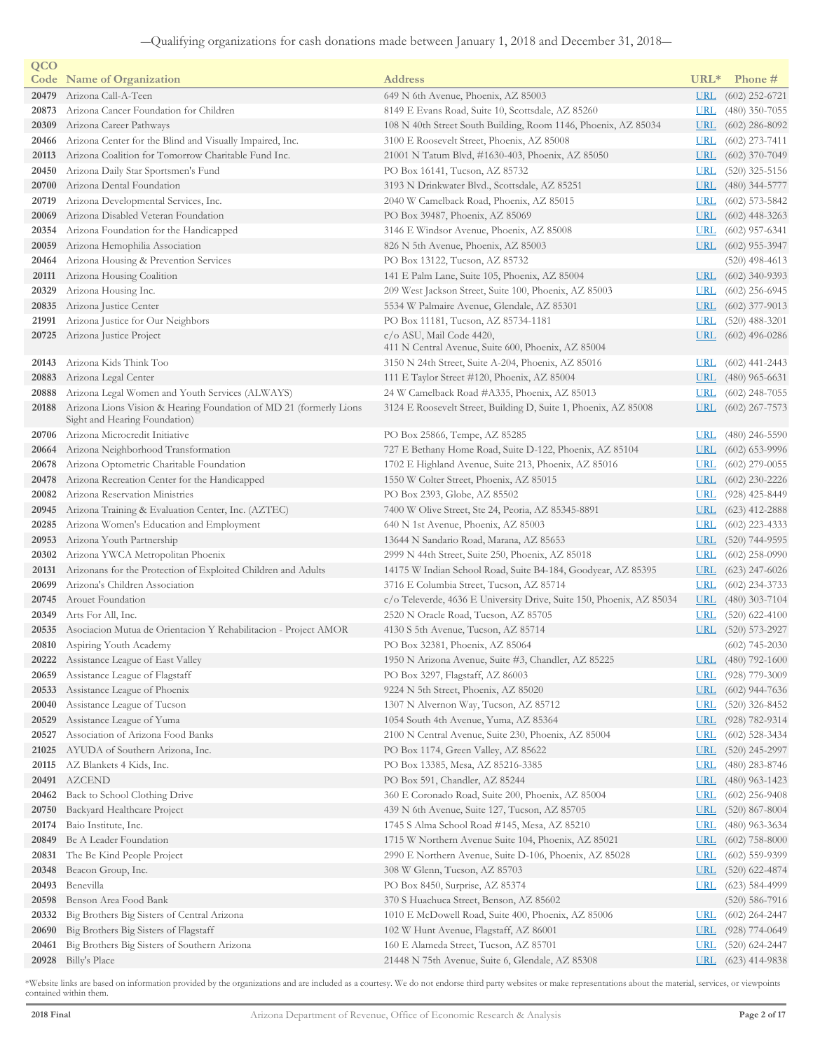| QCO            |                                                                                       |                                                                                  |                            |                                      |
|----------------|---------------------------------------------------------------------------------------|----------------------------------------------------------------------------------|----------------------------|--------------------------------------|
|                | <b>Code</b> Name of Organization                                                      | <b>Address</b>                                                                   | $URL*$                     | Phone #                              |
| 20479          | Arizona Call-A-Teen                                                                   | 649 N 6th Avenue, Phoenix, AZ 85003                                              | <u>URL</u>                 | $(602)$ 252-6721                     |
| 20873          | Arizona Cancer Foundation for Children                                                | 8149 E Evans Road, Suite 10, Scottsdale, AZ 85260                                | <u>URL</u>                 | $(480)$ 350-7055                     |
| 20309          | Arizona Career Pathways                                                               | 108 N 40th Street South Building, Room 1146, Phoenix, AZ 85034                   | <u>URL</u>                 | $(602)$ 286-8092                     |
| 20466          | Arizona Center for the Blind and Visually Impaired, Inc.                              | 3100 E Roosevelt Street, Phoenix, AZ 85008                                       | <u>URL</u>                 | $(602)$ 273-7411                     |
| 20113          | Arizona Coalition for Tomorrow Charitable Fund Inc.                                   | 21001 N Tatum Blvd, #1630-403, Phoenix, AZ 85050                                 | <u>URL</u>                 | $(602)$ 370-7049                     |
| 20450          | Arizona Daily Star Sportsmen's Fund                                                   | PO Box 16141, Tucson, AZ 85732                                                   | <u>URL</u>                 | $(520)$ 325-5156                     |
| 20700          | Arizona Dental Foundation                                                             | 3193 N Drinkwater Blvd., Scottsdale, AZ 85251                                    | <u>URL</u>                 | $(480)$ 344-5777                     |
| 20719          | Arizona Developmental Services, Inc.                                                  | 2040 W Camelback Road, Phoenix, AZ 85015                                         | <u>URL</u>                 | $(602)$ 573-5842                     |
| 20069          | Arizona Disabled Veteran Foundation<br>Arizona Foundation for the Handicapped         | PO Box 39487, Phoenix, AZ 85069                                                  | $_{\rm URL}$               | $(602)$ 448-3263                     |
| 20354<br>20059 |                                                                                       | 3146 E Windsor Avenue, Phoenix, AZ 85008                                         | URL                        | $(602)$ 957-6341                     |
| 20464          | Arizona Hemophilia Association                                                        | 826 N 5th Avenue, Phoenix, AZ 85003<br>PO Box 13122, Tucson, AZ 85732            |                            | $URL (602) 955-3947$                 |
| 20111          | Arizona Housing & Prevention Services<br>Arizona Housing Coalition                    | 141 E Palm Lane, Suite 105, Phoenix, AZ 85004                                    | <u>URL</u>                 | $(520)$ 498-4613<br>$(602)$ 340-9393 |
| 20329          | Arizona Housing Inc.                                                                  | 209 West Jackson Street, Suite 100, Phoenix, AZ 85003                            | <u>URL</u>                 | $(602)$ 256-6945                     |
| 20835          | Arizona Justice Center                                                                | 5534 W Palmaire Avenue, Glendale, AZ 85301                                       | $_{\rm URL}$               | $(602)$ 377-9013                     |
| 21991          | Arizona Justice for Our Neighbors                                                     | PO Box 11181, Tucson, AZ 85734-1181                                              | <u>URL</u>                 | $(520)$ 488-3201                     |
| 20725          | Arizona Justice Project                                                               | c/o ASU, Mail Code 4420,                                                         | <u>URL</u>                 | $(602)$ 496-0286                     |
|                |                                                                                       | 411 N Central Avenue, Suite 600, Phoenix, AZ 85004                               |                            |                                      |
| 20143          | Arizona Kids Think Too                                                                | 3150 N 24th Street, Suite A-204, Phoenix, AZ 85016                               | <u>URI</u>                 | $(602)$ 441-2443                     |
| 20883          | Arizona Legal Center                                                                  | 111 E Taylor Street #120, Phoenix, AZ 85004                                      | <u>URL</u>                 | $(480)$ 965-6631                     |
| 20888          | Arizona Legal Women and Youth Services (ALWAYS)                                       | 24 W Camelback Road #A335, Phoenix, AZ 85013                                     | <u>URL</u>                 | $(602)$ 248-7055                     |
| 20188          | Arizona Lions Vision & Hearing Foundation of MD 21 (formerly Lions                    | 3124 E Roosevelt Street, Building D, Suite 1, Phoenix, AZ 85008                  | <u>URL</u>                 | $(602)$ 267-7573                     |
|                | Sight and Hearing Foundation)                                                         |                                                                                  |                            |                                      |
| 20706          | Arizona Microcredit Initiative                                                        | PO Box 25866, Tempe, AZ 85285                                                    | <u>URL</u>                 | $(480)$ 246-5590                     |
| 20664          | Arizona Neighborhood Transformation                                                   | 727 E Bethany Home Road, Suite D-122, Phoenix, AZ 85104                          | <u>URL</u>                 | $(602)$ 653-9996                     |
| 20678          | Arizona Optometric Charitable Foundation                                              | 1702 E Highland Avenue, Suite 213, Phoenix, AZ 85016                             | <u>URL</u>                 | $(602)$ 279-0055                     |
| 20478          | Arizona Recreation Center for the Handicapped                                         | 1550 W Colter Street, Phoenix, AZ 85015                                          | <u>URL</u>                 | $(602)$ 230-2226                     |
| 20082          | Arizona Reservation Ministries                                                        | PO Box 2393, Globe, AZ 85502                                                     | <u>URL</u>                 | $(928)$ 425-8449                     |
| 20945          | Arizona Training & Evaluation Center, Inc. (AZTEC)                                    | 7400 W Olive Street, Ste 24, Peoria, AZ 85345-8891                               | <u>URL</u>                 | $(623)$ 412-2888                     |
| 20285          | Arizona Women's Education and Employment                                              | 640 N 1st Avenue, Phoenix, AZ 85003                                              | <u>URL</u>                 | $(602)$ 223-4333                     |
| 20953          | Arizona Youth Partnership                                                             | 13644 N Sandario Road, Marana, AZ 85653                                          | <u>URL</u>                 | $(520)$ 744-9595                     |
| 20302          | Arizona YWCA Metropolitan Phoenix                                                     | 2999 N 44th Street, Suite 250, Phoenix, AZ 85018                                 | <u>URL</u>                 | $(602)$ 258-0990                     |
| 20131          | Arizonans for the Protection of Exploited Children and Adults                         | 14175 W Indian School Road, Suite B4-184, Goodyear, AZ 85395                     | <u>URL</u>                 | $(623)$ 247-6026                     |
| 20699          | Arizona's Children Association                                                        | 3716 E Columbia Street, Tucson, AZ 85714                                         | URL                        | $(602)$ 234-3733                     |
| 20745          | Arouet Foundation                                                                     | c/o Televerde, 4636 E University Drive, Suite 150, Phoenix, AZ 85034             | <u>URL</u>                 | $(480)$ 303-7104                     |
| 20349          | Arts For All, Inc.                                                                    | 2520 N Oracle Road, Tucson, AZ 85705                                             | <u>URL</u>                 | $(520)$ 622-4100                     |
| 20535          | Asociacion Mutua de Orientacion Y Rehabilitacion - Project AMOR                       | 4130 S 5th Avenue, Tucson, AZ 85714                                              | $_{\rm URL}$               | $(520)$ 573-2927                     |
|                | 20810 Aspiring Youth Academy                                                          | PO Box 32381, Phoenix, AZ 85064                                                  |                            | $(602)$ 745-2030                     |
|                | 20222 Assistance League of East Valley                                                | 1950 N Arizona Avenue, Suite #3, Chandler, AZ 85225                              |                            | URL (480) 792-1600                   |
|                | 20659 Assistance League of Flagstaff                                                  | PO Box 3297, Flagstaff, AZ 86003                                                 | <u>URL</u>                 | $(928)$ 779-3009                     |
| 20533          | Assistance League of Phoenix                                                          | 9224 N 5th Street, Phoenix, AZ 85020                                             | <u>URL</u>                 | $(602)$ 944-7636                     |
| 20040          | Assistance League of Tucson                                                           | 1307 N Alvernon Way, Tucson, AZ 85712                                            | <u>URL</u>                 | $(520)$ 326-8452                     |
| 20529          | Assistance League of Yuma                                                             | 1054 South 4th Avenue, Yuma, AZ 85364                                            | <u>URL</u>                 | $(928) 782 - 9314$                   |
| 20527          | Association of Arizona Food Banks                                                     | 2100 N Central Avenue, Suite 230, Phoenix, AZ 85004                              | <u>URL</u>                 | $(602)$ 528-3434                     |
| 21025          | AYUDA of Southern Arizona, Inc.                                                       | PO Box 1174, Green Valley, AZ 85622                                              | <u>URL</u>                 | $(520)$ 245-2997                     |
| 20115          | AZ Blankets 4 Kids, Inc.                                                              | PO Box 13385, Mesa, AZ 85216-3385                                                | <u>URL</u>                 | $(480)$ 283-8746                     |
| 20491          | <b>AZCEND</b>                                                                         | PO Box 591, Chandler, AZ 85244                                                   | <u>URL</u>                 | $(480)$ 963-1423                     |
| 20462          | Back to School Clothing Drive                                                         | 360 E Coronado Road, Suite 200, Phoenix, AZ 85004                                | <u>URL</u>                 | $(602)$ 256-9408                     |
| 20750          | Backyard Healthcare Project                                                           | 439 N 6th Avenue, Suite 127, Tucson, AZ 85705                                    | <b>URL</b>                 | $(520)$ 867-8004                     |
| 20174          | Baio Institute, Inc.                                                                  | 1745 S Alma School Road #145, Mesa, AZ 85210                                     | <u>URL</u>                 | $(480)$ 963-3634                     |
| 20849          | Be A Leader Foundation                                                                | 1715 W Northern Avenue Suite 104, Phoenix, AZ 85021                              | <b>URL</b>                 | $(602)$ 758-8000                     |
| 20831          | The Be Kind People Project                                                            | 2990 E Northern Avenue, Suite D-106, Phoenix, AZ 85028                           | <u>URL</u>                 | $(602)$ 559-9399                     |
| 20348          | Beacon Group, Inc.                                                                    | 308 W Glenn, Tucson, AZ 85703                                                    | $_{\rm URL}$               | $(520)$ 622-4874                     |
| 20493          | Benevilla                                                                             | PO Box 8450, Surprise, AZ 85374                                                  | URL                        | $(623)$ 584-4999                     |
| 20598          | Benson Area Food Bank                                                                 | 370 S Huachuca Street, Benson, AZ 85602                                          |                            | $(520)$ 586-7916                     |
| 20332          | Big Brothers Big Sisters of Central Arizona                                           | 1010 E McDowell Road, Suite 400, Phoenix, AZ 85006                               | <u>URL</u>                 | $(602)$ 264-2447                     |
| 20690          | Big Brothers Big Sisters of Flagstaff<br>Big Brothers Big Sisters of Southern Arizona | 102 W Hunt Avenue, Flagstaff, AZ 86001<br>160 E Alameda Street, Tucson, AZ 85701 | $_{\rm URL}$<br><u>URL</u> | $(928)$ 774-0649<br>$(520)$ 624-2447 |
| 20461<br>20928 | Billy's Place                                                                         | 21448 N 75th Avenue, Suite 6, Glendale, AZ 85308                                 | <u>URL</u>                 | $(623)$ 414-9838                     |
|                |                                                                                       |                                                                                  |                            |                                      |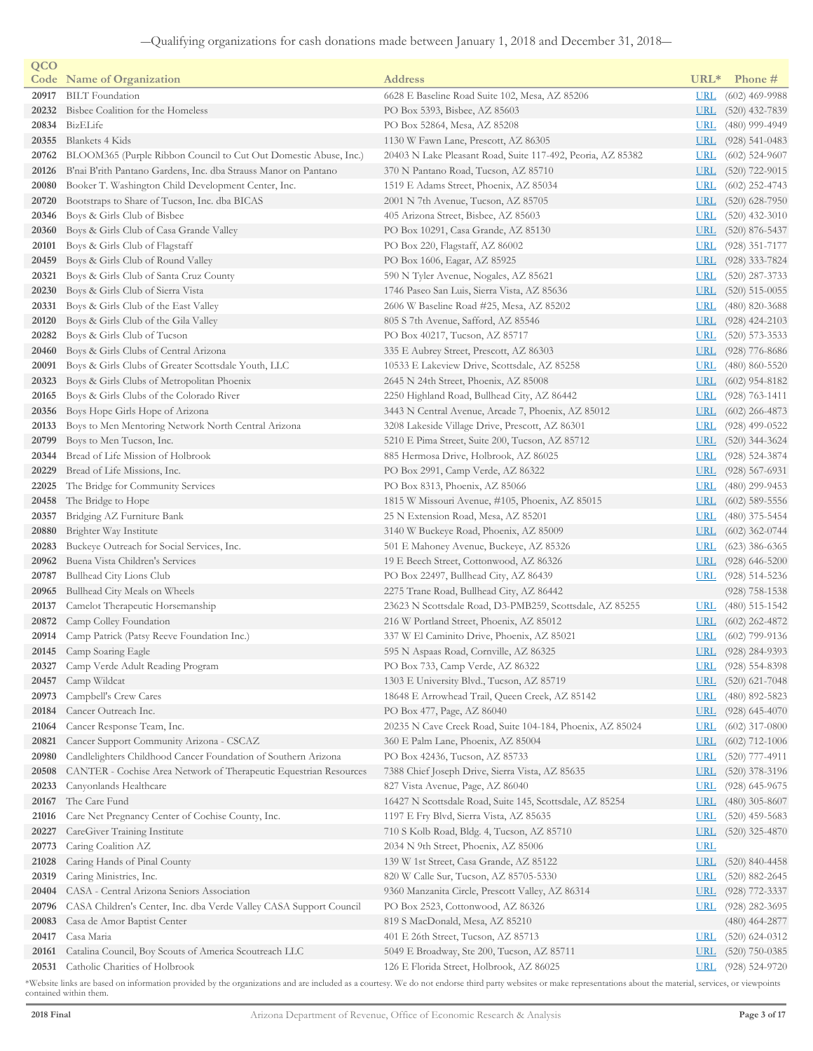| QCO            |                                                                    |                                                                                              |                          |                    |
|----------------|--------------------------------------------------------------------|----------------------------------------------------------------------------------------------|--------------------------|--------------------|
|                | <b>Code</b> Name of Organization                                   | <b>Address</b>                                                                               | $URL*$                   | Phone #            |
| 20917          | <b>BILT</b> Foundation                                             | 6628 E Baseline Road Suite 102, Mesa, AZ 85206                                               | <u>URL</u>               | $(602)$ 469-9988   |
| 20232          | Bisbee Coalition for the Homeless                                  | PO Box 5393, Bisbee, AZ 85603                                                                | <u>URL</u>               | $(520)$ 432-7839   |
| 20834          | BizELife                                                           | PO Box 52864, Mesa, AZ 85208                                                                 | <b>URL</b>               | $(480)$ 999-4949   |
| 20355          | Blankets 4 Kids                                                    | 1130 W Fawn Lane, Prescott, AZ 86305                                                         | <u>URL</u>               | $(928)$ 541-0483   |
| 20762          | BLOOM365 (Purple Ribbon Council to Cut Out Domestic Abuse, Inc.)   | 20403 N Lake Pleasant Road, Suite 117-492, Peoria, AZ 85382                                  | <u>URL</u>               | $(602)$ 524-9607   |
| 20126          | B'nai B'rith Pantano Gardens, Inc. dba Strauss Manor on Pantano    | 370 N Pantano Road, Tucson, AZ 85710                                                         | <u>URL</u>               | $(520)$ 722-9015   |
| 20080          | Booker T. Washington Child Development Center, Inc.                | 1519 E Adams Street, Phoenix, AZ 85034                                                       | <u>URL</u>               | $(602)$ 252-4743   |
| 20720          | Bootstraps to Share of Tucson, Inc. dba BICAS                      | 2001 N 7th Avenue, Tucson, AZ 85705                                                          | <u>URL</u>               | $(520)$ 628-7950   |
| 20346          | Boys & Girls Club of Bisbee                                        | 405 Arizona Street, Bisbee, AZ 85603                                                         | <u>URL</u>               | $(520)$ 432-3010   |
| 20360          | Boys & Girls Club of Casa Grande Valley                            | PO Box 10291, Casa Grande, AZ 85130                                                          | <u>URL</u>               | $(520)$ 876-5437   |
| 20101          | Boys & Girls Club of Flagstaff                                     | PO Box 220, Flagstaff, AZ 86002                                                              | <b>URL</b>               | $(928)$ 351-7177   |
| 20459          | Boys & Girls Club of Round Valley                                  | PO Box 1606, Eagar, AZ 85925                                                                 | <u>URL</u>               | $(928)$ 333-7824   |
| 20321          | Boys & Girls Club of Santa Cruz County                             | 590 N Tyler Avenue, Nogales, AZ 85621                                                        | <u>URL</u>               | $(520)$ 287-3733   |
| 20230          | Boys & Girls Club of Sierra Vista                                  | 1746 Paseo San Luis, Sierra Vista, AZ 85636                                                  | <u>URL</u>               | $(520)$ 515-0055   |
| 20331          | Boys & Girls Club of the East Valley                               | 2606 W Baseline Road #25, Mesa, AZ 85202                                                     | <u>URL</u>               | $(480)$ 820-3688   |
| 20120          | Boys & Girls Club of the Gila Valley                               | 805 S 7th Avenue, Safford, AZ 85546                                                          | <b>URL</b>               | $(928)$ 424-2103   |
| 20282          | Boys & Girls Club of Tucson                                        | PO Box 40217, Tucson, AZ 85717                                                               | <u>URL</u>               | $(520)$ 573-3533   |
| 20460          | Boys & Girls Clubs of Central Arizona                              | 335 E Aubrey Street, Prescott, AZ 86303                                                      | <u>URL</u>               | $(928)$ 776-8686   |
| 20091          | Boys & Girls Clubs of Greater Scottsdale Youth, LLC                | 10533 E Lakeview Drive, Scottsdale, AZ 85258                                                 | <u>URL</u>               | $(480) 860 - 5520$ |
| 20323          | Boys & Girls Clubs of Metropolitan Phoenix                         | 2645 N 24th Street, Phoenix, AZ 85008                                                        | <u>URL</u>               | $(602)$ 954-8182   |
| 20165          | Boys & Girls Clubs of the Colorado River                           | 2250 Highland Road, Bullhead City, AZ 86442                                                  | <b>URL</b>               | $(928) 763 - 1411$ |
| 20356          | Boys Hope Girls Hope of Arizona                                    | 3443 N Central Avenue, Arcade 7, Phoenix, AZ 85012                                           | <u>URL</u>               | $(602)$ 266-4873   |
| 20133          | Boys to Men Mentoring Network North Central Arizona                | 3208 Lakeside Village Drive, Prescott, AZ 86301                                              | <u>URL</u>               | $(928)$ 499-0522   |
| 20799          | Boys to Men Tucson, Inc.                                           | 5210 E Pima Street, Suite 200, Tucson, AZ 85712                                              | <u>URL</u>               | $(520)$ 344-3624   |
| 20344          | Bread of Life Mission of Holbrook                                  | 885 Hermosa Drive, Holbrook, AZ 86025                                                        | <u>URL</u>               | $(928)$ 524-3874   |
| 20229          | Bread of Life Missions, Inc.                                       | PO Box 2991, Camp Verde, AZ 86322                                                            | <b>URL</b>               | $(928)$ 567-6931   |
| 22025          | The Bridge for Community Services                                  | PO Box 8313, Phoenix, AZ 85066                                                               | <u>URL</u>               | $(480)$ 299-9453   |
| 20458          | The Bridge to Hope                                                 | 1815 W Missouri Avenue, #105, Phoenix, AZ 85015                                              | <u>URL</u>               | $(602)$ 589-5556   |
| 20357          | Bridging AZ Furniture Bank                                         | 25 N Extension Road, Mesa, AZ 85201                                                          | <b>URL</b>               | $(480)$ 375-5454   |
| 20880          | Brighter Way Institute                                             | 3140 W Buckeye Road, Phoenix, AZ 85009                                                       | <b>URL</b>               | $(602)$ 362-0744   |
| 20283          | Buckeye Outreach for Social Services, Inc.                         | 501 E Mahoney Avenue, Buckeye, AZ 85326                                                      | <b>URL</b>               | $(623)$ 386-6365   |
| 20962          | Buena Vista Children's Services                                    | 19 E Beech Street, Cottonwood, AZ 86326                                                      | <b>URL</b>               | $(928)$ 646-5200   |
| 20787          | Bullhead City Lions Club                                           | PO Box 22497, Bullhead City, AZ 86439                                                        | <b>URL</b>               | $(928)$ 514-5236   |
| 20965          | Bullhead City Meals on Wheels                                      | 2275 Trane Road, Bullhead City, AZ 86442                                                     |                          | $(928)$ 758-1538   |
| 20137          | Camelot Therapeutic Horsemanship                                   | 23623 N Scottsdale Road, D3-PMB259, Scottsdale, AZ 85255                                     | $URL$                    | $(480)$ 515-1542   |
| 20872          | Camp Colley Foundation                                             | 216 W Portland Street, Phoenix, AZ 85012                                                     | <u>URL</u>               | $(602)$ 262-4872   |
| 20914          | Camp Patrick (Patsy Reeve Foundation Inc.)                         | 337 W El Caminito Drive, Phoenix, AZ 85021                                                   | <u>URL</u>               | $(602)$ 799-9136   |
|                | 20145 Camp Soaring Eagle                                           | 595 N Aspaas Road, Cornville, AZ 86325                                                       | <u>URL</u>               | $(928)$ 284-9393   |
|                | 20327 Camp Verde Adult Reading Program                             | PO Box 733, Camp Verde, AZ 86322                                                             | URL                      | $(928) 554 - 8398$ |
| 20457          | Camp Wildcat                                                       | 1303 E University Blvd., Tucson, AZ 85719                                                    | <u>URL</u>               | $(520)$ 621-7048   |
| 20973          | Campbell's Crew Cares                                              | 18648 E Arrowhead Trail, Queen Creek, AZ 85142                                               | <u>URL</u>               | $(480)$ 892-5823   |
| 20184          | Cancer Outreach Inc.                                               | PO Box 477, Page, AZ 86040                                                                   | <b>URL</b>               | $(928)$ 645-4070   |
| 21064          | Cancer Response Team, Inc.                                         | 20235 N Cave Creek Road, Suite 104-184, Phoenix, AZ 85024                                    | <u>URL</u>               | $(602)$ 317-0800   |
| 20821<br>20980 | Cancer Support Community Arizona - CSCAZ                           | 360 E Palm Lane, Phoenix, AZ 85004                                                           | <u>URL</u>               | $(602)$ 712-1006   |
|                | Candlelighters Childhood Cancer Foundation of Southern Arizona     | PO Box 42436, Tucson, AZ 85733                                                               | <u>URL</u>               | $(520)$ 777-4911   |
| 20508          | CANTER - Cochise Area Network of Therapeutic Equestrian Resources  | 7388 Chief Joseph Drive, Sierra Vista, AZ 85635                                              | <u>URL</u>               | $(520)$ 378-3196   |
| 20233<br>20167 | Canyonlands Healthcare<br>The Care Fund                            | 827 Vista Avenue, Page, AZ 86040<br>16427 N Scottsdale Road, Suite 145, Scottsdale, AZ 85254 | <u>URL</u>               | $(928)$ 645-9675   |
| 21016          | Care Net Pregnancy Center of Cochise County, Inc.                  |                                                                                              | <u>URL</u><br><b>URL</b> | $(480)$ 305-8607   |
| 20227          |                                                                    | 1197 E Fry Blvd, Sierra Vista, AZ 85635                                                      | <u>URL</u>               | $(520)$ 459-5683   |
| 20773          | CareGiver Training Institute<br>Caring Coalition AZ                | 710 S Kolb Road, Bldg. 4, Tucson, AZ 85710<br>2034 N 9th Street, Phoenix, AZ 85006           | <b>URL</b>               | $(520)$ 325-4870   |
| 21028          | Caring Hands of Pinal County                                       | 139 W 1st Street, Casa Grande, AZ 85122                                                      | <b>URL</b>               | $(520)$ 840-4458   |
| 20319          | Caring Ministries, Inc.                                            | 820 W Calle Sur, Tucson, AZ 85705-5330                                                       | <u>URL</u>               | $(520)$ 882-2645   |
| 20404          | CASA - Central Arizona Seniors Association                         | 9360 Manzanita Circle, Prescott Valley, AZ 86314                                             | <u>URL</u>               | $(928)$ 772-3337   |
| 20796          | CASA Children's Center, Inc. dba Verde Valley CASA Support Council | PO Box 2523, Cottonwood, AZ 86326                                                            | <b>URL</b>               | $(928)$ 282-3695   |
| 20083          | Casa de Amor Baptist Center                                        | 819 S MacDonald, Mesa, AZ 85210                                                              |                          | $(480)$ 464-2877   |
| 20417          | Casa Maria                                                         | 401 E 26th Street, Tucson, AZ 85713                                                          | <b>URL</b>               | $(520)$ 624-0312   |
| 20161          | Catalina Council, Boy Scouts of America Scoutreach LLC             | 5049 E Broadway, Ste 200, Tucson, AZ 85711                                                   | <u>URL</u>               | $(520)$ 750-0385   |
| 20531          | Catholic Charities of Holbrook                                     | 126 E Florida Street, Holbrook, AZ 86025                                                     | <u>URL</u>               | $(928) 524-9720$   |
|                |                                                                    |                                                                                              |                          |                    |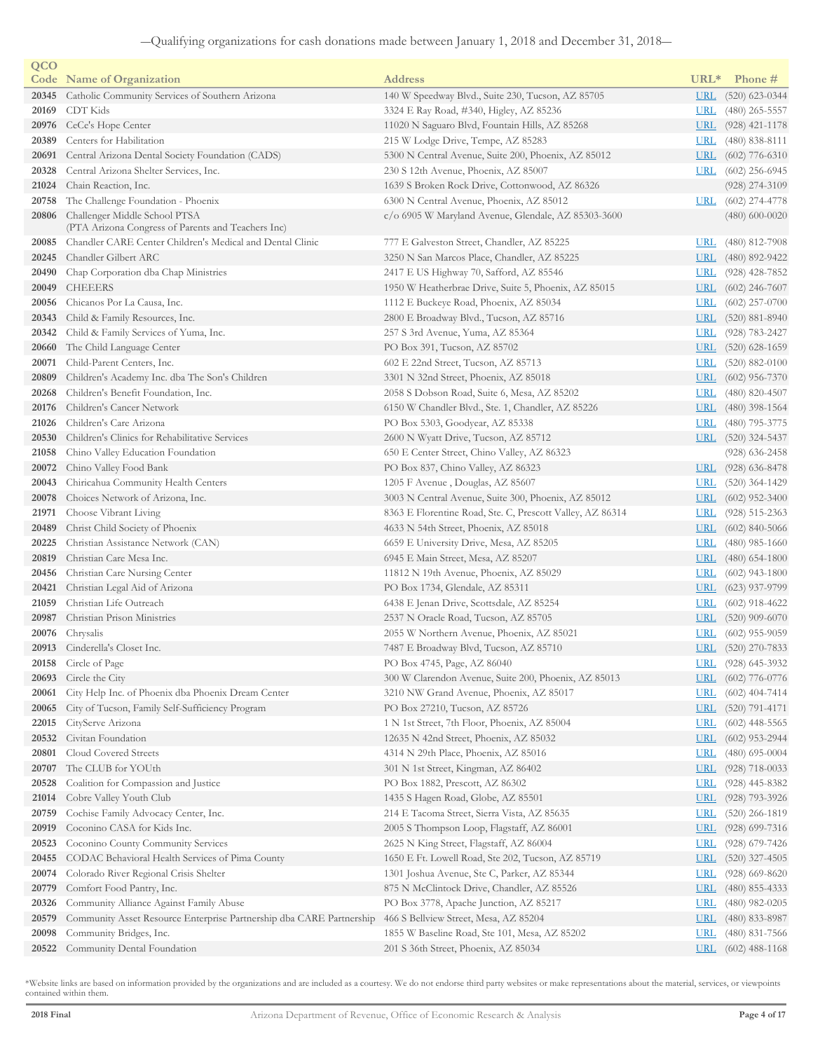| QCO   |                                                                                     |                                                           |                  |                    |
|-------|-------------------------------------------------------------------------------------|-----------------------------------------------------------|------------------|--------------------|
|       | <b>Code</b> Name of Organization                                                    | <b>Address</b>                                            | URL <sup>*</sup> | Phone #            |
| 20345 | Catholic Community Services of Southern Arizona                                     | 140 W Speedway Blvd., Suite 230, Tucson, AZ 85705         | <b>URL</b>       | $(520)$ 623-0344   |
| 20169 | CDT Kids                                                                            | 3324 E Ray Road, #340, Higley, AZ 85236                   | <b>URL</b>       | $(480)$ 265-5557   |
| 20976 | CeCe's Hope Center                                                                  | 11020 N Saguaro Blvd, Fountain Hills, AZ 85268            | <b>URL</b>       | $(928)$ 421-1178   |
| 20389 | Centers for Habilitation                                                            | 215 W Lodge Drive, Tempe, AZ 85283                        | <u>URL</u>       | $(480)$ 838-8111   |
| 20691 | Central Arizona Dental Society Foundation (CADS)                                    | 5300 N Central Avenue, Suite 200, Phoenix, AZ 85012       | <u>URL</u>       | $(602)$ 776-6310   |
| 20328 | Central Arizona Shelter Services, Inc.                                              | 230 S 12th Avenue, Phoenix, AZ 85007                      | <b>URL</b>       | $(602)$ 256-6945   |
| 21024 | Chain Reaction, Inc.                                                                | 1639 S Broken Rock Drive, Cottonwood, AZ 86326            |                  | $(928)$ 274-3109   |
| 20758 | The Challenge Foundation - Phoenix                                                  | 6300 N Central Avenue, Phoenix, AZ 85012                  | URL              | $(602)$ 274-4778   |
| 20806 | Challenger Middle School PTSA<br>(PTA Arizona Congress of Parents and Teachers Inc) | c/o 6905 W Maryland Avenue, Glendale, AZ 85303-3600       |                  | $(480)$ 600-0020   |
| 20085 | Chandler CARE Center Children's Medical and Dental Clinic                           | 777 E Galveston Street, Chandler, AZ 85225                | <u>URI</u>       | $(480)$ 812-7908   |
| 20245 | Chandler Gilbert ARC                                                                | 3250 N San Marcos Place, Chandler, AZ 85225               | <b>URL</b>       | $(480)$ 892-9422   |
| 20490 | Chap Corporation dba Chap Ministries                                                | 2417 E US Highway 70, Safford, AZ 85546                   | <b>URL</b>       | $(928)$ 428-7852   |
| 20049 | <b>CHEEERS</b>                                                                      | 1950 W Heatherbrae Drive, Suite 5, Phoenix, AZ 85015      | <u>URL</u>       | $(602)$ 246-7607   |
| 20056 | Chicanos Por La Causa, Inc.                                                         | 1112 E Buckeye Road, Phoenix, AZ 85034                    | URL              | $(602)$ 257-0700   |
| 20343 | Child & Family Resources, Inc.                                                      | 2800 E Broadway Blvd., Tucson, AZ 85716                   | <u>URL</u>       | $(520)$ 881-8940   |
| 20342 | Child & Family Services of Yuma, Inc.                                               | 257 S 3rd Avenue, Yuma, AZ 85364                          | URL              | $(928) 783 - 2427$ |
| 20660 | The Child Language Center                                                           | PO Box 391, Tucson, AZ 85702                              | <u>URL</u>       | $(520)$ 628-1659   |
| 20071 | Child-Parent Centers, Inc.                                                          | 602 E 22nd Street, Tucson, AZ 85713                       | <u>URL</u>       | $(520)$ 882-0100   |
| 20809 | Children's Academy Inc. dba The Son's Children                                      | 3301 N 32nd Street, Phoenix, AZ 85018                     | <u>URL</u>       | $(602)$ 956-7370   |
| 20268 | Children's Benefit Foundation, Inc.                                                 | 2058 S Dobson Road, Suite 6, Mesa, AZ 85202               | <u>URL</u>       | $(480)$ 820-4507   |
| 20176 | Children's Cancer Network                                                           | 6150 W Chandler Blvd., Ste. 1, Chandler, AZ 85226         | <b>URL</b>       | $(480)$ 398-1564   |
| 21026 | Children's Care Arizona                                                             | PO Box 5303, Goodyear, AZ 85338                           | <u>URL</u>       | $(480)$ 795-3775   |
| 20530 | Children's Clinics for Rehabilitative Services                                      | 2600 N Wyatt Drive, Tucson, AZ 85712                      | <b>URL</b>       | $(520)$ 324-5437   |
| 21058 | Chino Valley Education Foundation                                                   | 650 E Center Street, Chino Valley, AZ 86323               |                  | $(928)$ 636-2458   |
| 20072 | Chino Valley Food Bank                                                              | PO Box 837, Chino Valley, AZ 86323                        | URL              | $(928)$ 636-8478   |
| 20043 | Chiricahua Community Health Centers                                                 | 1205 F Avenue, Douglas, AZ 85607                          | <b>URL</b>       | $(520)$ 364-1429   |
| 20078 | Choices Network of Arizona, Inc.                                                    | 3003 N Central Avenue, Suite 300, Phoenix, AZ 85012       | <u>URL</u>       | $(602)$ 952-3400   |
| 21971 | Choose Vibrant Living                                                               | 8363 E Florentine Road, Ste. C, Prescott Valley, AZ 86314 | <u>URL</u>       | $(928)$ 515-2363   |
| 20489 | Christ Child Society of Phoenix                                                     | 4633 N 54th Street, Phoenix, AZ 85018                     | <u>URL</u>       | $(602)$ 840-5066   |
| 20225 | Christian Assistance Network (CAN)                                                  | 6659 E University Drive, Mesa, AZ 85205                   | <u>URL</u>       | $(480)$ 985-1660   |
| 20819 | Christian Care Mesa Inc.                                                            | 6945 E Main Street, Mesa, AZ 85207                        | <b>URL</b>       | $(480)$ 654-1800   |
| 20456 | Christian Care Nursing Center                                                       | 11812 N 19th Avenue, Phoenix, AZ 85029                    | <b>URL</b>       | $(602)$ 943-1800   |
| 20421 | Christian Legal Aid of Arizona                                                      | PO Box 1734, Glendale, AZ 85311                           | <b>URL</b>       | $(623)$ 937-9799   |
| 21059 | Christian Life Outreach                                                             | 6438 E Jenan Drive, Scottsdale, AZ 85254                  | URL              | $(602)$ 918-4622   |
| 20987 | Christian Prison Ministries                                                         | 2537 N Oracle Road, Tucson, AZ 85705                      | <u>URL</u>       | $(520)$ 909-6070   |
| 20076 | Chrysalis                                                                           | 2055 W Northern Avenue, Phoenix, AZ 85021                 | <b>URL</b>       | $(602)$ 955-9059   |
|       | 20913 Cinderella's Closet Inc.                                                      | 7487 E Broadway Blvd, Tucson, AZ 85710                    |                  | URL (520) 270-7833 |
| 20158 | Circle of Page                                                                      | PO Box 4745, Page, AZ 86040                               | <u>URL</u>       | $(928)$ 645-3932   |
| 20693 | Circle the City                                                                     | 300 W Clarendon Avenue, Suite 200, Phoenix, AZ 85013      | <u>URL</u>       | $(602)$ 776-0776   |
| 20061 | City Help Inc. of Phoenix dba Phoenix Dream Center                                  | 3210 NW Grand Avenue, Phoenix, AZ 85017                   | <u>URL</u>       | $(602)$ 404-7414   |
| 20065 | City of Tucson, Family Self-Sufficiency Program                                     | PO Box 27210, Tucson, AZ 85726                            | <b>URL</b>       | $(520)$ 791-4171   |
| 22015 | CityServe Arizona                                                                   | 1 N 1st Street, 7th Floor, Phoenix, AZ 85004              | <b>URL</b>       | $(602)$ 448-5565   |
| 20532 | Civitan Foundation                                                                  | 12635 N 42nd Street, Phoenix, AZ 85032                    | <u>URL</u>       | $(602)$ 953-2944   |
| 20801 | Cloud Covered Streets                                                               | 4314 N 29th Place, Phoenix, AZ 85016                      | <b>URL</b>       | $(480)$ 695-0004   |
| 20707 | The CLUB for YOUth                                                                  | 301 N 1st Street, Kingman, AZ 86402                       | <u>URL</u>       | $(928)$ 718-0033   |
| 20528 | Coalition for Compassion and Justice                                                | PO Box 1882, Prescott, AZ 86302                           | <u>URL</u>       | $(928)$ 445-8382   |
| 21014 | Cobre Valley Youth Club                                                             | 1435 S Hagen Road, Globe, AZ 85501                        | <b>URL</b>       | $(928)$ 793-3926   |
| 20759 | Cochise Family Advocacy Center, Inc.                                                | 214 E Tacoma Street, Sierra Vista, AZ 85635               | <u>URL</u>       | $(520)$ 266-1819   |
| 20919 | Coconino CASA for Kids Inc.                                                         | 2005 S Thompson Loop, Flagstaff, AZ 86001                 | <u>URL</u>       | $(928)$ 699-7316   |
| 20523 | Coconino County Community Services                                                  | 2625 N King Street, Flagstaff, AZ 86004                   | <u>URL</u>       | $(928)$ 679-7426   |
| 20455 | CODAC Behavioral Health Services of Pima County                                     | 1650 E Ft. Lowell Road, Ste 202, Tucson, AZ 85719         | <b>URL</b>       | $(520)$ 327-4505   |
| 20074 | Colorado River Regional Crisis Shelter                                              | 1301 Joshua Avenue, Ste C, Parker, AZ 85344               | <u>URL</u>       | $(928)$ 669-8620   |
| 20779 | Comfort Food Pantry, Inc.                                                           | 875 N McClintock Drive, Chandler, AZ 85526                | <b>URL</b>       | $(480)$ 855-4333   |
| 20326 | Community Alliance Against Family Abuse                                             | PO Box 3778, Apache Junction, AZ 85217                    | <u>URL</u>       | $(480)$ 982-0205   |
| 20579 | Community Asset Resource Enterprise Partnership dba CARE Partnership                | 466 S Bellview Street, Mesa, AZ 85204                     | <b>URL</b>       | $(480)$ 833-8987   |
| 20098 | Community Bridges, Inc.                                                             | 1855 W Baseline Road, Ste 101, Mesa, AZ 85202             | <u>URL</u>       | $(480)$ 831-7566   |
| 20522 | Community Dental Foundation                                                         | 201 S 36th Street, Phoenix, AZ 85034                      | <u>URL</u>       | $(602)$ 488-1168   |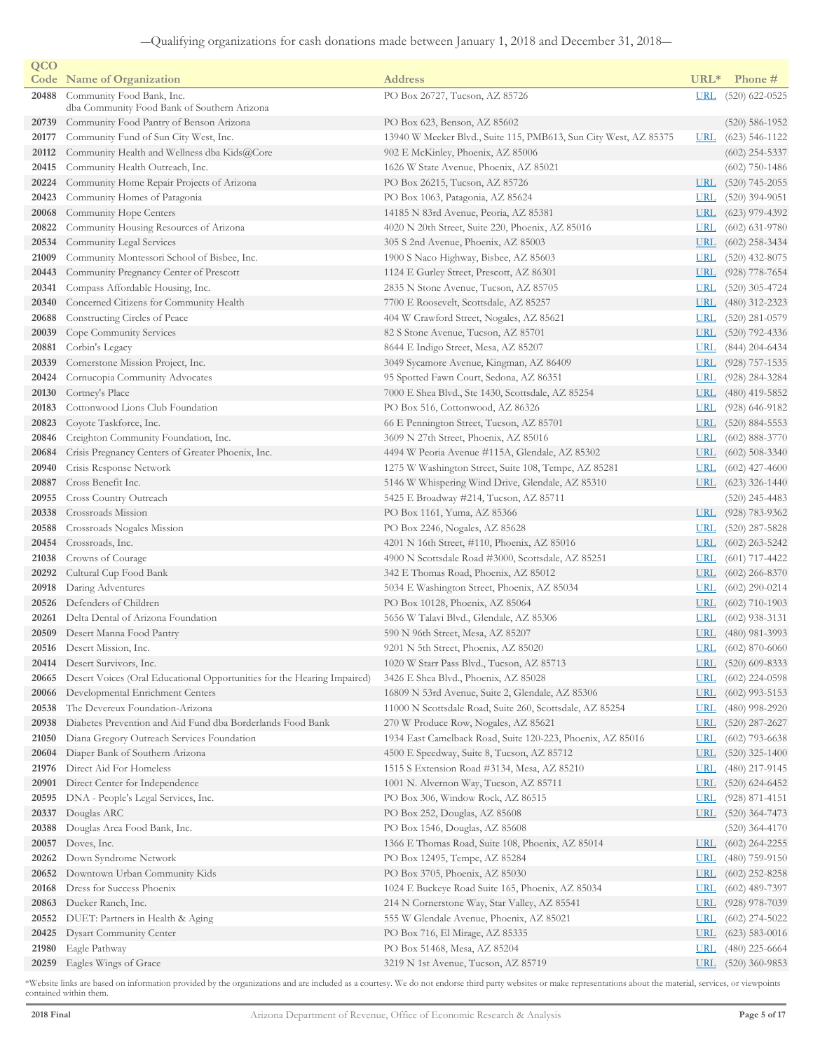| QCO   |                                                                          |                                                                  |            |                    |
|-------|--------------------------------------------------------------------------|------------------------------------------------------------------|------------|--------------------|
|       | <b>Code</b> Name of Organization                                         | <b>Address</b>                                                   | $URL*$     | Phone #            |
| 20488 | Community Food Bank, Inc.<br>dba Community Food Bank of Southern Arizona | PO Box 26727, Tucson, AZ 85726                                   | <b>URL</b> | $(520)$ 622-0525   |
| 20739 | Community Food Pantry of Benson Arizona                                  | PO Box 623, Benson, AZ 85602                                     |            | $(520) 586 - 1952$ |
| 20177 | Community Fund of Sun City West, Inc.                                    | 13940 W Meeker Blvd., Suite 115, PMB613, Sun City West, AZ 85375 | <b>URL</b> | $(623)$ 546-1122   |
| 20112 | Community Health and Wellness dba Kids@Core                              | 902 E McKinley, Phoenix, AZ 85006                                |            | $(602)$ 254-5337   |
| 20415 | Community Health Outreach, Inc.                                          | 1626 W State Avenue, Phoenix, AZ 85021                           |            | $(602)$ 750-1486   |
| 20224 | Community Home Repair Projects of Arizona                                | PO Box 26215, Tucson, AZ 85726                                   | <b>URL</b> | $(520)$ 745-2055   |
| 20423 | Community Homes of Patagonia                                             | PO Box 1063, Patagonia, AZ 85624                                 | <u>URL</u> | $(520)$ 394-9051   |
| 20068 | Community Hope Centers                                                   | 14185 N 83rd Avenue, Peoria, AZ 85381                            | <b>URL</b> | $(623)$ 979-4392   |
| 20822 | Community Housing Resources of Arizona                                   | 4020 N 20th Street, Suite 220, Phoenix, AZ 85016                 | <b>URL</b> | $(602)$ 631-9780   |
| 20534 | Community Legal Services                                                 | 305 S 2nd Avenue, Phoenix, AZ 85003                              | <b>URL</b> | $(602)$ 258-3434   |
| 21009 | Community Montessori School of Bisbee, Inc.                              | 1900 S Naco Highway, Bisbee, AZ 85603                            | <b>URL</b> | $(520)$ 432-8075   |
| 20443 | Community Pregnancy Center of Prescott                                   | 1124 E Gurley Street, Prescott, AZ 86301                         | <b>URL</b> | $(928)$ 778-7654   |
| 20341 | Compass Affordable Housing, Inc.                                         | 2835 N Stone Avenue, Tucson, AZ 85705                            | <b>URL</b> | $(520)$ 305-4724   |
| 20340 | Concerned Citizens for Community Health                                  | 7700 E Roosevelt, Scottsdale, AZ 85257                           | <b>URL</b> | $(480)$ 312-2323   |
| 20688 | Constructing Circles of Peace                                            | 404 W Crawford Street, Nogales, AZ 85621                         | <b>URL</b> | $(520)$ 281-0579   |
| 20039 | Cope Community Services                                                  | 82 S Stone Avenue, Tucson, AZ 85701                              | <b>URL</b> | $(520)$ 792-4336   |
| 20881 | Corbin's Legacy                                                          | 8644 E Indigo Street, Mesa, AZ 85207                             | <b>URL</b> | $(844)$ 204-6434   |
| 20339 | Cornerstone Mission Project, Inc.                                        | 3049 Sycamore Avenue, Kingman, AZ 86409                          | <u>URL</u> | $(928)$ 757-1535   |
| 20424 | Cornucopia Community Advocates                                           | 95 Spotted Fawn Court, Sedona, AZ 86351                          | <b>URL</b> | $(928)$ 284-3284   |
| 20130 | Cortney's Place                                                          | 7000 E Shea Blvd., Ste 1430, Scottsdale, AZ 85254                | <u>URL</u> | $(480)$ 419-5852   |
| 20183 | Cottonwood Lions Club Foundation                                         | PO Box 516, Cottonwood, AZ 86326                                 | <u>URL</u> | $(928)$ 646-9182   |
| 20823 | Coyote Taskforce, Inc.                                                   | 66 E Pennington Street, Tucson, AZ 85701                         | <b>URL</b> | $(520)$ 884-5553   |
| 20846 | Creighton Community Foundation, Inc.                                     | 3609 N 27th Street, Phoenix, AZ 85016                            | <u>URL</u> | $(602)$ 888-3770   |
| 20684 | Crisis Pregnancy Centers of Greater Phoenix, Inc.                        | 4494 W Peoria Avenue #115A, Glendale, AZ 85302                   | <b>URL</b> | $(602)$ 508-3340   |
| 20940 | Crisis Response Network                                                  | 1275 W Washington Street, Suite 108, Tempe, AZ 85281             | <b>URL</b> | $(602)$ 427-4600   |
| 20887 | Cross Benefit Inc.                                                       | 5146 W Whispering Wind Drive, Glendale, AZ 85310                 | <u>URL</u> | $(623)$ 326-1440   |
| 20955 | Cross Country Outreach                                                   | 5425 E Broadway #214, Tucson, AZ 85711                           |            | $(520)$ 245-4483   |
| 20338 | Crossroads Mission                                                       | PO Box 1161, Yuma, AZ 85366                                      | <u>URL</u> | $(928) 783 - 9362$ |
| 20588 | Crossroads Nogales Mission                                               | PO Box 2246, Nogales, AZ 85628                                   | <b>URL</b> | $(520)$ 287-5828   |
| 20454 | Crossroads, Inc.                                                         | 4201 N 16th Street, #110, Phoenix, AZ 85016                      | <b>URL</b> | $(602)$ 263-5242   |
| 21038 | Crowns of Courage                                                        | 4900 N Scottsdale Road #3000, Scottsdale, AZ 85251               | <u>URL</u> | $(601)$ 717-4422   |
| 20292 | Cultural Cup Food Bank                                                   | 342 E Thomas Road, Phoenix, AZ 85012                             | <u>URL</u> | $(602)$ 266-8370   |
| 20918 | Daring Adventures                                                        | 5034 E Washington Street, Phoenix, AZ 85034                      | <u>URL</u> | $(602)$ 290-0214   |
| 20526 | Defenders of Children                                                    | PO Box 10128, Phoenix, AZ 85064                                  | <u>URL</u> | $(602)$ 710-1903   |
| 20261 | Delta Dental of Arizona Foundation                                       | 5656 W Talavi Blvd., Glendale, AZ 85306                          | <b>URL</b> | $(602)$ 938-3131   |
|       | 20509 Desert Manna Food Pantry                                           | 590 N 96th Street, Mesa, AZ 85207                                | <b>URL</b> | $(480)$ 981-3993   |
|       | 20516 Desert Mission, Inc.                                               | 9201 N 5th Street, Phoenix, AZ 85020                             | <b>URL</b> | $(602)$ 870-6060   |
|       | 20414 Desert Survivors, Inc.                                             | 1020 W Starr Pass Blvd., Tucson, AZ 85713                        |            | URL (520) 609-8333 |
| 20665 | Desert Voices (Oral Educational Opportunities for the Hearing Impaired)  | 3426 E Shea Blvd., Phoenix, AZ 85028                             | <u>URL</u> | $(602)$ 224-0598   |
| 20066 | Developmental Enrichment Centers                                         | 16809 N 53rd Avenue, Suite 2, Glendale, AZ 85306                 | <b>URL</b> | $(602)$ 993-5153   |
| 20538 | The Devereux Foundation-Arizona                                          | 11000 N Scottsdale Road, Suite 260, Scottsdale, AZ 85254         | <u>URL</u> | $(480)$ 998-2920   |
| 20938 | Diabetes Prevention and Aid Fund dba Borderlands Food Bank               | 270 W Produce Row, Nogales, AZ 85621                             | <b>URL</b> | $(520)$ 287-2627   |
| 21050 | Diana Gregory Outreach Services Foundation                               | 1934 East Camelback Road, Suite 120-223, Phoenix, AZ 85016       | <u>URL</u> | $(602)$ 793-6638   |
| 20604 | Diaper Bank of Southern Arizona                                          | 4500 E Speedway, Suite 8, Tucson, AZ 85712                       | <u>URL</u> | $(520)$ 325-1400   |
|       | 21976 Direct Aid For Homeless                                            | 1515 S Extension Road #3134, Mesa, AZ 85210                      | <b>URL</b> | $(480)$ 217-9145   |
| 20901 | Direct Center for Independence                                           | 1001 N. Alvernon Way, Tucson, AZ 85711                           | <u>URL</u> | $(520)$ 624-6452   |
| 20595 | DNA - People's Legal Services, Inc.                                      | PO Box 306, Window Rock, AZ 86515                                | <u>URL</u> | $(928)$ 871-4151   |
| 20337 | Douglas ARC                                                              | PO Box 252, Douglas, AZ 85608                                    | <b>URL</b> | $(520)$ 364-7473   |
| 20388 | Douglas Area Food Bank, Inc.                                             | PO Box 1546, Douglas, AZ 85608                                   |            | $(520)$ 364-4170   |
|       | 20057 Doves, Inc.                                                        | 1366 E Thomas Road, Suite 108, Phoenix, AZ 85014                 | <b>URL</b> | $(602)$ 264-2255   |
| 20262 | Down Syndrome Network                                                    | PO Box 12495, Tempe, AZ 85284                                    | <u>URL</u> | $(480)$ 759-9150   |
| 20652 | Downtown Urban Community Kids                                            | PO Box 3705, Phoenix, AZ 85030                                   | <b>URL</b> | $(602)$ 252-8258   |
| 20168 | Dress for Success Phoenix                                                | 1024 E Buckeye Road Suite 165, Phoenix, AZ 85034                 | <u>URL</u> | $(602)$ 489-7397   |
|       | 20863 Dueker Ranch, Inc.                                                 | 214 N Cornerstone Way, Star Valley, AZ 85541                     | <b>URL</b> | $(928)$ 978-7039   |
| 20552 | DUET: Partners in Health & Aging                                         | 555 W Glendale Avenue, Phoenix, AZ 85021                         | <b>URL</b> | $(602)$ 274-5022   |
| 20425 | <b>Dysart Community Center</b>                                           | PO Box 716, El Mirage, AZ 85335                                  | <b>URL</b> | $(623)$ 583-0016   |
| 21980 | Eagle Pathway                                                            | PO Box 51468, Mesa, AZ 85204                                     | <b>URL</b> | $(480)$ 225-6664   |
| 20259 | Eagles Wings of Grace                                                    | 3219 N 1st Avenue, Tucson, AZ 85719                              |            | URL (520) 360-9853 |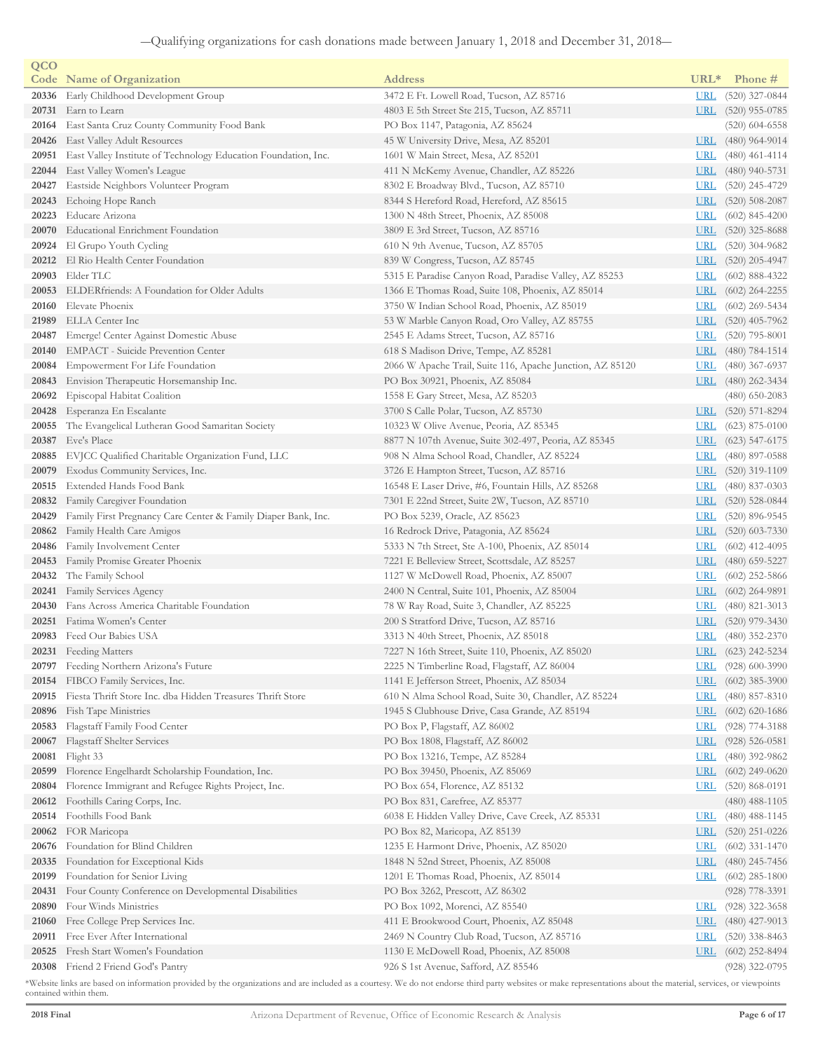| QCO   |                                                                |                                                           |                  |                      |
|-------|----------------------------------------------------------------|-----------------------------------------------------------|------------------|----------------------|
|       | <b>Code</b> Name of Organization                               | <b>Address</b>                                            | URL <sup>*</sup> | Phone #              |
| 20336 | Early Childhood Development Group                              | 3472 E Ft. Lowell Road, Tucson, AZ 85716                  | <b>URL</b>       | $(520)$ 327-0844     |
| 20731 | Earn to Learn                                                  | 4803 E 5th Street Ste 215, Tucson, AZ 85711               | URL              | $(520)$ 955-0785     |
| 20164 | East Santa Cruz County Community Food Bank                     | PO Box 1147, Patagonia, AZ 85624                          |                  | $(520)$ 604-6558     |
| 20426 | <b>East Valley Adult Resources</b>                             | 45 W University Drive, Mesa, AZ 85201                     | <b>URL</b>       | $(480)$ 964-9014     |
| 20951 | East Valley Institute of Technology Education Foundation, Inc. | 1601 W Main Street, Mesa, AZ 85201                        | <b>URL</b>       | $(480)$ 461-4114     |
| 22044 | East Valley Women's League                                     | 411 N McKemy Avenue, Chandler, AZ 85226                   | <b>URL</b>       | $(480)$ 940-5731     |
| 20427 | Eastside Neighbors Volunteer Program                           | 8302 E Broadway Blvd., Tucson, AZ 85710                   | <u>URL</u>       | $(520)$ 245-4729     |
| 20243 | Echoing Hope Ranch                                             | 8344 S Hereford Road, Hereford, AZ 85615                  | <b>URL</b>       | $(520)$ 508-2087     |
| 20223 | Educare Arizona                                                | 1300 N 48th Street, Phoenix, AZ 85008                     | URL              | $(602)$ 845-4200     |
| 20070 | Educational Enrichment Foundation                              | 3809 E 3rd Street, Tucson, AZ 85716                       | URL              | $(520)$ 325-8688     |
| 20924 | El Grupo Youth Cycling                                         | 610 N 9th Avenue, Tucson, AZ 85705                        | <b>URL</b>       | $(520)$ 304-9682     |
| 20212 | El Rio Health Center Foundation                                | 839 W Congress, Tucson, AZ 85745                          | URL              | $(520)$ 205-4947     |
| 20903 | Elder TLC                                                      | 5315 E Paradise Canyon Road, Paradise Valley, AZ 85253    | <b>URL</b>       | $(602)$ 888-4322     |
| 20053 | ELDERfriends: A Foundation for Older Adults                    | 1366 E Thomas Road, Suite 108, Phoenix, AZ 85014          | <b>URL</b>       | $(602)$ 264-2255     |
| 20160 | Elevate Phoenix                                                | 3750 W Indian School Road, Phoenix, AZ 85019              | <b>URL</b>       | $(602)$ 269-5434     |
| 21989 | ELLA Center Inc                                                | 53 W Marble Canyon Road, Oro Valley, AZ 85755             | <b>URL</b>       | $(520)$ 405-7962     |
| 20487 | Emerge! Center Against Domestic Abuse                          | 2545 E Adams Street, Tucson, AZ 85716                     | <u>URL</u>       | $(520)$ 795-8001     |
| 20140 | <b>EMPACT</b> - Suicide Prevention Center                      | 618 S Madison Drive, Tempe, AZ 85281                      | <b>URL</b>       | $(480)$ 784-1514     |
| 20084 | Empowerment For Life Foundation                                | 2066 W Apache Trail, Suite 116, Apache Junction, AZ 85120 | <u>URL</u>       | $(480)$ 367-6937     |
| 20843 | Envision Therapeutic Horsemanship Inc.                         | PO Box 30921, Phoenix, AZ 85084                           |                  | URL $(480)$ 262-3434 |
| 20692 | Episcopal Habitat Coalition                                    | 1558 E Gary Street, Mesa, AZ 85203                        |                  | $(480)$ 650-2083     |
| 20428 | Esperanza En Escalante                                         | 3700 S Calle Polar, Tucson, AZ 85730                      | <b>URL</b>       | $(520)$ 571-8294     |
| 20055 | The Evangelical Lutheran Good Samaritan Society                | 10323 W Olive Avenue, Peoria, AZ 85345                    | <u>URL</u>       | $(623)$ 875-0100     |
| 20387 | Eve's Place                                                    | 8877 N 107th Avenue, Suite 302-497, Peoria, AZ 85345      | <u>URL</u>       | $(623)$ 547-6175     |
| 20885 | EVJCC Qualified Charitable Organization Fund, LLC              | 908 N Alma School Road, Chandler, AZ 85224                | <u>URL</u>       | $(480)$ 897-0588     |
| 20079 | Exodus Community Services, Inc.                                | 3726 E Hampton Street, Tucson, AZ 85716                   | <b>URL</b>       | $(520)$ 319-1109     |
| 20515 | Extended Hands Food Bank                                       | 16548 E Laser Drive, #6, Fountain Hills, AZ 85268         | <u>URL</u>       | $(480)$ 837-0303     |
| 20832 | Family Caregiver Foundation                                    | 7301 E 22nd Street, Suite 2W, Tucson, AZ 85710            | <u>URL</u>       | $(520)$ 528-0844     |
| 20429 | Family First Pregnancy Care Center & Family Diaper Bank, Inc.  | PO Box 5239, Oracle, AZ 85623                             | <u>URL</u>       | $(520)$ 896-9545     |
| 20862 | Family Health Care Amigos                                      | 16 Redrock Drive, Patagonia, AZ 85624                     | <u>URL</u>       | $(520)$ 603-7330     |
| 20486 | Family Involvement Center                                      | 5333 N 7th Street, Ste A-100, Phoenix, AZ 85014           | <b>URL</b>       | $(602)$ 412-4095     |
| 20453 | Family Promise Greater Phoenix                                 | 7221 E Belleview Street, Scottsdale, AZ 85257             | <u>URL</u>       | $(480)$ 659-5227     |
| 20432 | The Family School                                              | 1127 W McDowell Road, Phoenix, AZ 85007                   | <u>URL</u>       | $(602)$ 252-5866     |
| 20241 | Family Services Agency                                         | 2400 N Central, Suite 101, Phoenix, AZ 85004              | <b>URL</b>       | $(602)$ 264-9891     |
| 20430 | Fans Across America Charitable Foundation                      | 78 W Ray Road, Suite 3, Chandler, AZ 85225                | URL              | $(480)$ 821-3013     |
| 20251 | Fatima Women's Center                                          | 200 S Stratford Drive, Tucson, AZ 85716                   | <u>URL</u>       | $(520)$ 979-3430     |
| 20983 | Feed Our Babies USA                                            | 3313 N 40th Street, Phoenix, AZ 85018                     | <u>URL</u>       | $(480)$ 352-2370     |
|       | 20231 Feeding Matters                                          | 7227 N 16th Street, Suite 110, Phoenix, AZ 85020          | <b>URL</b>       | $(623)$ 242-5234     |
|       | 20797 Feeding Northern Arizona's Future                        | 2225 N Timberline Road, Flagstaff, AZ 86004               | <u>URL</u>       | $(928)$ 600-3990     |
| 20154 | FIBCO Family Services, Inc.                                    | 1141 E Jefferson Street, Phoenix, AZ 85034                | <b>URL</b>       | $(602)$ 385-3900     |
| 20915 | Fiesta Thrift Store Inc. dba Hidden Treasures Thrift Store     | 610 N Alma School Road, Suite 30, Chandler, AZ 85224      | <b>URL</b>       | $(480)$ 857-8310     |
| 20896 | Fish Tape Ministries                                           | 1945 S Clubhouse Drive, Casa Grande, AZ 85194             | <b>URL</b>       | $(602)$ 620-1686     |
| 20583 | Flagstaff Family Food Center                                   | PO Box P, Flagstaff, AZ 86002                             | <b>URL</b>       | $(928)$ 774-3188     |
| 20067 | Flagstaff Shelter Services                                     | PO Box 1808, Flagstaff, AZ 86002                          | <b>URL</b>       | $(928) 526 - 0581$   |
| 20081 | Flight 33                                                      | PO Box 13216, Tempe, AZ 85284                             | <b>URL</b>       | $(480)$ 392-9862     |
| 20599 | Florence Engelhardt Scholarship Foundation, Inc.               | PO Box 39450, Phoenix, AZ 85069                           | <b>URL</b>       | $(602)$ 249-0620     |
| 20804 | Florence Immigrant and Refugee Rights Project, Inc.            | PO Box 654, Florence, AZ 85132                            | URL              | $(520)$ 868-0191     |
| 20612 | Foothills Caring Corps, Inc.                                   | PO Box 831, Carefree, AZ 85377                            |                  | $(480)$ 488-1105     |
| 20514 | Foothills Food Bank                                            | 6038 E Hidden Valley Drive, Cave Creek, AZ 85331          | <b>URL</b>       | $(480)$ 488-1145     |
| 20062 | FOR Maricopa                                                   | PO Box 82, Maricopa, AZ 85139                             | <u>URL</u>       | $(520)$ 251-0226     |
| 20676 | Foundation for Blind Children                                  | 1235 E Harmont Drive, Phoenix, AZ 85020                   | <b>URL</b>       | $(602)$ 331-1470     |
| 20335 | Foundation for Exceptional Kids                                | 1848 N 52nd Street, Phoenix, AZ 85008                     | <b>URL</b>       | $(480)$ 245-7456     |
| 20199 | Foundation for Senior Living                                   | 1201 E Thomas Road, Phoenix, AZ 85014                     | <u>URL</u>       | $(602)$ 285-1800     |
| 20431 | Four County Conference on Developmental Disabilities           | PO Box 3262, Prescott, AZ 86302                           |                  | $(928)$ 778-3391     |
| 20890 | Four Winds Ministries                                          | PO Box 1092, Morenci, AZ 85540                            | <b>URL</b>       | $(928)$ 322-3658     |
| 21060 | Free College Prep Services Inc.                                | 411 E Brookwood Court, Phoenix, AZ 85048                  | <b>URL</b>       | $(480)$ 427-9013     |
| 20911 | Free Ever After International                                  | 2469 N Country Club Road, Tucson, AZ 85716                | <b>URL</b>       | $(520)$ 338-8463     |
| 20525 | Fresh Start Women's Foundation                                 | 1130 E McDowell Road, Phoenix, AZ 85008                   | <b>URL</b>       | $(602)$ 252-8494     |
| 20308 | Friend 2 Friend God's Pantry                                   | 926 S 1st Avenue, Safford, AZ 85546                       |                  | $(928)$ 322-0795     |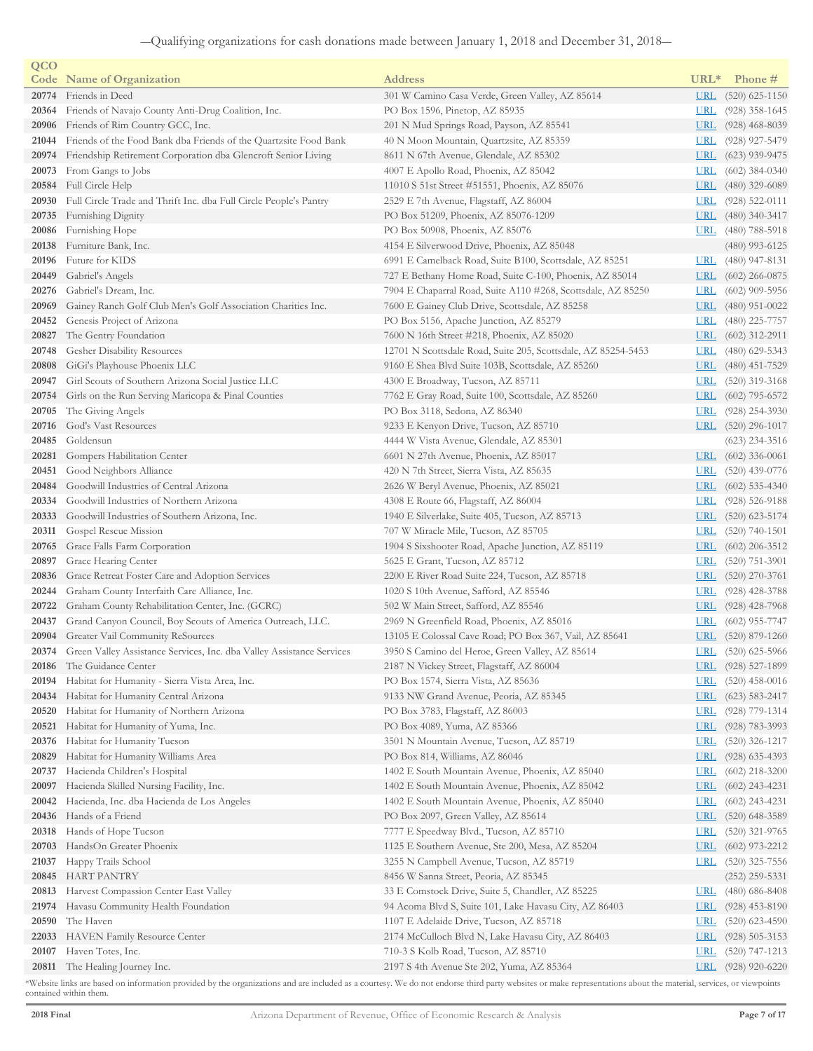| QCO            |                                                                                                  |                                                                                 |                          |                                      |
|----------------|--------------------------------------------------------------------------------------------------|---------------------------------------------------------------------------------|--------------------------|--------------------------------------|
|                | <b>Code</b> Name of Organization                                                                 | <b>Address</b>                                                                  | URL <sup>*</sup>         | Phone #                              |
| 20774          | Friends in Deed                                                                                  | 301 W Camino Casa Verde, Green Valley, AZ 85614                                 | <u>URL</u>               | $(520)$ 625-1150                     |
| 20364          | Friends of Navajo County Anti-Drug Coalition, Inc.                                               | PO Box 1596, Pinetop, AZ 85935                                                  | <u>URL</u>               | $(928)$ 358-1645                     |
| 20906          | Friends of Rim Country GCC, Inc.                                                                 | 201 N Mud Springs Road, Payson, AZ 85541                                        | <u>URL</u>               | $(928)$ 468-8039                     |
| 21044          | Friends of the Food Bank dba Friends of the Quartzsite Food Bank                                 | 40 N Moon Mountain, Quartzsite, AZ 85359                                        | <u>URL</u>               | (928) 927-5479                       |
| 20974          | Friendship Retirement Corporation dba Glencroft Senior Living                                    | 8611 N 67th Avenue, Glendale, AZ 85302                                          | <u>URL</u>               | $(623)$ 939-9475                     |
| 20073          | From Gangs to Jobs                                                                               | 4007 E Apollo Road, Phoenix, AZ 85042                                           | <u>URL</u>               | $(602)$ 384-0340                     |
| 20584          | Full Circle Help                                                                                 | 11010 S 51st Street #51551, Phoenix, AZ 85076                                   | <u>URL</u>               | $(480)$ 329-6089                     |
| 20930          | Full Circle Trade and Thrift Inc. dba Full Circle People's Pantry                                | 2529 E 7th Avenue, Flagstaff, AZ 86004                                          | <u>URL</u>               | $(928)$ 522-0111                     |
| 20735          | Furnishing Dignity                                                                               | PO Box 51209, Phoenix, AZ 85076-1209                                            | <u>URL</u>               | $(480)$ 340-3417                     |
| 20086          | Furnishing Hope                                                                                  | PO Box 50908, Phoenix, AZ 85076                                                 | <u>URL</u>               | $(480)$ 788-5918                     |
| 20138          | Furniture Bank, Inc.                                                                             | 4154 E Silverwood Drive, Phoenix, AZ 85048                                      |                          | (480) 993-6125                       |
| 20196          | Future for KIDS                                                                                  | 6991 E Camelback Road, Suite B100, Scottsdale, AZ 85251                         | <u>URL</u>               | $(480)$ 947-8131                     |
| 20449          | Gabriel's Angels                                                                                 | 727 E Bethany Home Road, Suite C-100, Phoenix, AZ 85014                         | <u>URL</u>               | $(602)$ 266-0875                     |
| 20276          | Gabriel's Dream, Inc.                                                                            | 7904 E Chaparral Road, Suite A110 #268, Scottsdale, AZ 85250                    | <u>URL</u>               | $(602)$ 909-5956                     |
| 20969          | Gainey Ranch Golf Club Men's Golf Association Charities Inc.                                     | 7600 E Gainey Club Drive, Scottsdale, AZ 85258                                  | <u>URL</u>               | $(480)$ 951-0022                     |
| 20452          | Genesis Project of Arizona                                                                       | PO Box 5156, Apache Junction, AZ 85279                                          | <u>URL</u>               | $(480)$ 225-7757                     |
| 20827          | The Gentry Foundation                                                                            | 7600 N 16th Street #218, Phoenix, AZ 85020                                      | <u>URL</u>               | $(602)$ 312-2911                     |
| 20748          | Gesher Disability Resources                                                                      | 12701 N Scottsdale Road, Suite 205, Scottsdale, AZ 85254-5453                   | <u>URL</u>               | $(480)$ 629-5343                     |
| 20808          | GiGi's Playhouse Phoenix LLC                                                                     | 9160 E Shea Blvd Suite 103B, Scottsdale, AZ 85260                               | <u>URL</u>               | $(480)$ 451-7529                     |
| 20947          | Girl Scouts of Southern Arizona Social Justice LLC                                               | 4300 E Broadway, Tucson, AZ 85711                                               | <u>URL</u>               | $(520)$ 319-3168                     |
| 20754          | Girls on the Run Serving Maricopa & Pinal Counties                                               | 7762 E Gray Road, Suite 100, Scottsdale, AZ 85260                               | <u>URL</u>               | $(602)$ 795-6572                     |
| 20705          | The Giving Angels                                                                                | PO Box 3118, Sedona, AZ 86340                                                   | <u>URL</u>               | $(928)$ 254-3930                     |
| 20716          | God's Vast Resources                                                                             | 9233 E Kenyon Drive, Tucson, AZ 85710                                           | <u>URL</u>               | $(520)$ 296-1017                     |
| 20485          | Goldensun                                                                                        | 4444 W Vista Avenue, Glendale, AZ 85301                                         |                          | $(623)$ 234-3516                     |
| 20281          | Gompers Habilitation Center                                                                      | 6601 N 27th Avenue, Phoenix, AZ 85017                                           | $URL$                    | $(602)$ 336-0061                     |
| 20451          | Good Neighbors Alliance                                                                          | 420 N 7th Street, Sierra Vista, AZ 85635                                        | <u>URL</u>               | $(520)$ 439-0776                     |
| 20484          | Goodwill Industries of Central Arizona                                                           | 2626 W Beryl Avenue, Phoenix, AZ 85021                                          | <u>URL</u>               | $(602)$ 535-4340                     |
| 20334          | Goodwill Industries of Northern Arizona                                                          | 4308 E Route 66, Flagstaff, AZ 86004                                            | <u>URL</u>               | $(928)$ 526-9188                     |
| 20333          | Goodwill Industries of Southern Arizona, Inc.                                                    | 1940 E Silverlake, Suite 405, Tucson, AZ 85713                                  | <u>URL</u>               | $(520)$ 623-5174                     |
| 20311          | Gospel Rescue Mission                                                                            | 707 W Miracle Mile, Tucson, AZ 85705                                            | <b>URL</b>               | $(520)$ 740-1501                     |
| 20765<br>20897 | Grace Falls Farm Corporation                                                                     | 1904 S Sixshooter Road, Apache Junction, AZ 85119                               | <u>URL</u><br><b>URL</b> | $(602)$ 206-3512                     |
| 20836          | Grace Hearing Center<br>Grace Retreat Foster Care and Adoption Services                          | 5625 E Grant, Tucson, AZ 85712<br>2200 E River Road Suite 224, Tucson, AZ 85718 | URL                      | $(520)$ 751-3901                     |
| 20244          |                                                                                                  |                                                                                 | <u>URL</u>               | $(520)$ 270-3761<br>$(928)$ 428-3788 |
| 20722          | Graham County Interfaith Care Alliance, Inc.<br>Graham County Rehabilitation Center, Inc. (GCRC) | 1020 S 10th Avenue, Safford, AZ 85546<br>502 W Main Street, Safford, AZ 85546   | <u>URL</u>               | $(928)$ 428-7968                     |
| 20437          | Grand Canyon Council, Boy Scouts of America Outreach, LLC.                                       | 2969 N Greenfield Road, Phoenix, AZ 85016                                       | <u>URL</u>               | $(602)$ 955-7747                     |
| 20904          | Greater Vail Community ReSources                                                                 | 13105 E Colossal Cave Road; PO Box 367, Vail, AZ 85641                          | <u>URL</u>               | $(520)$ 879-1260                     |
|                | <b>20374</b> Green Valley Assistance Services, Inc. dba Valley Assistance Services               | 3950 S Camino del Heroe, Green Valley, AZ 85614                                 | <u>URL</u>               | $(520)$ 625-5966                     |
|                | 20186 The Guidance Center                                                                        | 2187 N Vickey Street, Flagstaff, AZ 86004                                       | URL                      | $(928)$ 527-1899                     |
| 20194          | Habitat for Humanity - Sierra Vista Area, Inc.                                                   | PO Box 1574, Sierra Vista, AZ 85636                                             | <u>URL</u>               | $(520)$ 458-0016                     |
| 20434          | Habitat for Humanity Central Arizona                                                             | 9133 NW Grand Avenue, Peoria, AZ 85345                                          | <b>URL</b>               | $(623)$ 583-2417                     |
| 20520          | Habitat for Humanity of Northern Arizona                                                         | PO Box 3783, Flagstaff, AZ 86003                                                | <b>URL</b>               | $(928)$ 779-1314                     |
| 20521          | Habitat for Humanity of Yuma, Inc.                                                               | PO Box 4089, Yuma, AZ 85366                                                     | <b>URL</b>               | $(928) 783 - 3993$                   |
| 20376          | Habitat for Humanity Tucson                                                                      | 3501 N Mountain Avenue, Tucson, AZ 85719                                        | <b>URL</b>               | $(520)$ 326-1217                     |
| 20829          | Habitat for Humanity Williams Area                                                               | PO Box 814, Williams, AZ 86046                                                  | <u>URL</u>               | $(928)$ 635-4393                     |
| 20737          | Hacienda Children's Hospital                                                                     | 1402 E South Mountain Avenue, Phoenix, AZ 85040                                 | <b>URL</b>               | $(602)$ 218-3200                     |
| 20097          | Hacienda Skilled Nursing Facility, Inc.                                                          | 1402 E South Mountain Avenue, Phoenix, AZ 85042                                 | <u>URL</u>               | $(602)$ 243-4231                     |
| 20042          | Hacienda, Inc. dba Hacienda de Los Angeles                                                       | 1402 E South Mountain Avenue, Phoenix, AZ 85040                                 | <b>URL</b>               | $(602)$ 243-4231                     |
| 20436          | Hands of a Friend                                                                                | PO Box 2097, Green Valley, AZ 85614                                             | <u>URL</u>               | $(520)$ 648-3589                     |
| 20318          | Hands of Hope Tucson                                                                             | 7777 E Speedway Blvd., Tucson, AZ 85710                                         | <b>URL</b>               | $(520)$ 321-9765                     |
| 20703          | HandsOn Greater Phoenix                                                                          | 1125 E Southern Avenue, Ste 200, Mesa, AZ 85204                                 | <u>URL</u>               | $(602)$ 973-2212                     |
| 21037          | Happy Trails School                                                                              | 3255 N Campbell Avenue, Tucson, AZ 85719                                        | <b>URL</b>               | $(520)$ 325-7556                     |
| 20845          | HART PANTRY                                                                                      | 8456 W Sanna Street, Peoria, AZ 85345                                           |                          | (252) 259-5331                       |
| 20813          | Harvest Compassion Center East Valley                                                            | 33 E Comstock Drive, Suite 5, Chandler, AZ 85225                                | <u>URL</u>               | $(480)$ 686-8408                     |
| 21974          | Havasu Community Health Foundation                                                               | 94 Acoma Blvd S, Suite 101, Lake Havasu City, AZ 86403                          | <b>URL</b>               | $(928)$ 453-8190                     |
| 20590          | The Haven                                                                                        | 1107 E Adelaide Drive, Tucson, AZ 85718                                         | <b>URL</b>               | $(520)$ 623-4590                     |
| 22033          | <b>HAVEN</b> Family Resource Center                                                              | 2174 McCulloch Blvd N, Lake Havasu City, AZ 86403                               | <u>URL</u>               | $(928)$ 505-3153                     |
| 20107          | Haven Totes, Inc.                                                                                | 710-3 S Kolb Road, Tucson, AZ 85710                                             | <b>URL</b>               | $(520)$ 747-1213                     |
| 20811          | The Healing Journey Inc.                                                                         | 2197 S 4th Avenue Ste 202, Yuma, AZ 85364                                       | <b>URL</b>               | $(928)$ 920-6220                     |
|                |                                                                                                  |                                                                                 |                          |                                      |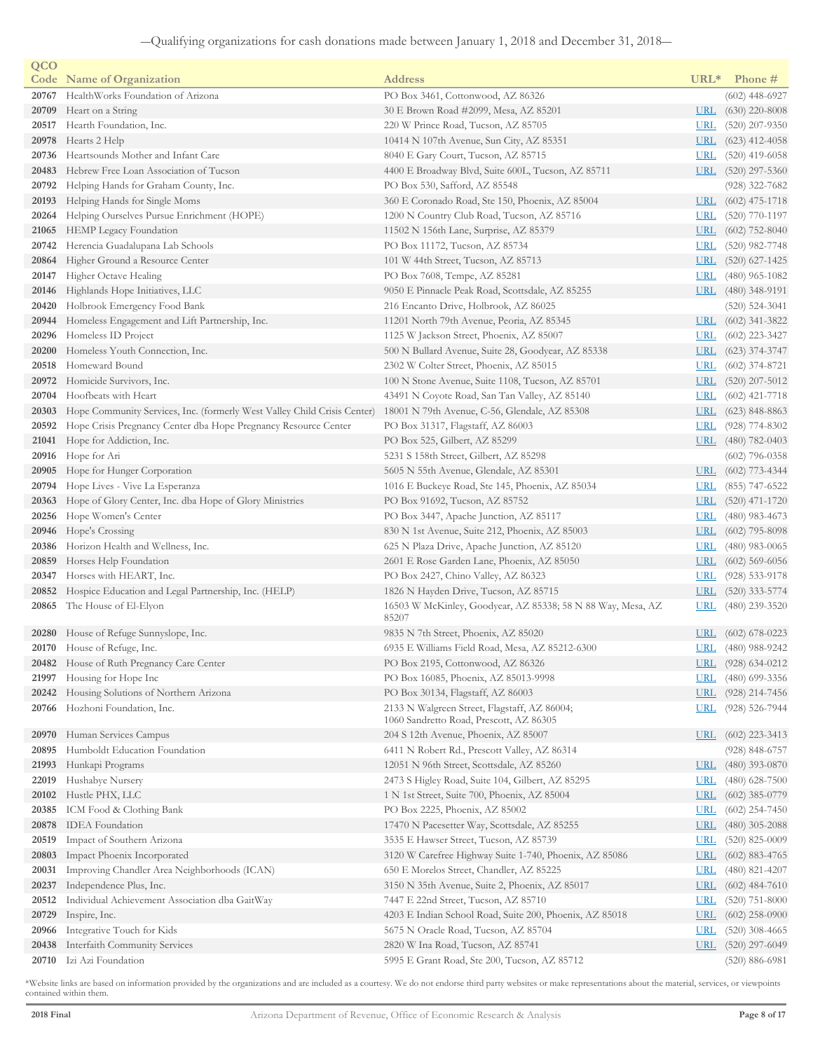| QCO   |                                                                          |                                                                                         |            |                        |
|-------|--------------------------------------------------------------------------|-----------------------------------------------------------------------------------------|------------|------------------------|
|       | <b>Code</b> Name of Organization                                         | <b>Address</b>                                                                          | $URL*$     | Phone #                |
|       | 20767 HealthWorks Foundation of Arizona                                  | PO Box 3461, Cottonwood, AZ 86326                                                       |            | $(602)$ 448-6927       |
| 20709 | Heart on a String                                                        | 30 E Brown Road #2099, Mesa, AZ 85201                                                   | <u>URL</u> | $(630)$ 220-8008       |
| 20517 | Hearth Foundation, Inc.                                                  | 220 W Prince Road, Tucson, AZ 85705                                                     | <b>URL</b> | $(520)$ 207-9350       |
| 20978 | Hearts 2 Help                                                            | 10414 N 107th Avenue, Sun City, AZ 85351                                                | <b>URL</b> | $(623)$ 412-4058       |
| 20736 | Heartsounds Mother and Infant Care                                       | 8040 E Gary Court, Tucson, AZ 85715                                                     | <u>URL</u> | $(520)$ 419-6058       |
| 20483 | Hebrew Free Loan Association of Tucson                                   | 4400 E Broadway Blvd, Suite 600L, Tucson, AZ 85711                                      |            | URL (520) 297-5360     |
| 20792 | Helping Hands for Graham County, Inc.                                    | PO Box 530, Safford, AZ 85548                                                           |            | $(928)$ 322-7682       |
| 20193 | Helping Hands for Single Moms                                            | 360 E Coronado Road, Ste 150, Phoenix, AZ 85004                                         | <u>URL</u> | $(602)$ 475-1718       |
| 20264 | Helping Ourselves Pursue Enrichment (HOPE)                               | 1200 N Country Club Road, Tucson, AZ 85716                                              | <u>URL</u> | $(520)$ 770-1197       |
| 21065 | HEMP Legacy Foundation                                                   | 11502 N 156th Lane, Surprise, AZ 85379                                                  | URL        | $(602)$ 752-8040       |
| 20742 | Herencia Guadalupana Lab Schools                                         | PO Box 11172, Tucson, AZ 85734                                                          | <u>URL</u> | $(520)$ 982-7748       |
| 20864 | Higher Ground a Resource Center                                          | 101 W 44th Street, Tucson, AZ 85713                                                     |            | URL (520) 627-1425     |
| 20147 | Higher Octave Healing                                                    | PO Box 7608, Tempe, AZ 85281                                                            | <b>URL</b> | $(480)$ 965-1082       |
| 20146 | Highlands Hope Initiatives, LLC                                          | 9050 E Pinnacle Peak Road, Scottsdale, AZ 85255                                         |            | URL $(480)$ 348-9191   |
| 20420 | Holbrook Emergency Food Bank                                             | 216 Encanto Drive, Holbrook, AZ 86025                                                   |            | $(520)$ 524-3041       |
| 20944 | Homeless Engagement and Lift Partnership, Inc.                           | 11201 North 79th Avenue, Peoria, AZ 85345                                               | <u>URL</u> | $(602)$ 341-3822       |
| 20296 | Homeless ID Project                                                      | 1125 W Jackson Street, Phoenix, AZ 85007                                                | <u>URL</u> | $(602)$ 223-3427       |
| 20200 | Homeless Youth Connection, Inc.                                          | 500 N Bullard Avenue, Suite 28, Goodyear, AZ 85338                                      | URL        | $(623)$ 374-3747       |
| 20518 | Homeward Bound                                                           | 2302 W Colter Street, Phoenix, AZ 85015                                                 | <b>URL</b> | $(602)$ 374-8721       |
|       | 20972 Homicide Survivors, Inc.                                           | 100 N Stone Avenue, Suite 1108, Tucson, AZ 85701                                        | URL        | $(520)$ 207-5012       |
| 20704 | Hoofbeats with Heart                                                     | 43491 N Coyote Road, San Tan Valley, AZ 85140                                           | <b>URL</b> | $(602)$ 421-7718       |
| 20303 | Hope Community Services, Inc. (formerly West Valley Child Crisis Center) | 18001 N 79th Avenue, C-56, Glendale, AZ 85308                                           | <b>URL</b> | $(623)$ 848-8863       |
| 20592 | Hope Crisis Pregnancy Center dba Hope Pregnancy Resource Center          |                                                                                         | <b>URL</b> | $(928)$ 774-8302       |
|       | Hope for Addiction, Inc.                                                 | PO Box 31317, Flagstaff, AZ 86003                                                       |            | URL (480) 782-0403     |
| 21041 | Hope for Ari                                                             | PO Box 525, Gilbert, AZ 85299                                                           |            |                        |
| 20916 |                                                                          | 5231 S 158th Street, Gilbert, AZ 85298                                                  |            | $(602)$ 796-0358       |
| 20905 | Hope for Hunger Corporation                                              | 5605 N 55th Avenue, Glendale, AZ 85301                                                  | <b>URL</b> | $(602)$ 773-4344       |
|       | 20794 Hope Lives - Vive La Esperanza                                     | 1016 E Buckeye Road, Ste 145, Phoenix, AZ 85034                                         | <u>URL</u> | $(855)$ 747-6522       |
| 20363 | Hope of Glory Center, Inc. dba Hope of Glory Ministries                  | PO Box 91692, Tucson, AZ 85752                                                          | <b>URL</b> | $(520)$ 471-1720       |
|       | 20256 Hope Women's Center                                                | PO Box 3447, Apache Junction, AZ 85117                                                  | <b>URL</b> | $(480)$ 983-4673       |
| 20946 | Hope's Crossing                                                          | 830 N 1st Avenue, Suite 212, Phoenix, AZ 85003                                          | <u>URL</u> | $(602)$ 795-8098       |
| 20386 | Horizon Health and Wellness, Inc.                                        | 625 N Plaza Drive, Apache Junction, AZ 85120                                            | <b>URL</b> | $(480)$ 983-0065       |
| 20859 | Horses Help Foundation                                                   | 2601 E Rose Garden Lane, Phoenix, AZ 85050                                              | <b>URL</b> | $(602)$ 569-6056       |
| 20347 | Horses with HEART, Inc.                                                  | PO Box 2427, Chino Valley, AZ 86323                                                     | <b>URL</b> | $(928)$ 533-9178       |
| 20852 | Hospice Education and Legal Partnership, Inc. (HELP)                     | 1826 N Hayden Drive, Tucson, AZ 85715                                                   | <u>URL</u> | $(520)$ 333-5774       |
|       | 20865 The House of El-Elyon                                              | 16503 W McKinley, Goodyear, AZ 85338; 58 N 88 Way, Mesa, AZ<br>85207                    | <u>URL</u> | $(480)$ 239-3520       |
| 20280 | House of Refuge Sunnyslope, Inc.                                         | 9835 N 7th Street, Phoenix, AZ 85020                                                    | <u>URL</u> | $(602)$ 678-0223       |
|       | 20170 House of Refuge, Inc.                                              | 6935 E Williams Field Road, Mesa, AZ 85212-6300                                         |            | URL (480) 988-9242     |
|       | 20482 House of Ruth Pregnancy Care Center                                | PO Box 2195, Cottonwood, AZ 86326                                                       |            | URL $(928) 634 - 0212$ |
| 21997 | Housing for Hope Inc                                                     | PO Box 16085, Phoenix, AZ 85013-9998                                                    | <u>URL</u> | $(480)$ 699-3356       |
| 20242 | Housing Solutions of Northern Arizona                                    | PO Box 30134, Flagstaff, AZ 86003                                                       | <u>URL</u> | $(928)$ 214-7456       |
|       | 20766 Hozhoni Foundation, Inc.                                           | 2133 N Walgreen Street, Flagstaff, AZ 86004;<br>1060 Sandretto Road, Prescott, AZ 86305 | <u>URL</u> | $(928) 526 - 7944$     |
| 20970 | Human Services Campus                                                    | 204 S 12th Avenue, Phoenix, AZ 85007                                                    | <u>URL</u> | $(602)$ 223-3413       |
| 20895 | Humboldt Education Foundation                                            | 6411 N Robert Rd., Prescott Valley, AZ 86314                                            |            | $(928)$ 848-6757       |
| 21993 | Hunkapi Programs                                                         | 12051 N 96th Street, Scottsdale, AZ 85260                                               | <u>URL</u> | $(480)$ 393-0870       |
| 22019 | Hushabye Nursery                                                         | 2473 S Higley Road, Suite 104, Gilbert, AZ 85295                                        | <u>URL</u> | $(480)$ 628-7500       |
| 20102 | Hustle PHX, LLC                                                          | 1 N 1st Street, Suite 700, Phoenix, AZ 85004                                            | <b>URL</b> | $(602)$ 385-0779       |
| 20385 | ICM Food & Clothing Bank                                                 | PO Box 2225, Phoenix, AZ 85002                                                          | <b>URL</b> | $(602)$ 254-7450       |
| 20878 | <b>IDEA</b> Foundation                                                   | 17470 N Pacesetter Way, Scottsdale, AZ 85255                                            | <b>URL</b> | $(480)$ 305-2088       |
| 20519 | Impact of Southern Arizona                                               | 3535 E Hawser Street, Tucson, AZ 85739                                                  | <u>URL</u> | $(520)$ 825-0009       |
| 20803 | Impact Phoenix Incorporated                                              | 3120 W Carefree Highway Suite 1-740, Phoenix, AZ 85086                                  | <b>URL</b> | $(602)$ 883-4765       |
| 20031 | Improving Chandler Area Neighborhoods (ICAN)                             | 650 E Morelos Street, Chandler, AZ 85225                                                | <b>URL</b> | $(480)$ 821-4207       |
| 20237 | Independence Plus, Inc.                                                  | 3150 N 35th Avenue, Suite 2, Phoenix, AZ 85017                                          | <u>URL</u> | $(602)$ 484-7610       |
| 20512 | Individual Achievement Association dba GaitWay                           | 7447 E 22nd Street, Tucson, AZ 85710                                                    | <u>URL</u> | $(520)$ 751-8000       |
| 20729 | Inspire, Inc.                                                            | 4203 E Indian School Road, Suite 200, Phoenix, AZ 85018                                 | <u>URL</u> | $(602)$ 258-0900       |
| 20966 | Integrative Touch for Kids                                               | 5675 N Oracle Road, Tucson, AZ 85704                                                    | <u>URL</u> | $(520)$ 308-4665       |
| 20438 | Interfaith Community Services                                            | 2820 W Ina Road, Tucson, AZ 85741                                                       | <b>URL</b> | $(520)$ 297-6049       |
| 20710 | Izi Azi Foundation                                                       | 5995 E Grant Road, Ste 200, Tucson, AZ 85712                                            |            | $(520) 886 - 6981$     |
|       |                                                                          |                                                                                         |            |                        |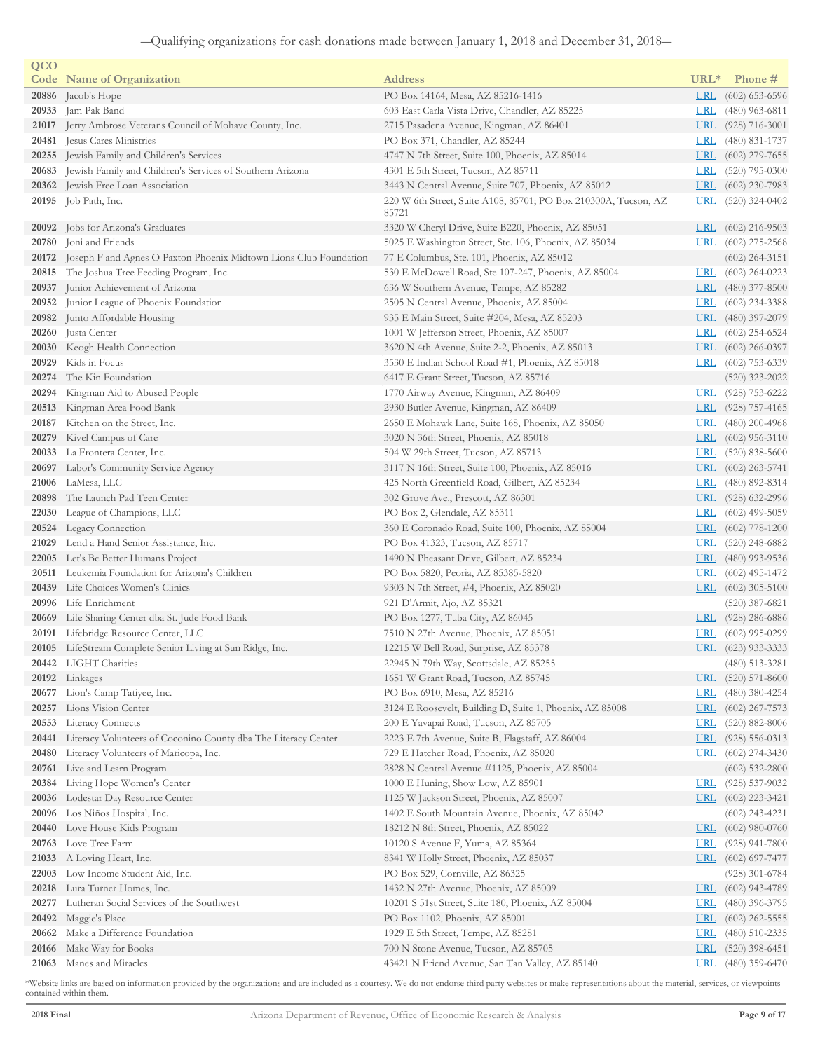| QCO   |                                                                         |                                                                 |            |                    |
|-------|-------------------------------------------------------------------------|-----------------------------------------------------------------|------------|--------------------|
|       | <b>Code</b> Name of Organization                                        | <b>Address</b>                                                  | $URL*$     | Phone #            |
|       | 20886 Jacob's Hope                                                      | PO Box 14164, Mesa, AZ 85216-1416                               | <b>URL</b> | $(602)$ 653-6596   |
| 20933 | Jam Pak Band                                                            | 603 East Carla Vista Drive, Chandler, AZ 85225                  | <b>URL</b> | $(480)$ 963-6811   |
| 21017 | Jerry Ambrose Veterans Council of Mohave County, Inc.                   | 2715 Pasadena Avenue, Kingman, AZ 86401                         | <b>URL</b> | $(928) 716 - 3001$ |
|       | 20481 Jesus Cares Ministries                                            | PO Box 371, Chandler, AZ 85244                                  | <b>URL</b> | $(480)$ 831-1737   |
|       | 20255 Jewish Family and Children's Services                             | 4747 N 7th Street, Suite 100, Phoenix, AZ 85014                 | <u>URL</u> | $(602)$ 279-7655   |
|       | 20683 Jewish Family and Children's Services of Southern Arizona         | 4301 E 5th Street, Tucson, AZ 85711                             | <u>URL</u> | $(520)$ 795-0300   |
|       | 20362 Jewish Free Loan Association                                      | 3443 N Central Avenue, Suite 707, Phoenix, AZ 85012             | <u>URL</u> | $(602)$ 230-7983   |
|       | 20195 Job Path, Inc.                                                    | 220 W 6th Street, Suite A108, 85701; PO Box 210300A, Tucson, AZ | <u>URL</u> | $(520)$ 324-0402   |
|       |                                                                         | 85721                                                           |            |                    |
| 20092 | Jobs for Arizona's Graduates                                            | 3320 W Cheryl Drive, Suite B220, Phoenix, AZ 85051              | <u>URL</u> | $(602)$ 216-9503   |
| 20780 | Joni and Friends                                                        | 5025 E Washington Street, Ste. 106, Phoenix, AZ 85034           | <b>URL</b> | $(602)$ 275-2568   |
|       | 20172 Joseph F and Agnes O Paxton Phoenix Midtown Lions Club Foundation | 77 E Columbus, Ste. 101, Phoenix, AZ 85012                      |            | $(602)$ 264-3151   |
|       | 20815 The Joshua Tree Feeding Program, Inc.                             | 530 E McDowell Road, Ste 107-247, Phoenix, AZ 85004             | <u>URL</u> | $(602)$ 264-0223   |
| 20937 | Junior Achievement of Arizona                                           | 636 W Southern Avenue, Tempe, AZ 85282                          | <b>URL</b> | $(480)$ 377-8500   |
|       | 20952 Junior League of Phoenix Foundation                               | 2505 N Central Avenue, Phoenix, AZ 85004                        | <b>URL</b> | $(602)$ 234-3388   |
|       | 20982 Junto Affordable Housing                                          | 935 E Main Street, Suite #204, Mesa, AZ 85203                   | <b>URL</b> | $(480)$ 397-2079   |
|       | 20260 Justa Center                                                      | 1001 W Jefferson Street, Phoenix, AZ 85007                      | <u>URL</u> | $(602)$ 254-6524   |
|       | 20030 Keogh Health Connection                                           | 3620 N 4th Avenue, Suite 2-2, Phoenix, AZ 85013                 | <b>URL</b> | $(602)$ 266-0397   |
| 20929 | Kids in Focus                                                           | 3530 E Indian School Road #1, Phoenix, AZ 85018                 | <b>URL</b> | $(602)$ 753-6339   |
| 20274 | The Kin Foundation                                                      | 6417 E Grant Street, Tucson, AZ 85716                           |            | $(520)$ 323-2022   |
| 20294 | Kingman Aid to Abused People                                            | 1770 Airway Avenue, Kingman, AZ 86409                           | <u>URL</u> | $(928)$ 753-6222   |
| 20513 | Kingman Area Food Bank                                                  | 2930 Butler Avenue, Kingman, AZ 86409                           | <b>URL</b> | $(928)$ 757-4165   |
| 20187 | Kitchen on the Street, Inc.                                             | 2650 E Mohawk Lane, Suite 168, Phoenix, AZ 85050                | <u>URL</u> | $(480)$ 200-4968   |
| 20279 | Kivel Campus of Care                                                    | 3020 N 36th Street, Phoenix, AZ 85018                           | URL        | $(602)$ 956-3110   |
|       | 20033 La Frontera Center, Inc.                                          | 504 W 29th Street, Tucson, AZ 85713                             | URL        | $(520)$ 838-5600   |
|       | 20697 Labor's Community Service Agency                                  | 3117 N 16th Street, Suite 100, Phoenix, AZ 85016                | <u>URL</u> | $(602)$ 263-5741   |
| 21006 | LaMesa, LLC                                                             | 425 North Greenfield Road, Gilbert, AZ 85234                    | <u>URL</u> | $(480)$ 892-8314   |
| 20898 | The Launch Pad Teen Center                                              | 302 Grove Ave., Prescott, AZ 86301                              | <u>URL</u> | $(928)$ 632-2996   |
| 22030 | League of Champions, LLC                                                | PO Box 2, Glendale, AZ 85311                                    | <u>URL</u> | $(602)$ 499-5059   |
|       | 20524 Legacy Connection                                                 | 360 E Coronado Road, Suite 100, Phoenix, AZ 85004               | <u>URL</u> | $(602)$ 778-1200   |
| 21029 | Lend a Hand Senior Assistance, Inc.                                     | PO Box 41323, Tucson, AZ 85717                                  | <u>URL</u> | $(520)$ 248-6882   |
|       | 22005 Let's Be Better Humans Project                                    | 1490 N Pheasant Drive, Gilbert, AZ 85234                        | <b>URL</b> | $(480)$ 993-9536   |
| 20511 | Leukemia Foundation for Arizona's Children                              | PO Box 5820, Peoria, AZ 85385-5820                              | <b>URL</b> | $(602)$ 495-1472   |
| 20439 | Life Choices Women's Clinics                                            | 9303 N 7th Street, #4, Phoenix, AZ 85020                        | <u>URL</u> | $(602)$ 305-5100   |
|       | 20996 Life Enrichment                                                   | 921 D'Armit, Ajo, AZ 85321                                      |            | $(520)$ 387-6821   |
| 20669 | Life Sharing Center dba St. Jude Food Bank                              | PO Box 1277, Tuba City, AZ 86045                                | <b>URL</b> | $(928)$ 286-6886   |
| 20191 | Lifebridge Resource Center, LLC                                         | 7510 N 27th Avenue, Phoenix, AZ 85051                           | <u>URL</u> | $(602)$ 995-0299   |
|       | 20105 LifeStream Complete Senior Living at Sun Ridge, Inc.              | 12215 W Bell Road, Surprise, AZ 85378                           |            | URL (623) 933-3333 |
|       | 20442 LIGHT Charities                                                   | 22945 N 79th Way, Scottsdale, AZ 85255                          |            | $(480)$ 513-3281   |
|       | 20192 Linkages                                                          | 1651 W Grant Road, Tucson, AZ 85745                             | <u>URL</u> | $(520)$ 571-8600   |
| 20677 | Lion's Camp Tatiyee, Inc.                                               | PO Box 6910, Mesa, AZ 85216                                     | <u>URL</u> | $(480)$ 380-4254   |
| 20257 | Lions Vision Center                                                     | 3124 E Roosevelt, Building D, Suite 1, Phoenix, AZ 85008        | URL        | $(602)$ 267-7573   |
|       | 20553 Literacy Connects                                                 | 200 E Yavapai Road, Tucson, AZ 85705                            | <b>URL</b> | $(520)$ 882-8006   |
| 20441 | Literacy Volunteers of Coconino County dba The Literacy Center          | 2223 E 7th Avenue, Suite B, Flagstaff, AZ 86004                 | <b>URL</b> | $(928) 556 - 0313$ |
| 20480 | Literacy Volunteers of Maricopa, Inc.                                   | 729 E Hatcher Road, Phoenix, AZ 85020                           | <u>URL</u> | $(602)$ 274-3430   |
| 20761 | Live and Learn Program                                                  | 2828 N Central Avenue #1125, Phoenix, AZ 85004                  |            | $(602)$ 532-2800   |
| 20384 | Living Hope Women's Center                                              | 1000 E Huning, Show Low, AZ 85901                               | <b>URL</b> | $(928)$ 537-9032   |
| 20036 | Lodestar Day Resource Center                                            | 1125 W Jackson Street, Phoenix, AZ 85007                        | <b>URL</b> | $(602)$ 223-3421   |
| 20096 | Los Niños Hospital, Inc.                                                | 1402 E South Mountain Avenue, Phoenix, AZ 85042                 |            | $(602)$ 243-4231   |
| 20440 | Love House Kids Program                                                 | 18212 N 8th Street, Phoenix, AZ 85022                           | <u>URL</u> | $(602)$ 980-0760   |
|       | 20763 Love Tree Farm                                                    | 10120 S Avenue F, Yuma, AZ 85364                                | <b>URL</b> | $(928)$ 941-7800   |
|       | 21033 A Loving Heart, Inc.                                              | 8341 W Holly Street, Phoenix, AZ 85037                          | URL        | $(602)$ 697-7477   |
| 22003 | Low Income Student Aid, Inc.                                            | PO Box 529, Cornville, AZ 86325                                 |            | $(928)$ 301-6784   |
| 20218 | Lura Turner Homes, Inc.                                                 | 1432 N 27th Avenue, Phoenix, AZ 85009                           | <u>URL</u> | $(602)$ 943-4789   |
| 20277 | Lutheran Social Services of the Southwest                               | 10201 S 51st Street, Suite 180, Phoenix, AZ 85004               | <u>URL</u> | $(480)$ 396-3795   |
| 20492 | Maggie's Place                                                          | PO Box 1102, Phoenix, AZ 85001                                  | <u>URL</u> | $(602)$ 262-5555   |
|       | 20662 Make a Difference Foundation                                      | 1929 E 5th Street, Tempe, AZ 85281                              | <u>URL</u> | $(480)$ 510-2335   |
| 20166 | Make Way for Books                                                      | 700 N Stone Avenue, Tucson, AZ 85705                            | <b>URL</b> | $(520)$ 398-6451   |
|       | 21063 Manes and Miracles                                                | 43421 N Friend Avenue, San Tan Valley, AZ 85140                 |            | URL (480) 359-6470 |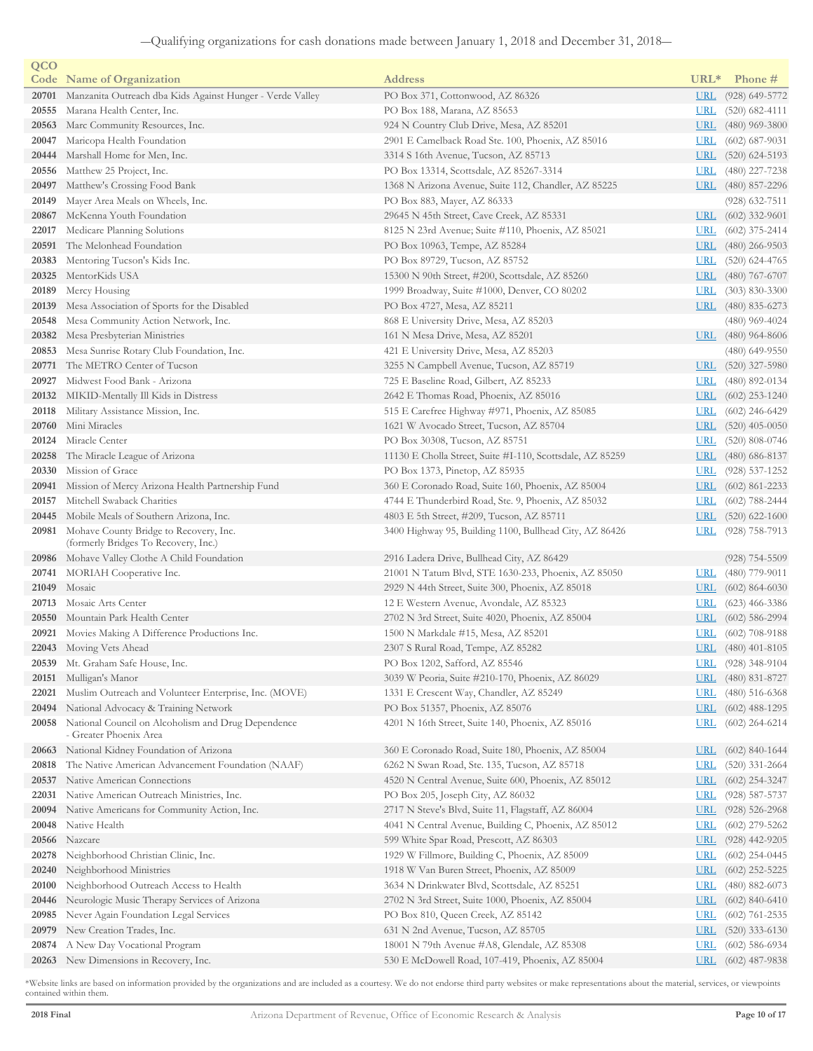| QCO   |                                                                                |                                                           |            |                    |
|-------|--------------------------------------------------------------------------------|-----------------------------------------------------------|------------|--------------------|
|       | <b>Code</b> Name of Organization                                               | <b>Address</b>                                            | $URL*$     | Phone #            |
| 20701 | Manzanita Outreach dba Kids Against Hunger - Verde Valley                      | PO Box 371, Cottonwood, AZ 86326                          | <b>URL</b> | $(928)$ 649-5772   |
| 20555 | Marana Health Center, Inc.                                                     | PO Box 188, Marana, AZ 85653                              | <b>URL</b> | $(520)$ 682-4111   |
| 20563 | Marc Community Resources, Inc.                                                 | 924 N Country Club Drive, Mesa, AZ 85201                  | <u>URL</u> | $(480)$ 969-3800   |
| 20047 | Maricopa Health Foundation                                                     | 2901 E Camelback Road Ste. 100, Phoenix, AZ 85016         | <b>URL</b> | $(602)$ 687-9031   |
| 20444 | Marshall Home for Men, Inc.                                                    | 3314 S 16th Avenue, Tucson, AZ 85713                      | <u>URL</u> | $(520)$ 624-5193   |
| 20556 | Matthew 25 Project, Inc.                                                       | PO Box 13314, Scottsdale, AZ 85267-3314                   | <u>URL</u> | $(480)$ 227-7238   |
| 20497 | Matthew's Crossing Food Bank                                                   | 1368 N Arizona Avenue, Suite 112, Chandler, AZ 85225      | <u>URL</u> | $(480)$ 857-2296   |
| 20149 | Mayer Area Meals on Wheels, Inc.                                               | PO Box 883, Mayer, AZ 86333                               |            | $(928)$ 632-7511   |
| 20867 | McKenna Youth Foundation                                                       | 29645 N 45th Street, Cave Creek, AZ 85331                 | <u>URL</u> | $(602)$ 332-9601   |
| 22017 | Medicare Planning Solutions                                                    | 8125 N 23rd Avenue; Suite #110, Phoenix, AZ 85021         | URL        | $(602)$ 375-2414   |
| 20591 | The Melonhead Foundation                                                       | PO Box 10963, Tempe, AZ 85284                             | URL        | $(480)$ 266-9503   |
| 20383 | Mentoring Tucson's Kids Inc.                                                   | PO Box 89729, Tucson, AZ 85752                            | <b>URL</b> | $(520)$ 624-4765   |
| 20325 | MentorKids USA                                                                 | 15300 N 90th Street, #200, Scottsdale, AZ 85260           | <u>URL</u> | $(480)$ 767-6707   |
| 20189 | Mercy Housing                                                                  | 1999 Broadway, Suite #1000, Denver, CO 80202              | <u>URL</u> | $(303)$ 830-3300   |
| 20139 | Mesa Association of Sports for the Disabled                                    | PO Box 4727, Mesa, AZ 85211                               | URL        | $(480)$ 835-6273   |
| 20548 | Mesa Community Action Network, Inc.                                            | 868 E University Drive, Mesa, AZ 85203                    |            | $(480)$ 969-4024   |
| 20382 | Mesa Presbyterian Ministries                                                   | 161 N Mesa Drive, Mesa, AZ 85201                          | <b>URL</b> | $(480)$ 964-8606   |
| 20853 | Mesa Sunrise Rotary Club Foundation, Inc.                                      | 421 E University Drive, Mesa, AZ 85203                    |            | $(480)$ 649-9550   |
| 20771 | The METRO Center of Tucson                                                     | 3255 N Campbell Avenue, Tucson, AZ 85719                  | URL        | $(520)$ 327-5980   |
| 20927 | Midwest Food Bank - Arizona                                                    | 725 E Baseline Road, Gilbert, AZ 85233                    | <u>URL</u> | $(480)$ 892-0134   |
|       | 20132 MIKID-Mentally Ill Kids in Distress                                      | 2642 E Thomas Road, Phoenix, AZ 85016                     | <u>URL</u> | $(602)$ 253-1240   |
| 20118 | Military Assistance Mission, Inc.                                              | 515 E Carefree Highway #971, Phoenix, AZ 85085            | <b>URL</b> | $(602)$ 246-6429   |
| 20760 | Mini Miracles                                                                  | 1621 W Avocado Street, Tucson, AZ 85704                   | <u>URL</u> | $(520)$ 405-0050   |
| 20124 | Miracle Center                                                                 | PO Box 30308, Tucson, AZ 85751                            | <u>URL</u> | $(520)$ 808-0746   |
| 20258 | The Miracle League of Arizona                                                  | 11130 E Cholla Street, Suite #I-110, Scottsdale, AZ 85259 | <u>URL</u> | $(480)$ 686-8137   |
| 20330 | Mission of Grace                                                               | PO Box 1373, Pinetop, AZ 85935                            | <u>URL</u> | $(928) 537 - 1252$ |
| 20941 | Mission of Mercy Arizona Health Partnership Fund                               | 360 E Coronado Road, Suite 160, Phoenix, AZ 85004         | <u>URL</u> | $(602)$ 861-2233   |
| 20157 | Mitchell Swaback Charities                                                     | 4744 E Thunderbird Road, Ste. 9, Phoenix, AZ 85032        | <u>URL</u> | $(602)$ 788-2444   |
| 20445 | Mobile Meals of Southern Arizona, Inc.                                         | 4803 E 5th Street, #209, Tucson, AZ 85711                 | <u>URL</u> | $(520)$ 622-1600   |
| 20981 | Mohave County Bridge to Recovery, Inc.<br>(formerly Bridges To Recovery, Inc.) | 3400 Highway 95, Building 1100, Bullhead City, AZ 86426   | <u>URL</u> | $(928)$ 758-7913   |
|       | <b>20986</b> Mohave Valley Clothe A Child Foundation                           | 2916 Ladera Drive, Bullhead City, AZ 86429                |            | $(928)$ 754-5509   |
| 20741 | MORIAH Cooperative Inc.                                                        | 21001 N Tatum Blvd, STE 1630-233, Phoenix, AZ 85050       | <b>URL</b> | $(480)$ 779-9011   |
| 21049 | Mosaic                                                                         | 2929 N 44th Street, Suite 300, Phoenix, AZ 85018          | URL        | $(602)$ 864-6030   |
| 20713 | Mosaic Arts Center                                                             | 12 E Western Avenue, Avondale, AZ 85323                   | <u>URL</u> | $(623)$ 466-3386   |
| 20550 | Mountain Park Health Center                                                    | 2702 N 3rd Street, Suite 4020, Phoenix, AZ 85004          | <u>URL</u> | $(602)$ 586-2994   |
| 20921 | Movies Making A Difference Productions Inc.                                    | 1500 N Markdale #15, Mesa, AZ 85201                       | <u>URL</u> | $(602)$ 708-9188   |
|       | 22043 Moving Vets Ahead                                                        | 2307 S Rural Road, Tempe, AZ 85282                        |            | URL (480) 401-8105 |
|       | 20539 Mt. Graham Safe House, Inc.                                              | PO Box 1202, Safford, AZ 85546                            | <u>URL</u> | $(928)$ 348-9104   |
| 20151 | Mulligan's Manor                                                               | 3039 W Peoria, Suite #210-170, Phoenix, AZ 86029          | <u>URL</u> | $(480)$ 831-8727   |
| 22021 | Muslim Outreach and Volunteer Enterprise, Inc. (MOVE)                          | 1331 E Crescent Way, Chandler, AZ 85249                   | <u>URL</u> | $(480)$ 516-6368   |
| 20494 | National Advocacy & Training Network                                           | PO Box 51357, Phoenix, AZ 85076                           | <u>URL</u> | $(602)$ 488-1295   |
| 20058 | National Council on Alcoholism and Drug Dependence<br>- Greater Phoenix Area   | 4201 N 16th Street, Suite 140, Phoenix, AZ 85016          | <b>URL</b> | $(602)$ 264-6214   |
|       | 20663 National Kidney Foundation of Arizona                                    | 360 E Coronado Road, Suite 180, Phoenix, AZ 85004         | <u>URL</u> | $(602)$ 840-1644   |
| 20818 | The Native American Advancement Foundation (NAAF)                              | 6262 N Swan Road, Ste. 135, Tucson, AZ 85718              | <u>URL</u> | $(520)$ 331-2664   |
| 20537 | Native American Connections                                                    | 4520 N Central Avenue, Suite 600, Phoenix, AZ 85012       | <u>URL</u> | $(602)$ 254-3247   |
| 22031 | Native American Outreach Ministries, Inc.                                      | PO Box 205, Joseph City, AZ 86032                         | <u>URL</u> | $(928) 587 - 5737$ |
| 20094 | Native Americans for Community Action, Inc.                                    | 2717 N Steve's Blvd, Suite 11, Flagstaff, AZ 86004        | <u>URL</u> | $(928) 526 - 2968$ |
| 20048 | Native Health                                                                  | 4041 N Central Avenue, Building C, Phoenix, AZ 85012      | <b>URL</b> | $(602)$ 279-5262   |
| 20566 | Nazcare                                                                        | 599 White Spar Road, Prescott, AZ 86303                   | <b>URL</b> | $(928)$ 442-9205   |
| 20278 | Neighborhood Christian Clinic, Inc.                                            | 1929 W Fillmore, Building C, Phoenix, AZ 85009            | <u>URL</u> | $(602)$ 254-0445   |
| 20240 | Neighborhood Ministries                                                        | 1918 W Van Buren Street, Phoenix, AZ 85009                | <u>URL</u> | $(602)$ 252-5225   |
| 20100 | Neighborhood Outreach Access to Health                                         | 3634 N Drinkwater Blvd, Scottsdale, AZ 85251              | <u>URL</u> | $(480)$ 882-6073   |
| 20446 | Neurologic Music Therapy Services of Arizona                                   | 2702 N 3rd Street, Suite 1000, Phoenix, AZ 85004          | <u>URL</u> | $(602)$ 840-6410   |
| 20985 | Never Again Foundation Legal Services                                          | PO Box 810, Queen Creek, AZ 85142                         | <u>URL</u> | $(602)$ 761-2535   |
| 20979 | New Creation Trades, Inc.                                                      | 631 N 2nd Avenue, Tucson, AZ 85705                        | <u>URL</u> | $(520)$ 333-6130   |
| 20874 | A New Day Vocational Program                                                   | 18001 N 79th Avenue #A8, Glendale, AZ 85308               | <u>URL</u> | $(602)$ 586-6934   |
| 20263 | New Dimensions in Recovery, Inc.                                               | 530 E McDowell Road, 107-419, Phoenix, AZ 85004           | <u>URL</u> | $(602)$ 487-9838   |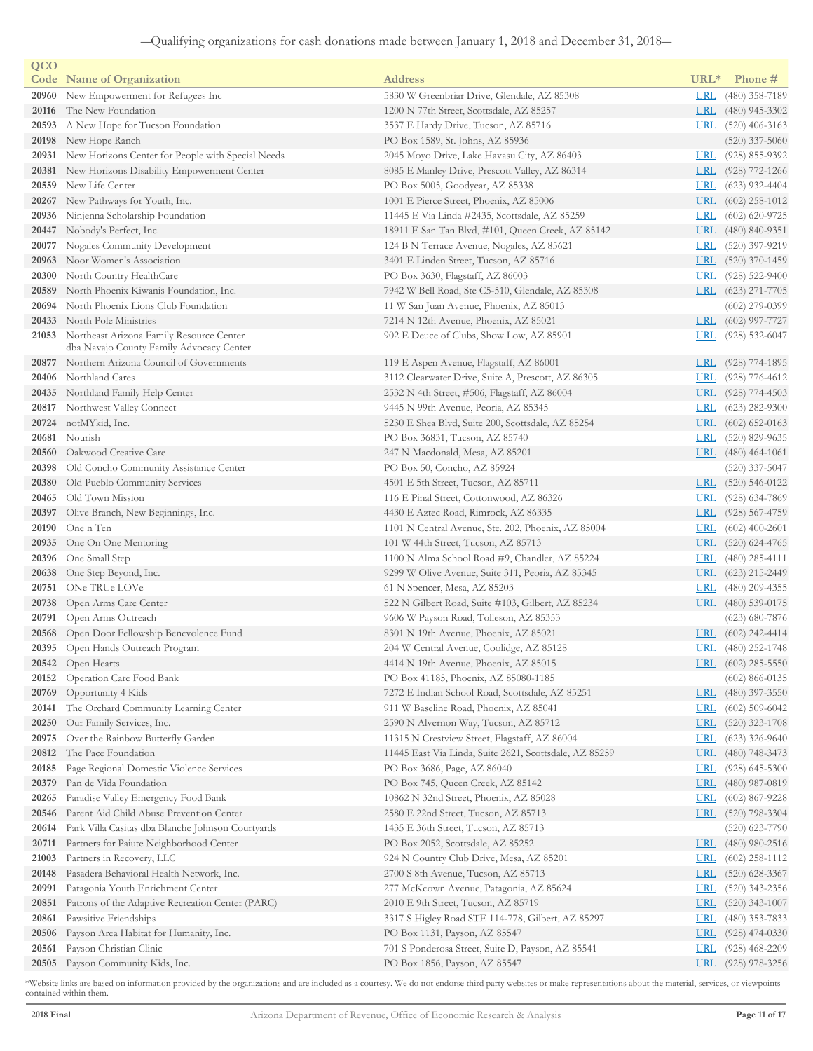| QCO   |                                                                                            |                                                        |            |                      |
|-------|--------------------------------------------------------------------------------------------|--------------------------------------------------------|------------|----------------------|
|       | <b>Code</b> Name of Organization                                                           | <b>Address</b>                                         | $URL*$     | Phone #              |
| 20960 | New Empowerment for Refugees Inc                                                           | 5830 W Greenbriar Drive, Glendale, AZ 85308            | <b>URL</b> | $(480)$ 358-7189     |
| 20116 | The New Foundation                                                                         | 1200 N 77th Street, Scottsdale, AZ 85257               | URL        | $(480)$ 945-3302     |
| 20593 | A New Hope for Tucson Foundation                                                           | 3537 E Hardy Drive, Tucson, AZ 85716                   |            | URL $(520)$ 406-3163 |
| 20198 | New Hope Ranch                                                                             | PO Box 1589, St. Johns, AZ 85936                       |            | $(520)$ 337-5060     |
| 20931 | New Horizons Center for People with Special Needs                                          | 2045 Moyo Drive, Lake Havasu City, AZ 86403            | <u>URL</u> | $(928)$ 855-9392     |
| 20381 | New Horizons Disability Empowerment Center                                                 | 8085 E Manley Drive, Prescott Valley, AZ 86314         | <b>URL</b> | $(928)$ 772-1266     |
| 20559 | New Life Center                                                                            | PO Box 5005, Goodyear, AZ 85338                        | <b>URL</b> | $(623)$ 932-4404     |
| 20267 | New Pathways for Youth, Inc.                                                               | 1001 E Pierce Street, Phoenix, AZ 85006                | <u>URL</u> | $(602)$ 258-1012     |
| 20936 | Ninjenna Scholarship Foundation                                                            | 11445 E Via Linda #2435, Scottsdale, AZ 85259          | <b>URL</b> | $(602)$ 620-9725     |
| 20447 | Nobody's Perfect, Inc.                                                                     | 18911 E San Tan Blvd, #101, Queen Creek, AZ 85142      |            | URL (480) 840-9351   |
| 20077 | Nogales Community Development                                                              | 124 B N Terrace Avenue, Nogales, AZ 85621              | URL        | $(520)$ 397-9219     |
|       | 20963 Noor Women's Association                                                             | 3401 E Linden Street, Tucson, AZ 85716                 |            | URL (520) 370-1459   |
| 20300 | North Country HealthCare                                                                   | PO Box 3630, Flagstaff, AZ 86003                       | <b>URL</b> | $(928)$ 522-9400     |
| 20589 | North Phoenix Kiwanis Foundation, Inc.                                                     | 7942 W Bell Road, Ste C5-510, Glendale, AZ 85308       |            | URL $(623)$ 271-7705 |
| 20694 | North Phoenix Lions Club Foundation                                                        | 11 W San Juan Avenue, Phoenix, AZ 85013                |            | $(602)$ 279-0399     |
| 20433 | North Pole Ministries                                                                      | 7214 N 12th Avenue, Phoenix, AZ 85021                  | URL        | $(602)$ 997-7727     |
|       | 21053 Northeast Arizona Family Resource Center<br>dba Navajo County Family Advocacy Center | 902 E Deuce of Clubs, Show Low, AZ 85901               | <u>URL</u> | $(928)$ 532-6047     |
|       | 20877 Northern Arizona Council of Governments                                              | 119 E Aspen Avenue, Flagstaff, AZ 86001                | <b>URL</b> | $(928)$ 774-1895     |
| 20406 | Northland Cares                                                                            | 3112 Clearwater Drive, Suite A, Prescott, AZ 86305     | <b>URL</b> | $(928)$ 776-4612     |
| 20435 | Northland Family Help Center                                                               | 2532 N 4th Street, #506, Flagstaff, AZ 86004           | <b>URL</b> | $(928)$ 774-4503     |
|       | 20817 Northwest Valley Connect                                                             | 9445 N 99th Avenue, Peoria, AZ 85345                   | <u>URL</u> | $(623)$ 282-9300     |
|       | 20724 notMYkid, Inc.                                                                       | 5230 E Shea Blvd, Suite 200, Scottsdale, AZ 85254      |            | URL $(602)$ 652-0163 |
| 20681 | Nourish                                                                                    | PO Box 36831, Tucson, AZ 85740                         | <b>URL</b> | $(520)$ 829-9635     |
| 20560 | Oakwood Creative Care                                                                      | 247 N Macdonald, Mesa, AZ 85201                        |            | URL $(480)$ 464-1061 |
| 20398 | Old Concho Community Assistance Center                                                     | PO Box 50, Concho, AZ 85924                            |            | $(520)$ 337-5047     |
| 20380 | Old Pueblo Community Services                                                              | 4501 E 5th Street, Tucson, AZ 85711                    |            | URL $(520)$ 546-0122 |
| 20465 | Old Town Mission                                                                           | 116 E Pinal Street, Cottonwood, AZ 86326               | <u>URL</u> | (928) 634-7869       |
| 20397 | Olive Branch, New Beginnings, Inc.                                                         | 4430 E Aztec Road, Rimrock, AZ 86335                   | URL        | $(928) 567 - 4759$   |
| 20190 | One n Ten                                                                                  | 1101 N Central Avenue, Ste. 202, Phoenix, AZ 85004     | <b>URL</b> | $(602)$ 400-2601     |
| 20935 | One On One Mentoring                                                                       | 101 W 44th Street, Tucson, AZ 85713                    |            | URL $(520)$ 624-4765 |
| 20396 | One Small Step                                                                             | 1100 N Alma School Road #9, Chandler, AZ 85224         | <u>URL</u> | $(480)$ 285-4111     |
| 20638 | One Step Beyond, Inc.                                                                      | 9299 W Olive Avenue, Suite 311, Peoria, AZ 85345       |            | URL $(623)$ 215-2449 |
| 20751 | ONe TRUe LOVe                                                                              | 61 N Spencer, Mesa, AZ 85203                           | <b>URL</b> | $(480)$ 209-4355     |
| 20738 | Open Arms Care Center                                                                      | 522 N Gilbert Road, Suite #103, Gilbert, AZ 85234      |            | URL $(480)$ 539-0175 |
| 20791 | Open Arms Outreach                                                                         | 9606 W Payson Road, Tolleson, AZ 85353                 |            | $(623)$ 680-7876     |
| 20568 | Open Door Fellowship Benevolence Fund                                                      | 8301 N 19th Avenue, Phoenix, AZ 85021                  |            | URL (602) 242-4414   |
|       | 20395 Open Hands Outreach Program                                                          | 204 W Central Avenue, Coolidge, AZ 85128               |            | URL (480) 252-1748   |
|       | 20542 Open Hearts                                                                          | 4414 N 19th Avenue, Phoenix, AZ 85015                  |            | URL (602) 285-5550   |
| 20152 | Operation Care Food Bank                                                                   | PO Box 41185, Phoenix, AZ 85080-1185                   |            | $(602)$ 866-0135     |
| 20769 | Opportunity 4 Kids                                                                         | 7272 E Indian School Road, Scottsdale, AZ 85251        | <u>URL</u> | $(480)$ 397-3550     |
| 20141 | The Orchard Community Learning Center                                                      | 911 W Baseline Road, Phoenix, AZ 85041                 | <u>URL</u> | $(602)$ 509-6042     |
| 20250 | Our Family Services, Inc.                                                                  | 2590 N Alvernon Way, Tucson, AZ 85712                  | <u>URL</u> | $(520)$ 323-1708     |
| 20975 | Over the Rainbow Butterfly Garden                                                          | 11315 N Crestview Street, Flagstaff, AZ 86004          | <u>URL</u> | $(623)$ 326-9640     |
| 20812 | The Pace Foundation                                                                        | 11445 East Via Linda, Suite 2621, Scottsdale, AZ 85259 | <b>URL</b> | $(480)$ 748-3473     |
| 20185 | Page Regional Domestic Violence Services                                                   | PO Box 3686, Page, AZ 86040                            | <u>URL</u> | $(928)$ 645-5300     |
| 20379 | Pan de Vida Foundation                                                                     | PO Box 745, Queen Creek, AZ 85142                      | <b>URL</b> | $(480)$ 987-0819     |
| 20265 | Paradise Valley Emergency Food Bank                                                        | 10862 N 32nd Street, Phoenix, AZ 85028                 | <u>URL</u> | $(602)$ 867-9228     |
| 20546 | Parent Aid Child Abuse Prevention Center                                                   | 2580 E 22nd Street, Tucson, AZ 85713                   | URL        | $(520)$ 798-3304     |
| 20614 | Park Villa Casitas dba Blanche Johnson Courtyards                                          | 1435 E 36th Street, Tucson, AZ 85713                   |            | $(520)$ 623-7790     |
| 20711 | Partners for Paiute Neighborhood Center                                                    | PO Box 2052, Scottsdale, AZ 85252                      | URL        | $(480)$ 980-2516     |
| 21003 | Partners in Recovery, LLC                                                                  | 924 N Country Club Drive, Mesa, AZ 85201               | <u>URL</u> | $(602)$ 258-1112     |
| 20148 | Pasadera Behavioral Health Network, Inc.                                                   | 2700 S 8th Avenue, Tucson, AZ 85713                    | <u>URL</u> | $(520)$ 628-3367     |
| 20991 | Patagonia Youth Enrichment Center                                                          | 277 McKeown Avenue, Patagonia, AZ 85624                | <b>URL</b> | $(520)$ 343-2356     |
| 20851 | Patrons of the Adaptive Recreation Center (PARC)                                           | 2010 E 9th Street, Tucson, AZ 85719                    | <b>URL</b> | $(520)$ 343-1007     |
| 20861 | Pawsitive Friendships                                                                      | 3317 S Higley Road STE 114-778, Gilbert, AZ 85297      | <u>URL</u> | $(480)$ 353-7833     |
| 20506 | Payson Area Habitat for Humanity, Inc.                                                     | PO Box 1131, Payson, AZ 85547                          | <b>URL</b> | $(928)$ 474-0330     |
| 20561 | Payson Christian Clinic                                                                    | 701 S Ponderosa Street, Suite D, Payson, AZ 85541      | <b>URL</b> | $(928)$ 468-2209     |
| 20505 | Payson Community Kids, Inc.                                                                | PO Box 1856, Payson, AZ 85547                          | <u>URL</u> | $(928)$ 978-3256     |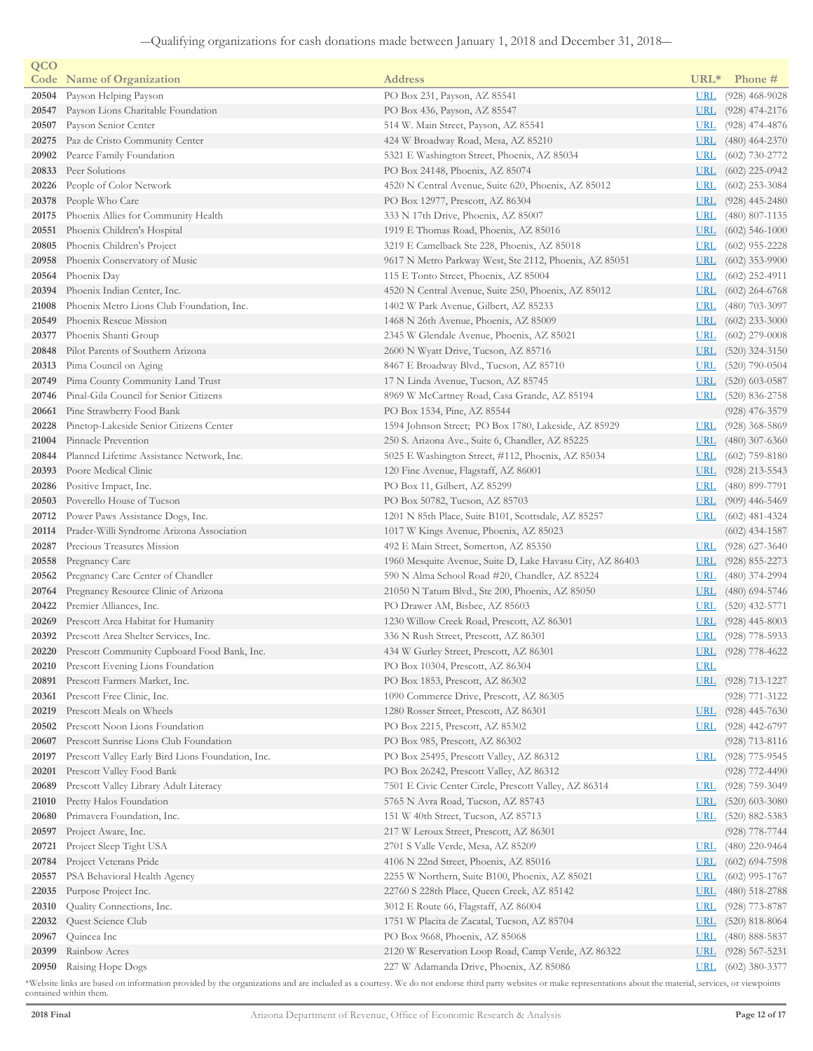| QCO   |                                                   |                                                           |            |                    |
|-------|---------------------------------------------------|-----------------------------------------------------------|------------|--------------------|
|       | <b>Code</b> Name of Organization                  | <b>Address</b>                                            | $URL*$     | Phone #            |
| 20504 | Payson Helping Payson                             | PO Box 231, Payson, AZ 85541                              | <b>URL</b> | $(928)$ 468-9028   |
| 20547 | Payson Lions Charitable Foundation                | PO Box 436, Payson, AZ 85547                              | <b>URL</b> | $(928)$ 474-2176   |
| 20507 | Payson Senior Center                              | 514 W. Main Street, Payson, AZ 85541                      | <b>URL</b> | $(928)$ 474-4876   |
| 20275 | Paz de Cristo Community Center                    | 424 W Broadway Road, Mesa, AZ 85210                       | <u>URL</u> | $(480)$ 464-2370   |
| 20902 | Pearce Family Foundation                          | 5321 E Washington Street, Phoenix, AZ 85034               | <u>URL</u> | $(602)$ 730-2772   |
| 20833 | Peer Solutions                                    | PO Box 24148, Phoenix, AZ 85074                           | <b>URL</b> | $(602)$ 225-0942   |
| 20226 | People of Color Network                           | 4520 N Central Avenue, Suite 620, Phoenix, AZ 85012       | <u>URL</u> | $(602)$ 253-3084   |
| 20378 | People Who Care                                   | PO Box 12977, Prescott, AZ 86304                          | <u>URL</u> | $(928)$ 445-2480   |
| 20175 | Phoenix Allies for Community Health               | 333 N 17th Drive, Phoenix, AZ 85007                       | <u>URL</u> | $(480)$ 807-1135   |
| 20551 | Phoenix Children's Hospital                       | 1919 E Thomas Road, Phoenix, AZ 85016                     | <b>URL</b> | $(602)$ 546-1000   |
| 20805 | Phoenix Children's Project                        | 3219 E Camelback Ste 228, Phoenix, AZ 85018               | <b>URL</b> | $(602)$ 955-2228   |
| 20958 | Phoenix Conservatory of Music                     | 9617 N Metro Parkway West, Ste 2112, Phoenix, AZ 85051    | <u>URL</u> | $(602)$ 353-9900   |
| 20564 | Phoenix Day                                       | 115 E Tonto Street, Phoenix, AZ 85004                     | <u>URL</u> | $(602)$ 252-4911   |
| 20394 | Phoenix Indian Center, Inc.                       | 4520 N Central Avenue, Suite 250, Phoenix, AZ 85012       | <u>URL</u> | $(602)$ 264-6768   |
| 21008 | Phoenix Metro Lions Club Foundation, Inc.         | 1402 W Park Avenue, Gilbert, AZ 85233                     | <u>URL</u> | $(480)$ 703-3097   |
| 20549 | Phoenix Rescue Mission                            | 1468 N 26th Avenue, Phoenix, AZ 85009                     | <b>URL</b> | $(602)$ 233-3000   |
| 20377 | Phoenix Shanti Group                              | 2345 W Glendale Avenue, Phoenix, AZ 85021                 | <u>URL</u> | $(602)$ 279-0008   |
| 20848 | Pilot Parents of Southern Arizona                 | 2600 N Wyatt Drive, Tucson, AZ 85716                      | <u>URL</u> | $(520)$ 324-3150   |
| 20313 | Pima Council on Aging                             | 8467 E Broadway Blvd., Tucson, AZ 85710                   | <b>URL</b> | $(520)$ 790-0504   |
| 20749 | Pima County Community Land Trust                  | 17 N Linda Avenue, Tucson, AZ 85745                       | URL        | $(520)$ 603-0587   |
| 20746 | Pinal-Gila Council for Senior Citizens            | 8969 W McCartney Road, Casa Grande, AZ 85194              | <b>URL</b> | $(520)$ 836-2758   |
| 20661 | Pine Strawberry Food Bank                         | PO Box 1534, Pine, AZ 85544                               |            | $(928)$ 476-3579   |
| 20228 | Pinetop-Lakeside Senior Citizens Center           | 1594 Johnson Street; PO Box 1780, Lakeside, AZ 85929      | <u>URL</u> | $(928)$ 368-5869   |
| 21004 | Pinnacle Prevention                               | 250 S. Arizona Ave., Suite 6, Chandler, AZ 85225          | <u>URL</u> | $(480)$ 307-6360   |
| 20844 | Planned Lifetime Assistance Network, Inc.         | 5025 E Washington Street, #112, Phoenix, AZ 85034         | <u>URL</u> | $(602)$ 759-8180   |
| 20393 | Poore Medical Clinic                              | 120 Fine Avenue, Flagstaff, AZ 86001                      | <b>URL</b> | $(928)$ 213-5543   |
| 20286 | Positive Impact, Inc.                             | PO Box 11, Gilbert, AZ 85299                              | <u>URL</u> | $(480)$ 899-7791   |
| 20503 | Poverello House of Tucson                         | PO Box 50782, Tucson, AZ 85703                            | <u>URL</u> | $(909)$ 446-5469   |
| 20712 | Power Paws Assistance Dogs, Inc.                  | 1201 N 85th Place, Suite B101, Scottsdale, AZ 85257       | <b>URL</b> | $(602)$ 481-4324   |
| 20114 | Prader-Willi Syndrome Arizona Association         | 1017 W Kings Avenue, Phoenix, AZ 85023                    |            | $(602)$ 434-1587   |
| 20287 | Precious Treasures Mission                        | 492 E Main Street, Somerton, AZ 85350                     | <u>URL</u> | $(928)$ 627-3640   |
| 20558 | Pregnancy Care                                    | 1960 Mesquite Avenue, Suite D, Lake Havasu City, AZ 86403 | <u>URL</u> | $(928)$ 855-2273   |
| 20562 | Pregnancy Care Center of Chandler                 | 590 N Alma School Road #20, Chandler, AZ 85224            | <u>URL</u> | $(480)$ 374-2994   |
| 20764 | Pregnancy Resource Clinic of Arizona              | 21050 N Tatum Blvd., Ste 200, Phoenix, AZ 85050           | <u>URL</u> | $(480)$ 694-5746   |
| 20422 | Premier Alliances, Inc.                           | PO Drawer AM, Bisbee, AZ 85603                            | <u>URL</u> | $(520)$ 432-5771   |
| 20269 | Prescott Area Habitat for Humanity                | 1230 Willow Creek Road, Prescott, AZ 86301                | <u>URL</u> | $(928)$ 445-8003   |
| 20392 | Prescott Area Shelter Services, Inc.              | 336 N Rush Street, Prescott, AZ 86301                     | <b>URL</b> | $(928)$ 778-5933   |
|       | 20220 Prescott Community Cupboard Food Bank, Inc. | 434 W Gurley Street, Prescott, AZ 86301                   | <b>URL</b> | $(928)$ 778-4622   |
|       | 20210 Prescott Evening Lions Foundation           | PO Box 10304, Prescott, AZ 86304                          | URL        |                    |
| 20891 | Prescott Farmers Market, Inc.                     | PO Box 1853, Prescott, AZ 86302                           | <b>URL</b> | $(928)$ 713-1227   |
| 20361 | Prescott Free Clinic, Inc.                        | 1090 Commerce Drive, Prescott, AZ 86305                   |            | $(928)$ 771-3122   |
| 20219 | Prescott Meals on Wheels                          | 1280 Rosser Street, Prescott, AZ 86301                    | <b>URL</b> | $(928)$ 445-7630   |
| 20502 | Prescott Noon Lions Foundation                    | PO Box 2215, Prescott, AZ 85302                           | <u>URL</u> | $(928)$ 442-6797   |
| 20607 | Prescott Sunrise Lions Club Foundation            | PO Box 985, Prescott, AZ 86302                            |            | $(928)$ 713-8116   |
| 20197 | Prescott Valley Early Bird Lions Foundation, Inc. | PO Box 25495, Prescott Valley, AZ 86312                   | <b>URL</b> | (928) 775-9545     |
| 20201 | Prescott Valley Food Bank                         | PO Box 26242, Prescott Valley, AZ 86312                   |            | $(928)$ 772-4490   |
| 20689 | Prescott Valley Library Adult Literacy            | 7501 E Civic Center Circle, Prescott Valley, AZ 86314     | <u>URL</u> | $(928)$ 759-3049   |
| 21010 | Pretty Halos Foundation                           | 5765 N Avra Road, Tucson, AZ 85743                        | <b>URL</b> | $(520)$ 603-3080   |
| 20680 | Primavera Foundation, Inc.                        | 151 W 40th Street, Tucson, AZ 85713                       | <u>URL</u> | $(520)$ 882-5383   |
| 20597 | Project Aware, Inc.                               | 217 W Leroux Street, Prescott, AZ 86301                   |            | $(928)$ 778-7744   |
| 20721 | Project Sleep Tight USA                           | 2701 S Valle Verde, Mesa, AZ 85209                        | <b>URL</b> | $(480)$ 220-9464   |
| 20784 | Project Veterans Pride                            | 4106 N 22nd Street, Phoenix, AZ 85016                     | <u>URL</u> | $(602)$ 694-7598   |
| 20557 | PSA Behavioral Health Agency                      | 2255 W Northern, Suite B100, Phoenix, AZ 85021            | <u>URL</u> | $(602)$ 995-1767   |
| 22035 | Purpose Project Inc.                              | 22760 S 228th Place, Queen Creek, AZ 85142                | <u>URL</u> | $(480)$ 518-2788   |
| 20310 | Quality Connections, Inc.                         | 3012 E Route 66, Flagstaff, AZ 86004                      | <u>URL</u> | $(928)$ 773-8787   |
| 22032 | Quest Science Club                                | 1751 W Placita de Zacatal, Tucson, AZ 85704               | <u>URL</u> | $(520)$ 818-8064   |
| 20967 | Quincea Inc                                       | PO Box 9668, Phoenix, AZ 85068                            | <u>URL</u> | $(480)$ 888-5837   |
| 20399 | Rainbow Acres                                     | 2120 W Reservation Loop Road, Camp Verde, AZ 86322        | <b>URL</b> | $(928) 567 - 5231$ |
| 20950 | Raising Hope Dogs                                 | 227 W Adamanda Drive, Phoenix, AZ 85086                   | <u>URL</u> | $(602)$ 380-3377   |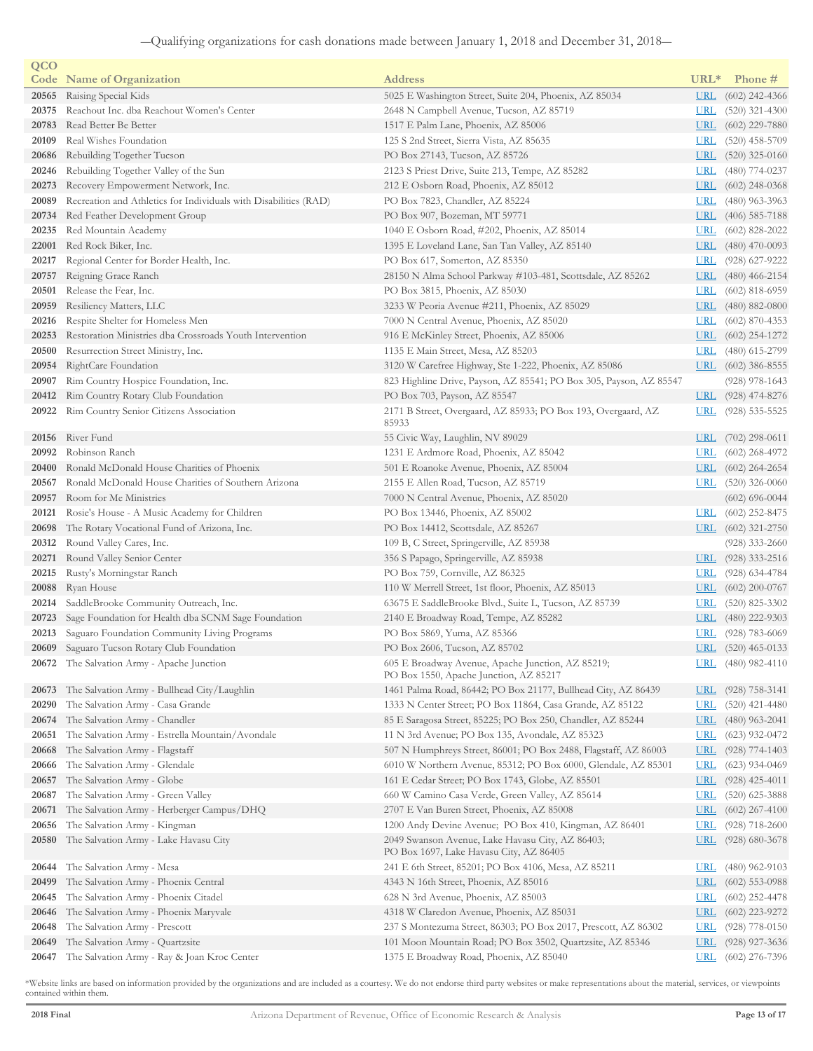| QCO   |                                                                  |                                                                                             |                  |                    |
|-------|------------------------------------------------------------------|---------------------------------------------------------------------------------------------|------------------|--------------------|
|       | <b>Code</b> Name of Organization                                 | <b>Address</b>                                                                              | URL <sup>*</sup> | Phone #            |
| 20565 | Raising Special Kids                                             | 5025 E Washington Street, Suite 204, Phoenix, AZ 85034                                      | <b>URL</b>       | $(602)$ 242-4366   |
| 20375 | Reachout Inc. dba Reachout Women's Center                        | 2648 N Campbell Avenue, Tucson, AZ 85719                                                    | <u>URL</u>       | $(520)$ 321-4300   |
| 20783 | Read Better Be Better                                            | 1517 E Palm Lane, Phoenix, AZ 85006                                                         | <u>URL</u>       | $(602)$ 229-7880   |
| 20109 | Real Wishes Foundation                                           | 125 S 2nd Street, Sierra Vista, AZ 85635                                                    | <u>URL</u>       | $(520)$ 458-5709   |
| 20686 | Rebuilding Together Tucson                                       | PO Box 27143, Tucson, AZ 85726                                                              | <u>URL</u>       | $(520)$ 325-0160   |
| 20246 | Rebuilding Together Valley of the Sun                            | 2123 S Priest Drive, Suite 213, Tempe, AZ 85282                                             | <u>URL</u>       | $(480)$ 774-0237   |
| 20273 | Recovery Empowerment Network, Inc.                               | 212 E Osborn Road, Phoenix, AZ 85012                                                        | <u>URL</u>       | $(602)$ 248-0368   |
| 20089 | Recreation and Athletics for Individuals with Disabilities (RAD) | PO Box 7823, Chandler, AZ 85224                                                             | <u>URL</u>       | $(480)$ 963-3963   |
| 20734 | Red Feather Development Group                                    | PO Box 907, Bozeman, MT 59771                                                               | <u>URL</u>       | $(406)$ 585-7188   |
| 20235 | Red Mountain Academy                                             | 1040 E Osborn Road, #202, Phoenix, AZ 85014                                                 | <u>URL</u>       | $(602)$ 828-2022   |
| 22001 | Red Rock Biker, Inc.                                             | 1395 E Loveland Lane, San Tan Valley, AZ 85140                                              | URL              | $(480)$ 470-0093   |
| 20217 | Regional Center for Border Health, Inc.                          | PO Box 617, Somerton, AZ 85350                                                              | <b>URL</b>       | $(928)$ 627-9222   |
| 20757 | Reigning Grace Ranch                                             | 28150 N Alma School Parkway #103-481, Scottsdale, AZ 85262                                  | URL              | $(480)$ 466-2154   |
| 20501 | Release the Fear, Inc.                                           | PO Box 3815, Phoenix, AZ 85030                                                              | <u>URL</u>       | $(602)$ 818-6959   |
| 20959 | Resiliency Matters, LLC                                          | 3233 W Peoria Avenue #211, Phoenix, AZ 85029                                                | <b>URL</b>       | $(480)$ 882-0800   |
| 20216 | Respite Shelter for Homeless Men                                 | 7000 N Central Avenue, Phoenix, AZ 85020                                                    | <u>URL</u>       | $(602)$ 870-4353   |
| 20253 | Restoration Ministries dba Crossroads Youth Intervention         | 916 E McKinley Street, Phoenix, AZ 85006                                                    | <u>URL</u>       | $(602)$ 254-1272   |
| 20500 | Resurrection Street Ministry, Inc.                               | 1135 E Main Street, Mesa, AZ 85203                                                          | <u>URL</u>       | $(480)$ 615-2799   |
| 20954 | RightCare Foundation                                             | 3120 W Carefree Highway, Ste 1-222, Phoenix, AZ 85086                                       | <u>URL</u>       | $(602)$ 386-8555   |
| 20907 | Rim Country Hospice Foundation, Inc.                             | 823 Highline Drive, Payson, AZ 85541; PO Box 305, Payson, AZ 85547                          |                  | $(928)$ 978-1643   |
| 20412 | Rim Country Rotary Club Foundation                               | PO Box 703, Payson, AZ 85547                                                                | URL              | $(928)$ 474-8276   |
| 20922 | Rim Country Senior Citizens Association                          | 2171 B Street, Overgaard, AZ 85933; PO Box 193, Overgaard, AZ                               | <u>URL</u>       | $(928)$ 535-5525   |
|       |                                                                  | 85933                                                                                       |                  |                    |
| 20156 | River Fund                                                       | 55 Civic Way, Laughlin, NV 89029                                                            | URL              | $(702)$ 298-0611   |
| 20992 | Robinson Ranch                                                   | 1231 E Ardmore Road, Phoenix, AZ 85042                                                      | <b>URL</b>       | $(602)$ 268-4972   |
| 20400 | Ronald McDonald House Charities of Phoenix                       | 501 E Roanoke Avenue, Phoenix, AZ 85004                                                     | URL              | $(602)$ 264-2654   |
| 20567 | Ronald McDonald House Charities of Southern Arizona              | 2155 E Allen Road, Tucson, AZ 85719                                                         | URL              | $(520)$ 326-0060   |
| 20957 | Room for Me Ministries                                           | 7000 N Central Avenue, Phoenix, AZ 85020                                                    |                  | $(602) 696 - 0044$ |
| 20121 | Rosie's House - A Music Academy for Children                     | PO Box 13446, Phoenix, AZ 85002                                                             | <b>URL</b>       | $(602)$ 252-8475   |
| 20698 | The Rotary Vocational Fund of Arizona, Inc.                      | PO Box 14412, Scottsdale, AZ 85267                                                          | <u>URL</u>       | $(602)$ 321-2750   |
| 20312 | Round Valley Cares, Inc.                                         | 109 B, C Street, Springerville, AZ 85938                                                    |                  | $(928)$ 333-2660   |
| 20271 | Round Valley Senior Center                                       | 356 S Papago, Springerville, AZ 85938                                                       | <b>URL</b>       | $(928)$ 333-2516   |
| 20215 | Rusty's Morningstar Ranch                                        | PO Box 759, Cornville, AZ 86325                                                             | URL              | $(928)$ 634-4784   |
| 20088 | Ryan House                                                       | 110 W Merrell Street, 1st floor, Phoenix, AZ 85013                                          | <u>URL</u>       | $(602)$ 200-0767   |
| 20214 | SaddleBrooke Community Outreach, Inc.                            | 63675 E SaddleBrooke Blvd., Suite L, Tucson, AZ 85739                                       | <u>URL</u>       | $(520)$ 825-3302   |
| 20723 | Sage Foundation for Health dba SCNM Sage Foundation              | 2140 E Broadway Road, Tempe, AZ 85282                                                       | <u>URL</u>       | $(480)$ 222-9303   |
| 20213 | Saguaro Foundation Community Living Programs                     | PO Box 5869, Yuma, AZ 85366                                                                 | <u>URI</u>       | $(928) 783 - 6069$ |
|       | 20609 Saguaro Tucson Rotary Club Foundation                      | PO Box 2606, Tucson, AZ 85702                                                               |                  | URL (520) 465-0133 |
|       | 20672 The Salvation Army - Apache Junction                       | 605 E Broadway Avenue, Apache Junction, AZ 85219;<br>PO Box 1550, Apache Junction, AZ 85217 | URL              | $(480)$ 982-4110   |
| 20673 | The Salvation Army - Bullhead City/Laughlin                      | 1461 Palma Road, 86442; PO Box 21177, Bullhead City, AZ 86439                               | <u>URL</u>       | $(928)$ 758-3141   |
| 20290 | The Salvation Army - Casa Grande                                 | 1333 N Center Street; PO Box 11864, Casa Grande, AZ 85122                                   | <u>URL</u>       | $(520)$ 421-4480   |
| 20674 | The Salvation Army - Chandler                                    | 85 E Saragosa Street, 85225; PO Box 250, Chandler, AZ 85244                                 | <u>URL</u>       | $(480)$ 963-2041   |
| 20651 | The Salvation Army - Estrella Mountain/Avondale                  | 11 N 3rd Avenue; PO Box 135, Avondale, AZ 85323                                             | <u>URL</u>       | $(623)$ 932-0472   |
| 20668 | The Salvation Army - Flagstaff                                   | 507 N Humphreys Street, 86001; PO Box 2488, Flagstaff, AZ 86003                             | <u>URL</u>       | $(928)$ 774-1403   |
| 20666 | The Salvation Army - Glendale                                    | 6010 W Northern Avenue, 85312; PO Box 6000, Glendale, AZ 85301                              | <u>URI</u>       | $(623)$ 934-0469   |
| 20657 | The Salvation Army - Globe                                       | 161 E Cedar Street; PO Box 1743, Globe, AZ 85501                                            | <u>URL</u>       | $(928)$ 425-4011   |
| 20687 | The Salvation Army - Green Valley                                | 660 W Camino Casa Verde, Green Valley, AZ 85614                                             | <u>URL</u>       | $(520)$ 625-3888   |
| 20671 | The Salvation Army - Herberger Campus/DHQ                        | 2707 E Van Buren Street, Phoenix, AZ 85008                                                  | <b>URL</b>       | $(602)$ 267-4100   |
| 20656 | The Salvation Army - Kingman                                     | 1200 Andy Devine Avenue; PO Box 410, Kingman, AZ 86401                                      | <b>URL</b>       | $(928)$ 718-2600   |
| 20580 | The Salvation Army - Lake Havasu City                            | 2049 Swanson Avenue, Lake Havasu City, AZ 86403;<br>PO Box 1697, Lake Havasu City, AZ 86405 | <u>URL</u>       | $(928)$ 680-3678   |
| 20644 | The Salvation Army - Mesa                                        | 241 E 6th Street, 85201; PO Box 4106, Mesa, AZ 85211                                        | <u>URL</u>       | $(480)$ 962-9103   |
| 20499 | The Salvation Army - Phoenix Central                             | 4343 N 16th Street, Phoenix, AZ 85016                                                       | <u>URL</u>       | $(602)$ 553-0988   |
| 20645 | The Salvation Army - Phoenix Citadel                             | 628 N 3rd Avenue, Phoenix, AZ 85003                                                         | <u>URL</u>       | $(602)$ 252-4478   |
| 20646 | The Salvation Army - Phoenix Maryvale                            | 4318 W Claredon Avenue, Phoenix, AZ 85031                                                   | <u>URL</u>       | $(602)$ 223-9272   |
| 20648 | The Salvation Army - Prescott                                    | 237 S Montezuma Street, 86303; PO Box 2017, Prescott, AZ 86302                              | <u>URI</u>       | $(928)$ 778-0150   |
| 20649 | The Salvation Army - Quartzsite                                  | 101 Moon Mountain Road; PO Box 3502, Quartzsite, AZ 85346                                   | <u>URL</u>       | $(928)$ 927-3636   |
| 20647 | The Salvation Army - Ray & Joan Kroc Center                      | 1375 E Broadway Road, Phoenix, AZ 85040                                                     | <u>URL</u>       | $(602)$ 276-7396   |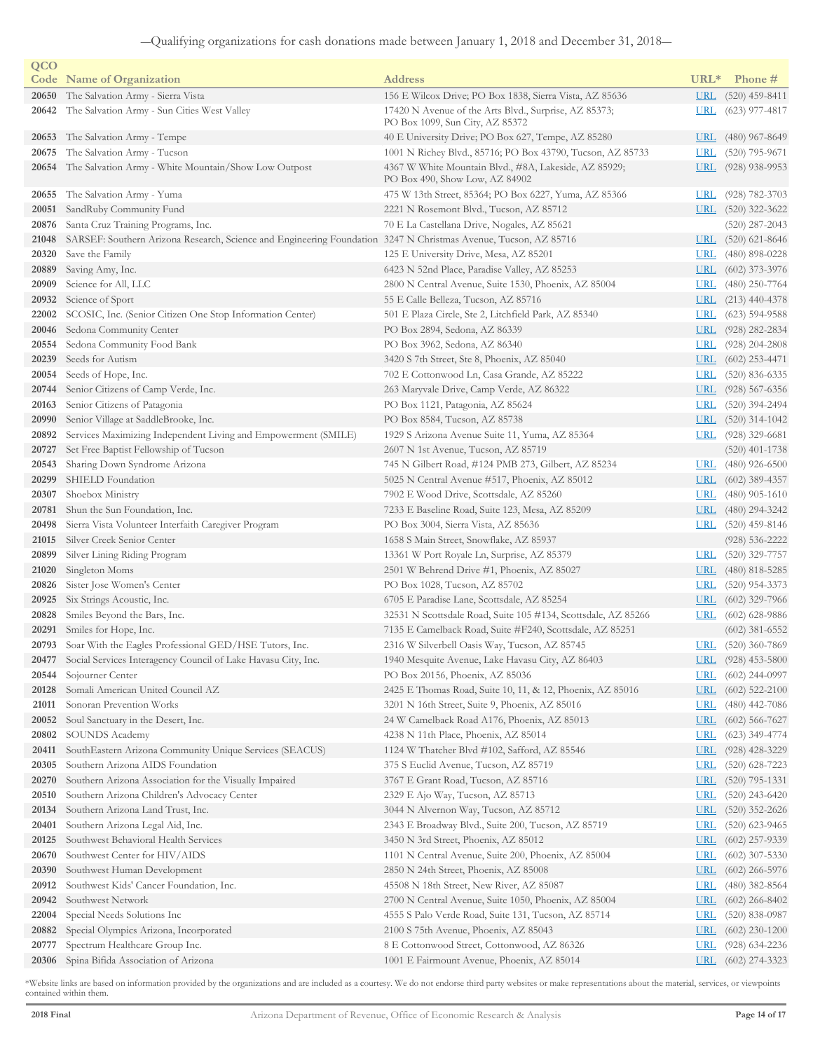| QCO   |                                                                                                                 |                                                                                                   |                          |                                      |
|-------|-----------------------------------------------------------------------------------------------------------------|---------------------------------------------------------------------------------------------------|--------------------------|--------------------------------------|
|       | <b>Code</b> Name of Organization                                                                                | <b>Address</b>                                                                                    | URL <sup>*</sup>         | Phone #                              |
| 20650 | The Salvation Army - Sierra Vista                                                                               | 156 E Wilcox Drive; PO Box 1838, Sierra Vista, AZ 85636                                           | <u>URL</u>               | $(520)$ 459-8411                     |
| 20642 | The Salvation Army - Sun Cities West Valley                                                                     | 17420 N Avenue of the Arts Blvd., Surprise, AZ 85373;<br>PO Box 1099, Sun City, AZ 85372          | <u>URL</u>               | $(623)$ 977-4817                     |
| 20653 | The Salvation Army - Tempe                                                                                      | 40 E University Drive; PO Box 627, Tempe, AZ 85280                                                | <u>URL</u>               | $(480)$ 967-8649                     |
| 20675 | The Salvation Army - Tucson                                                                                     | 1001 N Richey Blvd., 85716; PO Box 43790, Tucson, AZ 85733                                        | <u>URL</u>               | $(520)$ 795-9671                     |
| 20654 | The Salvation Army - White Mountain/Show Low Outpost                                                            | 4367 W White Mountain Blvd., #8A, Lakeside, AZ 85929;<br>PO Box 490, Show Low, AZ 84902           | <u>URL</u>               | $(928)$ 938-9953                     |
| 20655 | The Salvation Army - Yuma                                                                                       | 475 W 13th Street, 85364; PO Box 6227, Yuma, AZ 85366                                             | <u>URL</u>               | $(928) 782 - 3703$                   |
| 20051 | SandRuby Community Fund                                                                                         | 2221 N Rosemont Blvd., Tucson, AZ 85712                                                           | <b>URL</b>               | $(520)$ 322-3622                     |
| 20876 | Santa Cruz Training Programs, Inc.                                                                              | 70 E La Castellana Drive, Nogales, AZ 85621                                                       |                          | $(520)$ 287-2043                     |
| 21048 | SARSEF: Southern Arizona Research, Science and Engineering Foundation 3247 N Christmas Avenue, Tucson, AZ 85716 |                                                                                                   | <b>URL</b>               | $(520)$ 621-8646                     |
| 20320 | Save the Family                                                                                                 | 125 E University Drive, Mesa, AZ 85201                                                            | <u>URL</u>               | $(480)$ 898-0228                     |
| 20889 | Saving Amy, Inc.                                                                                                | 6423 N 52nd Place, Paradise Valley, AZ 85253                                                      | $URL$                    | $(602)$ 373-3976                     |
| 20909 | Science for All, LLC                                                                                            | 2800 N Central Avenue, Suite 1530, Phoenix, AZ 85004                                              | <b>URL</b>               | $(480)$ 250-7764                     |
| 20932 | Science of Sport                                                                                                | 55 E Calle Belleza, Tucson, AZ 85716                                                              | <u>URL</u>               | $(213)$ 440-4378                     |
| 22002 | SCOSIC, Inc. (Senior Citizen One Stop Information Center)                                                       | 501 E Plaza Circle, Ste 2, Litchfield Park, AZ 85340                                              | <u>URL</u>               | $(623)$ 594-9588                     |
| 20046 | Sedona Community Center                                                                                         | PO Box 2894, Sedona, AZ 86339                                                                     | <u>URL</u>               | $(928)$ 282-2834                     |
| 20554 | Sedona Community Food Bank                                                                                      | PO Box 3962, Sedona, AZ 86340                                                                     | <b>URL</b>               | $(928)$ 204-2808                     |
| 20239 | Seeds for Autism                                                                                                | 3420 S 7th Street, Ste 8, Phoenix, AZ 85040                                                       | <b>URL</b>               | $(602)$ 253-4471                     |
| 20054 | Seeds of Hope, Inc.                                                                                             | 702 E Cottonwood Ln, Casa Grande, AZ 85222                                                        | <u>URL</u>               | $(520)$ 836-6335                     |
| 20744 | Senior Citizens of Camp Verde, Inc.                                                                             | 263 Maryvale Drive, Camp Verde, AZ 86322                                                          | <u>URL</u>               | $(928)$ 567-6356                     |
| 20163 | Senior Citizens of Patagonia                                                                                    | PO Box 1121, Patagonia, AZ 85624                                                                  | <b>URL</b>               | $(520)$ 394-2494                     |
| 20990 | Senior Village at SaddleBrooke, Inc.                                                                            | PO Box 8584, Tucson, AZ 85738                                                                     | URL                      | $(520)$ 314-1042                     |
| 20892 | Services Maximizing Independent Living and Empowerment (SMILE)                                                  | 1929 S Arizona Avenue Suite 11, Yuma, AZ 85364                                                    | URL.                     | $(928)$ 329-6681                     |
| 20727 | Set Free Baptist Fellowship of Tucson                                                                           | 2607 N 1st Avenue, Tucson, AZ 85719                                                               |                          | $(520)$ 401-1738                     |
| 20543 | Sharing Down Syndrome Arizona                                                                                   | 745 N Gilbert Road, #124 PMB 273, Gilbert, AZ 85234                                               | <u>URL</u>               | $(480)$ 926-6500                     |
| 20299 | SHIELD Foundation                                                                                               | 5025 N Central Avenue #517, Phoenix, AZ 85012                                                     | <u>URL</u>               | $(602)$ 389-4357                     |
| 20307 | Shoebox Ministry                                                                                                | 7902 E Wood Drive, Scottsdale, AZ 85260                                                           | <u>URL</u>               | $(480)$ 905-1610                     |
| 20781 | Shun the Sun Foundation, Inc.                                                                                   | 7233 E Baseline Road, Suite 123, Mesa, AZ 85209                                                   | <u>URL</u>               | $(480)$ 294-3242                     |
| 20498 | Sierra Vista Volunteer Interfaith Caregiver Program                                                             | PO Box 3004, Sierra Vista, AZ 85636                                                               | <b>URL</b>               | $(520)$ 459-8146                     |
| 21015 | Silver Creek Senior Center                                                                                      | 1658 S Main Street, Snowflake, AZ 85937                                                           |                          | $(928) 536 - 2222$                   |
| 20899 | Silver Lining Riding Program                                                                                    | 13361 W Port Royale Ln, Surprise, AZ 85379                                                        | URL                      | $(520)$ 329-7757                     |
| 21020 | Singleton Moms                                                                                                  | 2501 W Behrend Drive #1, Phoenix, AZ 85027                                                        | <b>URL</b>               | $(480)$ 818-5285                     |
| 20826 | Sister Jose Women's Center                                                                                      | PO Box 1028, Tucson, AZ 85702                                                                     | <u>URL</u>               | $(520)$ 954-3373                     |
| 20925 | Six Strings Acoustic, Inc.                                                                                      | 6705 E Paradise Lane, Scottsdale, AZ 85254                                                        | <u>URL</u>               | $(602)$ 329-7966                     |
| 20828 | Smiles Beyond the Bars, Inc.                                                                                    | 32531 N Scottsdale Road, Suite 105 #134, Scottsdale, AZ 85266                                     | <u>URL</u>               | $(602)$ 628-9886                     |
| 20291 | Smiles for Hope, Inc.<br>20793 Soar With the Eagles Professional GED/HSE Tutors, Inc.                           | 7135 E Camelback Road, Suite #F240, Scottsdale, AZ 85251                                          | <b>URL</b>               | $(602)$ 381-6552<br>$(520)$ 360-7869 |
|       |                                                                                                                 | 2316 W Silverbell Oasis Way, Tucson, AZ 85745<br>1940 Mesquite Avenue, Lake Havasu City, AZ 86403 |                          |                                      |
|       | 20477 Social Services Interagency Council of Lake Havasu City, Inc.<br>20544 Sojourner Center                   | PO Box 20156, Phoenix, AZ 85036                                                                   | <u>URL</u><br><b>URL</b> | $(928)$ 453-5800<br>$(602)$ 244-0997 |
| 20128 | Somali American United Council AZ                                                                               | 2425 E Thomas Road, Suite 10, 11, & 12, Phoenix, AZ 85016                                         | <u>URL</u>               | $(602)$ 522-2100                     |
| 21011 | Sonoran Prevention Works                                                                                        | 3201 N 16th Street, Suite 9, Phoenix, AZ 85016                                                    | <b>URL</b>               | $(480)$ 442-7086                     |
| 20052 | Soul Sanctuary in the Desert, Inc.                                                                              | 24 W Camelback Road A176, Phoenix, AZ 85013                                                       | <b>URL</b>               | $(602)$ 566-7627                     |
| 20802 | <b>SOUNDS Academy</b>                                                                                           | 4238 N 11th Place, Phoenix, AZ 85014                                                              | <b>URL</b>               | $(623)$ 349-4774                     |
| 20411 | SouthEastern Arizona Community Unique Services (SEACUS)                                                         | 1124 W Thatcher Blvd #102, Safford, AZ 85546                                                      | <b>URL</b>               | $(928)$ 428-3229                     |
| 20305 | Southern Arizona AIDS Foundation                                                                                | 375 S Euclid Avenue, Tucson, AZ 85719                                                             | <u>URL</u>               | $(520)$ 628-7223                     |
| 20270 | Southern Arizona Association for the Visually Impaired                                                          | 3767 E Grant Road, Tucson, AZ 85716                                                               | <u>URL</u>               | $(520)$ 795-1331                     |
| 20510 | Southern Arizona Children's Advocacy Center                                                                     | 2329 E Ajo Way, Tucson, AZ 85713                                                                  | <u>URL</u>               | $(520)$ 243-6420                     |
| 20134 | Southern Arizona Land Trust, Inc.                                                                               | 3044 N Alvernon Way, Tucson, AZ 85712                                                             | <b>URL</b>               | $(520)$ 352-2626                     |
| 20401 | Southern Arizona Legal Aid, Inc.                                                                                | 2343 E Broadway Blvd., Suite 200, Tucson, AZ 85719                                                | <b>URL</b>               | $(520)$ 623-9465                     |
| 20125 | Southwest Behavioral Health Services                                                                            | 3450 N 3rd Street, Phoenix, AZ 85012                                                              | <b>URL</b>               | $(602)$ 257-9339                     |
| 20670 | Southwest Center for HIV/AIDS                                                                                   | 1101 N Central Avenue, Suite 200, Phoenix, AZ 85004                                               | <u>URL</u>               | $(602)$ 307-5330                     |
| 20390 | Southwest Human Development                                                                                     | 2850 N 24th Street, Phoenix, AZ 85008                                                             | <b>URL</b>               | $(602)$ 266-5976                     |
| 20912 | Southwest Kids' Cancer Foundation, Inc.                                                                         | 45508 N 18th Street, New River, AZ 85087                                                          | <b>URL</b>               | $(480)$ 382-8564                     |
| 20942 | Southwest Network                                                                                               | 2700 N Central Avenue, Suite 1050, Phoenix, AZ 85004                                              | <u>URL</u>               | $(602)$ 266-8402                     |
| 22004 | Special Needs Solutions Inc                                                                                     | 4555 S Palo Verde Road, Suite 131, Tucson, AZ 85714                                               | <u>URL</u>               | $(520)$ 838-0987                     |
| 20882 | Special Olympics Arizona, Incorporated                                                                          | 2100 S 75th Avenue, Phoenix, AZ 85043                                                             | <u>URL</u>               | $(602)$ 230-1200                     |
| 20777 | Spectrum Healthcare Group Inc.                                                                                  | 8 E Cottonwood Street, Cottonwood, AZ 86326                                                       | <u>URL</u>               | $(928)$ 634-2236                     |
|       | 20306 Spina Bifida Association of Arizona                                                                       | 1001 E Fairmount Avenue, Phoenix, AZ 85014                                                        |                          | URL (602) 274-3323                   |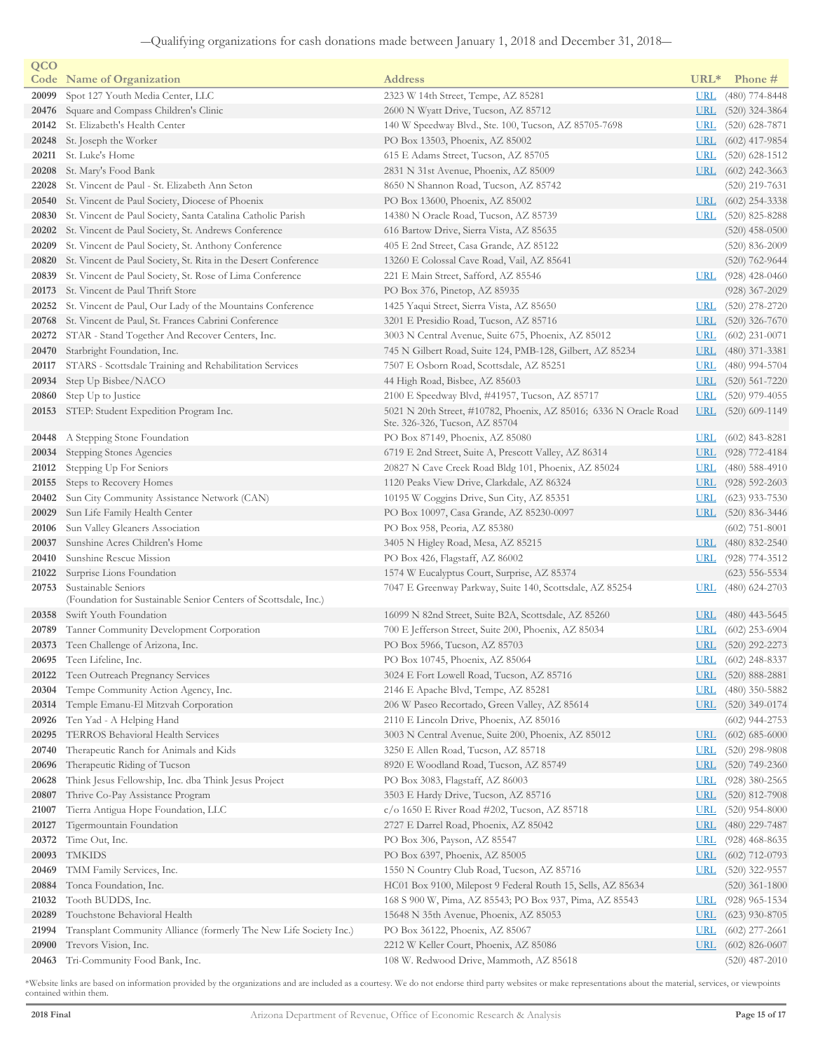| QCO   |                                                                    |                                                                   |            |                    |
|-------|--------------------------------------------------------------------|-------------------------------------------------------------------|------------|--------------------|
|       | <b>Code</b> Name of Organization                                   | <b>Address</b>                                                    | $URL*$     | Phone #            |
| 20099 | Spot 127 Youth Media Center, LLC                                   | 2323 W 14th Street, Tempe, AZ 85281                               | <b>URL</b> | $(480)$ 774-8448   |
| 20476 | Square and Compass Children's Clinic                               | 2600 N Wyatt Drive, Tucson, AZ 85712                              | <u>URL</u> | $(520)$ 324-3864   |
| 20142 | St. Elizabeth's Health Center                                      | 140 W Speedway Blvd., Ste. 100, Tucson, AZ 85705-7698             | <u>URL</u> | $(520)$ 628-7871   |
| 20248 | St. Joseph the Worker                                              | PO Box 13503, Phoenix, AZ 85002                                   | <u>URL</u> | $(602)$ 417-9854   |
| 20211 | St. Luke's Home                                                    | 615 E Adams Street, Tucson, AZ 85705                              | <u>URL</u> | $(520)$ 628-1512   |
| 20208 | St. Mary's Food Bank                                               | 2831 N 31st Avenue, Phoenix, AZ 85009                             | URL        | $(602)$ 242-3663   |
| 22028 | St. Vincent de Paul - St. Elizabeth Ann Seton                      | 8650 N Shannon Road, Tucson, AZ 85742                             |            | $(520)$ 219-7631   |
| 20540 | St. Vincent de Paul Society, Diocese of Phoenix                    | PO Box 13600, Phoenix, AZ 85002                                   | <b>URL</b> | $(602)$ 254-3338   |
| 20830 | St. Vincent de Paul Society, Santa Catalina Catholic Parish        | 14380 N Oracle Road, Tucson, AZ 85739                             | <u>URL</u> | $(520)$ 825-8288   |
| 20202 | St. Vincent de Paul Society, St. Andrews Conference                | 616 Bartow Drive, Sierra Vista, AZ 85635                          |            | $(520)$ 458-0500   |
| 20209 | St. Vincent de Paul Society, St. Anthony Conference                | 405 E 2nd Street, Casa Grande, AZ 85122                           |            | $(520)$ 836-2009   |
| 20820 | St. Vincent de Paul Society, St. Rita in the Desert Conference     | 13260 E Colossal Cave Road, Vail, AZ 85641                        |            | $(520)$ 762-9644   |
| 20839 | St. Vincent de Paul Society, St. Rose of Lima Conference           | 221 E Main Street, Safford, AZ 85546                              | <b>URL</b> | $(928)$ 428-0460   |
| 20173 | St. Vincent de Paul Thrift Store                                   | PO Box 376, Pinetop, AZ 85935                                     |            | $(928)$ 367-2029   |
| 20252 | St. Vincent de Paul, Our Lady of the Mountains Conference          | 1425 Yaqui Street, Sierra Vista, AZ 85650                         | <u>URL</u> | $(520)$ 278-2720   |
|       | 20768 St. Vincent de Paul, St. Frances Cabrini Conference          | 3201 E Presidio Road, Tucson, AZ 85716                            | <b>URL</b> | $(520)$ 326-7670   |
| 20272 | STAR - Stand Together And Recover Centers, Inc.                    | 3003 N Central Avenue, Suite 675, Phoenix, AZ 85012               | <u>URL</u> | $(602)$ 231-0071   |
| 20470 | Starbright Foundation, Inc.                                        | 745 N Gilbert Road, Suite 124, PMB-128, Gilbert, AZ 85234         | <u>URL</u> | $(480)$ 371-3381   |
| 20117 | STARS - Scottsdale Training and Rehabilitation Services            | 7507 E Osborn Road, Scottsdale, AZ 85251                          | <u>URL</u> | $(480)$ 994-5704   |
| 20934 | Step Up Bisbee/NACO                                                | 44 High Road, Bisbee, AZ 85603                                    | <b>URL</b> | $(520)$ 561-7220   |
| 20860 | Step Up to Justice                                                 | 2100 E Speedway Blvd, #41957, Tucson, AZ 85717                    | <b>URL</b> | $(520)$ 979-4055   |
| 20153 | STEP: Student Expedition Program Inc.                              | 5021 N 20th Street, #10782, Phoenix, AZ 85016; 6336 N Oracle Road | <u>URL</u> | $(520)$ 609-1149   |
|       |                                                                    | Ste. 326-326, Tucson, AZ 85704                                    |            |                    |
| 20448 | A Stepping Stone Foundation                                        | PO Box 87149, Phoenix, AZ 85080                                   | URL        | $(602)$ 843-8281   |
| 20034 | Stepping Stones Agencies                                           | 6719 E 2nd Street, Suite A, Prescott Valley, AZ 86314             | URL        | (928) 772-4184     |
| 21012 | Stepping Up For Seniors                                            | 20827 N Cave Creek Road Bldg 101, Phoenix, AZ 85024               | <b>URL</b> | $(480)$ 588-4910   |
| 20155 | Steps to Recovery Homes                                            | 1120 Peaks View Drive, Clarkdale, AZ 86324                        | <b>URL</b> | $(928)$ 592-2603   |
| 20402 | Sun City Community Assistance Network (CAN)                        | 10195 W Coggins Drive, Sun City, AZ 85351                         | <u>URL</u> | $(623)$ 933-7530   |
| 20029 | Sun Life Family Health Center                                      | PO Box 10097, Casa Grande, AZ 85230-0097                          | <b>URL</b> | $(520)$ 836-3446   |
| 20106 | Sun Valley Gleaners Association                                    | PO Box 958, Peoria, AZ 85380                                      |            | $(602)$ 751-8001   |
| 20037 | Sunshine Acres Children's Home                                     | 3405 N Higley Road, Mesa, AZ 85215                                | <u>URL</u> | $(480)$ 832-2540   |
| 20410 | Sunshine Rescue Mission                                            | PO Box 426, Flagstaff, AZ 86002                                   | <u>URL</u> | $(928)$ 774-3512   |
| 21022 | Surprise Lions Foundation                                          | 1574 W Eucalyptus Court, Surprise, AZ 85374                       |            | $(623)$ 556-5534   |
| 20753 | Sustainable Seniors                                                | 7047 E Greenway Parkway, Suite 140, Scottsdale, AZ 85254          | <u>URL</u> | $(480)$ 624-2703   |
|       | (Foundation for Sustainable Senior Centers of Scottsdale, Inc.)    |                                                                   |            |                    |
|       | 20358 Swift Youth Foundation                                       | 16099 N 82nd Street, Suite B2A, Scottsdale, AZ 85260              | <u>URL</u> | $(480)$ 443-5645   |
| 20789 | Tanner Community Development Corporation                           | 700 E Jefferson Street, Suite 200, Phoenix, AZ 85034              | URL        | $(602)$ 253-6904   |
|       | 20373 Teen Challenge of Arizona, Inc.                              | PO Box 5966, Tucson, AZ 85703                                     |            | URL (520) 292-2273 |
|       | 20695 Teen Lifeline, Inc.                                          | PO Box 10745, Phoenix, AZ 85064                                   | URL        | $(602)$ 248-8337   |
| 20122 | Teen Outreach Pregnancy Services                                   | 3024 E Fort Lowell Road, Tucson, AZ 85716                         | <u>URL</u> | $(520)$ 888-2881   |
| 20304 | Tempe Community Action Agency, Inc.                                | 2146 E Apache Blvd, Tempe, AZ 85281                               | <b>URL</b> | $(480)$ 350-5882   |
| 20314 | Temple Emanu-El Mitzvah Corporation                                | 206 W Paseo Recortado, Green Valley, AZ 85614                     | URL        | (520) 349-0174     |
| 20926 | Ten Yad - A Helping Hand                                           | 2110 E Lincoln Drive, Phoenix, AZ 85016                           |            | $(602)$ 944-2753   |
| 20295 | <b>TERROS Behavioral Health Services</b>                           | 3003 N Central Avenue, Suite 200, Phoenix, AZ 85012               | <u>URL</u> | $(602)$ 685-6000   |
| 20740 | Therapeutic Ranch for Animals and Kids                             | 3250 E Allen Road, Tucson, AZ 85718                               | <u>URL</u> | $(520)$ 298-9808   |
| 20696 | Therapeutic Riding of Tucson                                       | 8920 E Woodland Road, Tucson, AZ 85749                            | <u>URL</u> | $(520)$ 749-2360   |
| 20628 | Think Jesus Fellowship, Inc. dba Think Jesus Project               | PO Box 3083, Flagstaff, AZ 86003                                  | <u>URL</u> | $(928)$ 380-2565   |
| 20807 | Thrive Co-Pay Assistance Program                                   | 3503 E Hardy Drive, Tucson, AZ 85716                              | <b>URL</b> | $(520)$ 812-7908   |
| 21007 | Tierra Antigua Hope Foundation, LLC                                | $c/\text{o}$ 1650 E River Road #202, Tucson, AZ 85718             | <u>URL</u> | $(520)$ 954-8000   |
| 20127 | Tigermountain Foundation                                           | 2727 E Darrel Road, Phoenix, AZ 85042                             | <b>URL</b> | $(480)$ 229-7487   |
| 20372 | Time Out, Inc.                                                     | PO Box 306, Payson, AZ 85547                                      | <u>URL</u> | $(928)$ 468-8635   |
| 20093 | <b>TMKIDS</b>                                                      | PO Box 6397, Phoenix, AZ 85005                                    | <b>URL</b> | $(602)$ 712-0793   |
| 20469 | TMM Family Services, Inc.                                          | 1550 N Country Club Road, Tucson, AZ 85716                        | URL        | $(520)$ 322-9557   |
| 20884 | Tonca Foundation, Inc.                                             | HC01 Box 9100, Milepost 9 Federal Routh 15, Sells, AZ 85634       |            | $(520)$ 361-1800   |
| 21032 | Tooth BUDDS, Inc.                                                  | 168 S 900 W, Pima, AZ 85543; PO Box 937, Pima, AZ 85543           | <u>URL</u> | $(928)$ 965-1534   |
| 20289 | Touchstone Behavioral Health                                       | 15648 N 35th Avenue, Phoenix, AZ 85053                            | <u>URL</u> | $(623)$ 930-8705   |
| 21994 | Transplant Community Alliance (formerly The New Life Society Inc.) | PO Box 36122, Phoenix, AZ 85067                                   | <u>URL</u> | $(602)$ 277-2661   |
| 20900 | Trevors Vision, Inc.                                               | 2212 W Keller Court, Phoenix, AZ 85086                            | <b>URL</b> | $(602)$ 826-0607   |
| 20463 | Tri-Community Food Bank, Inc.                                      | 108 W. Redwood Drive, Mammoth, AZ 85618                           |            | $(520)$ 487-2010   |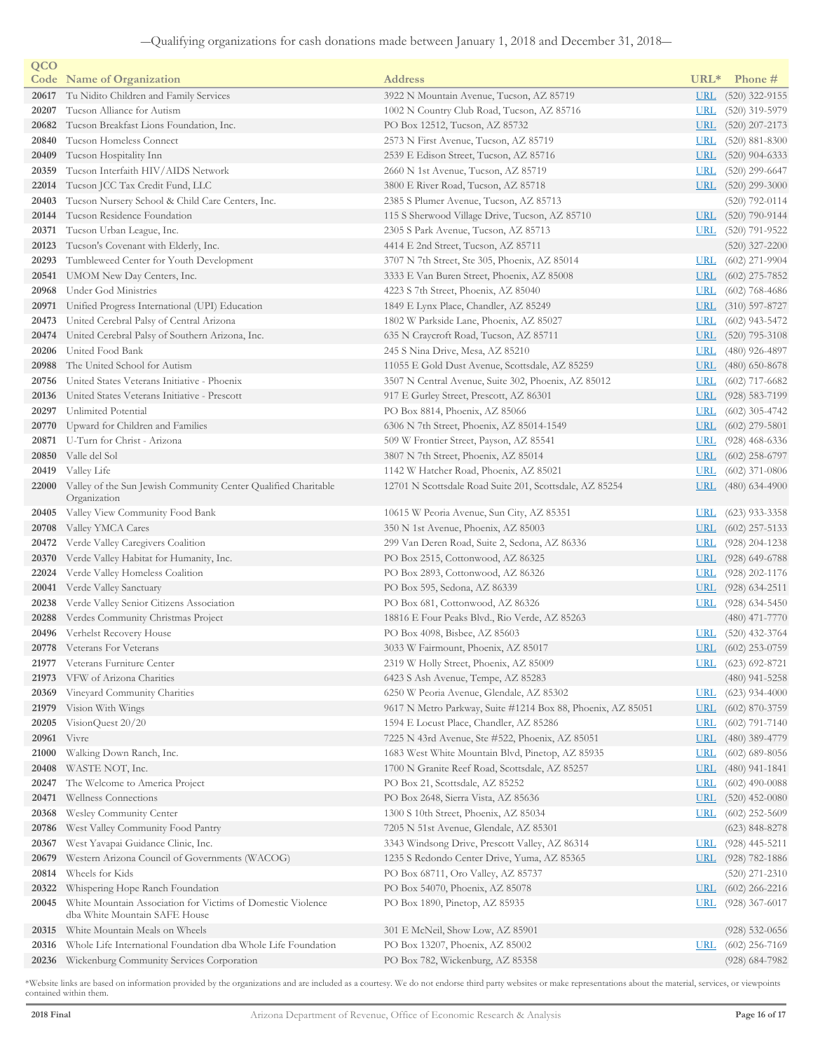| QCO   |                                                                                      |                                                             |            |                    |
|-------|--------------------------------------------------------------------------------------|-------------------------------------------------------------|------------|--------------------|
|       | <b>Code</b> Name of Organization                                                     | <b>Address</b>                                              | $URL*$     | Phone #            |
| 20617 | Tu Nidito Children and Family Services                                               | 3922 N Mountain Avenue, Tucson, AZ 85719                    | <b>URL</b> | $(520)$ 322-9155   |
| 20207 | Tucson Alliance for Autism                                                           | 1002 N Country Club Road, Tucson, AZ 85716                  | <b>URL</b> | $(520)$ 319-5979   |
| 20682 | Tucson Breakfast Lions Foundation, Inc.                                              | PO Box 12512, Tucson, AZ 85732                              | <u>URL</u> | $(520)$ 207-2173   |
| 20840 | Tucson Homeless Connect                                                              | 2573 N First Avenue, Tucson, AZ 85719                       | <u>URL</u> | $(520)$ 881-8300   |
| 20409 | Tucson Hospitality Inn                                                               | 2539 E Edison Street, Tucson, AZ 85716                      | <u>URL</u> | $(520)$ 904-6333   |
| 20359 | Tucson Interfaith HIV/AIDS Network                                                   | 2660 N 1st Avenue, Tucson, AZ 85719                         | <b>URL</b> | $(520)$ 299-6647   |
| 22014 | Tucson JCC Tax Credit Fund, LLC                                                      | 3800 E River Road, Tucson, AZ 85718                         | <u>URL</u> | $(520)$ 299-3000   |
| 20403 | Tucson Nursery School & Child Care Centers, Inc.                                     | 2385 S Plumer Avenue, Tucson, AZ 85713                      |            | $(520)$ 792-0114   |
| 20144 | Tucson Residence Foundation                                                          | 115 S Sherwood Village Drive, Tucson, AZ 85710              | <b>URL</b> | $(520)$ 790-9144   |
| 20371 | Tucson Urban League, Inc.                                                            | 2305 S Park Avenue, Tucson, AZ 85713                        | URL        | $(520)$ 791-9522   |
| 20123 | Tucson's Covenant with Elderly, Inc.                                                 | 4414 E 2nd Street, Tucson, AZ 85711                         |            | $(520)$ 327-2200   |
| 20293 | Tumbleweed Center for Youth Development                                              | 3707 N 7th Street, Ste 305, Phoenix, AZ 85014               | <b>URL</b> | $(602)$ 271-9904   |
| 20541 | UMOM New Day Centers, Inc.                                                           | 3333 E Van Buren Street, Phoenix, AZ 85008                  | <u>URL</u> | $(602)$ 275-7852   |
| 20968 | Under God Ministries                                                                 | 4223 S 7th Street, Phoenix, AZ 85040                        | <b>URL</b> | $(602)$ 768-4686   |
| 20971 | Unified Progress International (UPI) Education                                       | 1849 E Lynx Place, Chandler, AZ 85249                       | URL        | $(310)$ 597-8727   |
| 20473 | United Cerebral Palsy of Central Arizona                                             | 1802 W Parkside Lane, Phoenix, AZ 85027                     | <b>URL</b> | $(602)$ 943-5472   |
| 20474 | United Cerebral Palsy of Southern Arizona, Inc.                                      | 635 N Craycroft Road, Tucson, AZ 85711                      | <b>URL</b> | $(520)$ 795-3108   |
| 20206 | United Food Bank                                                                     | 245 S Nina Drive, Mesa, AZ 85210                            | <u>URL</u> | $(480)$ 926-4897   |
| 20988 | The United School for Autism                                                         | 11055 E Gold Dust Avenue, Scottsdale, AZ 85259              | <u>URL</u> | $(480)$ 650-8678   |
| 20756 | United States Veterans Initiative - Phoenix                                          | 3507 N Central Avenue, Suite 302, Phoenix, AZ 85012         | <u>URL</u> | $(602)$ 717-6682   |
| 20136 | United States Veterans Initiative - Prescott                                         | 917 E Gurley Street, Prescott, AZ 86301                     | <b>URL</b> | $(928) 583 - 7199$ |
| 20297 | Unlimited Potential                                                                  | PO Box 8814, Phoenix, AZ 85066                              | <u>URL</u> | $(602)$ 305-4742   |
| 20770 | Upward for Children and Families                                                     | 6306 N 7th Street, Phoenix, AZ 85014-1549                   | <u>URL</u> | $(602)$ 279-5801   |
| 20871 | U-Turn for Christ - Arizona                                                          | 509 W Frontier Street, Payson, AZ 85541                     | <u>URL</u> | $(928)$ 468-6336   |
| 20850 | Valle del Sol                                                                        | 3807 N 7th Street, Phoenix, AZ 85014                        | <u>URL</u> | $(602)$ 258-6797   |
|       | 20419 Valley Life                                                                    | 1142 W Hatcher Road, Phoenix, AZ 85021                      | <b>URL</b> | $(602)$ 371-0806   |
|       | 22000 Valley of the Sun Jewish Community Center Qualified Charitable<br>Organization | 12701 N Scottsdale Road Suite 201, Scottsdale, AZ 85254     | <u>URL</u> | $(480)$ 634-4900   |
| 20405 | Valley View Community Food Bank                                                      | 10615 W Peoria Avenue, Sun City, AZ 85351                   | <u>URL</u> | $(623)$ 933-3358   |
| 20708 | Valley YMCA Cares                                                                    | 350 N 1st Avenue, Phoenix, AZ 85003                         | <u>URL</u> | $(602)$ 257-5133   |
| 20472 | Verde Valley Caregivers Coalition                                                    | 299 Van Deren Road, Suite 2, Sedona, AZ 86336               | <u>URL</u> | $(928)$ 204-1238   |
| 20370 | Verde Valley Habitat for Humanity, Inc.                                              | PO Box 2515, Cottonwood, AZ 86325                           | <b>URL</b> | $(928)$ 649-6788   |
| 22024 | Verde Valley Homeless Coalition                                                      | PO Box 2893, Cottonwood, AZ 86326                           | <b>URL</b> | $(928)$ 202-1176   |
| 20041 | Verde Valley Sanctuary                                                               | PO Box 595, Sedona, AZ 86339                                | <b>URL</b> | $(928)$ 634-2511   |
|       | 20238 Verde Valley Senior Citizens Association                                       | PO Box 681, Cottonwood, AZ 86326                            | <u>URL</u> | $(928)$ 634-5450   |
| 20288 | Verdes Community Christmas Project                                                   | 18816 E Four Peaks Blvd., Rio Verde, AZ 85263               |            | $(480)$ 471-7770   |
| 20496 | Verhelst Recovery House                                                              | PO Box 4098, Bisbee, AZ 85603                               | <u>URL</u> | $(520)$ 432-3764   |
|       | 20778 Veterans For Veterans                                                          | 3033 W Fairmount, Phoenix, AZ 85017                         |            | URL (602) 253-0759 |
| 21977 | Veterans Furniture Center                                                            | 2319 W Holly Street, Phoenix, AZ 85009                      | URL        | $(623)$ 692-8721   |
| 21973 | VFW of Arizona Charities                                                             | 6423 S Ash Avenue, Tempe, AZ 85283                          |            | $(480)$ 941-5258   |
| 20369 | Vineyard Community Charities                                                         | 6250 W Peoria Avenue, Glendale, AZ 85302                    | <u>URL</u> | $(623)$ 934-4000   |
| 21979 | Vision With Wings                                                                    | 9617 N Metro Parkway, Suite #1214 Box 88, Phoenix, AZ 85051 | URL        | $(602)$ 870-3759   |
| 20205 | VisionQuest 20/20                                                                    | 1594 E Locust Place, Chandler, AZ 85286                     | <u>URL</u> | $(602)$ 791-7140   |
| 20961 | Vivre                                                                                | 7225 N 43rd Avenue, Ste #522, Phoenix, AZ 85051             | <u>URL</u> | $(480)$ 389-4779   |
| 21000 | Walking Down Ranch, Inc.                                                             | 1683 West White Mountain Blvd, Pinetop, AZ 85935            | <u>URL</u> | $(602)$ 689-8056   |
| 20408 | WASTE NOT, Inc.                                                                      | 1700 N Granite Reef Road, Scottsdale, AZ 85257              | <u>URL</u> | $(480)$ 941-1841   |
| 20247 | The Welcome to America Project                                                       | PO Box 21, Scottsdale, AZ 85252                             | <u>URL</u> | $(602)$ 490-0088   |
| 20471 | Wellness Connections                                                                 | PO Box 2648, Sierra Vista, AZ 85636                         | <b>URL</b> | $(520)$ 452-0080   |
| 20368 | Wesley Community Center                                                              | 1300 S 10th Street, Phoenix, AZ 85034                       | <u>URL</u> | $(602)$ 252-5609   |
| 20786 | West Valley Community Food Pantry                                                    | 7205 N 51st Avenue, Glendale, AZ 85301                      |            | $(623)$ 848-8278   |
| 20367 | West Yavapai Guidance Clinic, Inc.                                                   | 3343 Windsong Drive, Prescott Valley, AZ 86314              | <u>URL</u> | $(928)$ 445-5211   |
| 20679 | Western Arizona Council of Governments (WACOG)                                       | 1235 S Redondo Center Drive, Yuma, AZ 85365                 | URL        | $(928)$ 782-1886   |
| 20814 | Wheels for Kids                                                                      | PO Box 68711, Oro Valley, AZ 85737                          |            | $(520)$ 271-2310   |
| 20322 | Whispering Hope Ranch Foundation                                                     | PO Box 54070, Phoenix, AZ 85078                             | <u>URL</u> | $(602)$ 266-2216   |
| 20045 | White Mountain Association for Victims of Domestic Violence                          | PO Box 1890, Pinetop, AZ 85935                              | <u>URL</u> | $(928)$ 367-6017   |
|       | dba White Mountain SAFE House                                                        |                                                             |            |                    |
|       | 20315 White Mountain Meals on Wheels                                                 | 301 E McNeil, Show Low, AZ 85901                            |            | $(928) 532 - 0656$ |
| 20316 | Whole Life International Foundation dba Whole Life Foundation                        | PO Box 13207, Phoenix, AZ 85002                             | <b>URL</b> | $(602)$ 256-7169   |
| 20236 | Wickenburg Community Services Corporation                                            | PO Box 782, Wickenburg, AZ 85358                            |            | $(928)$ 684-7982   |